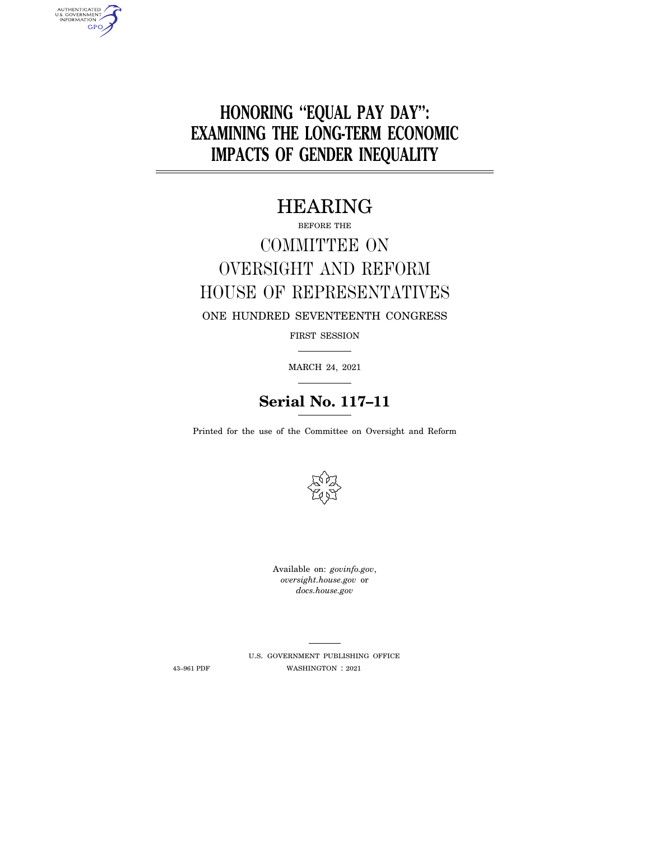**HONORING ''EQUAL PAY DAY'': EXAMINING THE LONG-TERM ECONOMIC IMPACTS OF GENDER INEQUALITY** 

# HEARING

# BEFORE THE COMMITTEE ON OVERSIGHT AND REFORM HOUSE OF REPRESENTATIVES ONE HUNDRED SEVENTEENTH CONGRESS

FIRST SESSION

MARCH 24, 2021

## **Serial No. 117–11**

Printed for the use of the Committee on Oversight and Reform



Available on: *govinfo.gov*, *oversight.house.gov* or *docs.house.gov* 

AUTHENTICATED<br>U.S. GOVERNMENT<br>INFORMATION **GPO** 

> U.S. GOVERNMENT PUBLISHING OFFICE 43–961 PDF WASHINGTON : 2021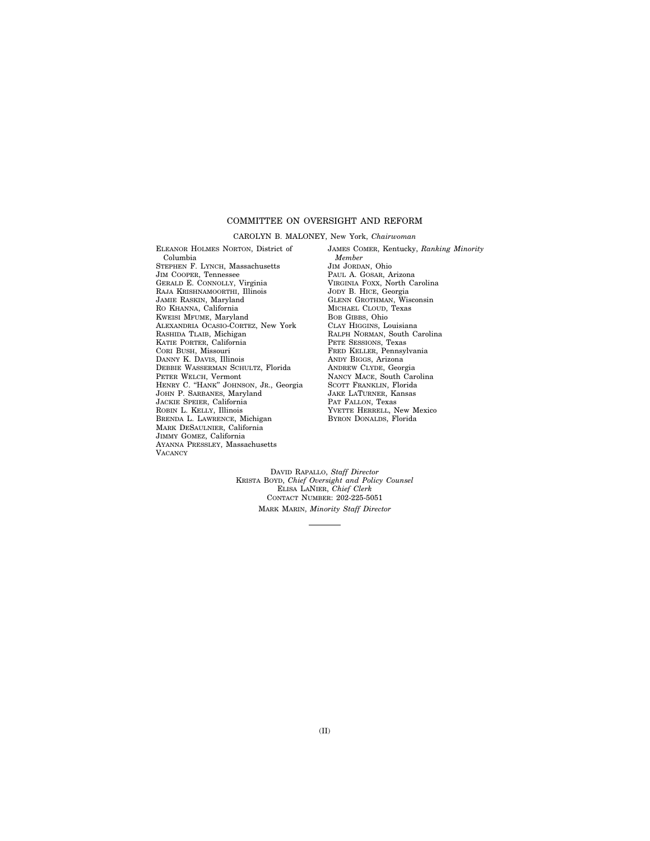### COMMITTEE ON OVERSIGHT AND REFORM

#### CAROLYN B. MALONEY, New York, *Chairwoman*

ELEANOR HOLMES NORTON, District of Columbia STEPHEN F. LYNCH, Massachusetts JIM COOPER, Tennessee GERALD E. CONNOLLY, Virginia RAJA KRISHNAMOORTHI, Illinois JAMIE RASKIN, Maryland RO KHANNA, California KWEISI MFUME, Maryland ALEXANDRIA OCASIO-CORTEZ, New York RASHIDA TLAIB, Michigan KATIE PORTER, California CORI BUSH, Missouri DANNY K. DAVIS, Illinois DEBBIE WASSERMAN SCHULTZ, Florida PETER WELCH, Vermont HENRY C. ''HANK'' JOHNSON, JR., Georgia JOHN P. SARBANES, Maryland JACKIE SPEIER, California ROBIN L. KELLY, Illinois BRENDA L. LAWRENCE, Michigan MARK DESAULNIER, California JIMMY GOMEZ, California AYANNA PRESSLEY, Massachusetts **VACANCY** 

JAMES COMER, Kentucky, *Ranking Minority Member*  JIM JORDAN, Ohio PAUL A. GOSAR, Arizona VIRGINIA FOXX, North Carolina JODY B. HICE, Georgia GLENN GROTHMAN, Wisconsin MICHAEL CLOUD, Texas BOB GIBBS, Ohio CLAY HIGGINS, Louisiana RALPH NORMAN, South Carolina PETE SESSIONS, Texas FRED KELLER, Pennsylvania ANDY BIGGS, Arizona ANDREW CLYDE, Georgia NANCY MACE, South Carolina SCOTT FRANKLIN, Florida JAKE LATURNER, Kansas PAT FALLON, Texas YVETTE HERRELL, New Mexico BYRON DONALDS, Florida

DAVID RAPALLO, *Staff Director*  KRISTA BOYD, *Chief Oversight and Policy Counsel*  ELISA LANIER, *Chief Clerk*  CONTACT NUMBER: 202-225-5051 MARK MARIN, *Minority Staff Director*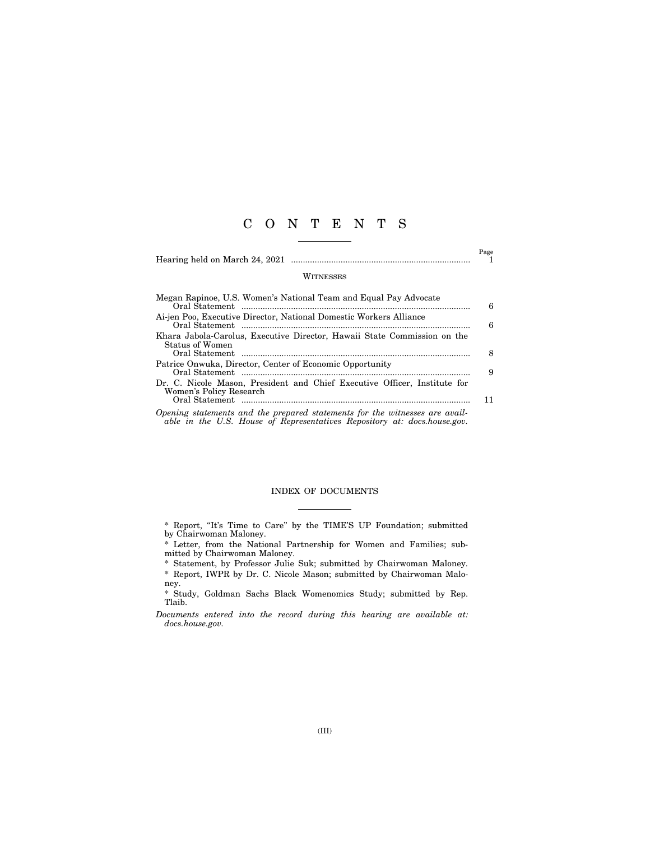### C O N T E N T S

|                                                                                                      | Page |
|------------------------------------------------------------------------------------------------------|------|
| <b>WITNESSES</b>                                                                                     |      |
| Megan Rapinoe, U.S. Women's National Team and Equal Pay Advocate                                     | 6    |
| Ai-jen Poo, Executive Director, National Domestic Workers Alliance                                   | 6    |
| Khara Jabola-Carolus, Executive Director, Hawaii State Commission on the<br>Status of Women          | 8    |
| Patrice Onwuka, Director, Center of Economic Opportunity                                             | 9    |
| Dr. C. Nicole Mason, President and Chief Executive Officer, Institute for<br>Women's Policy Research | 11   |
| Opening statements and the prepared statements for the witnesses are avail-                          |      |

*able in the U.S. House of Representatives Repository at: docs.house.gov.* 

### INDEX OF DOCUMENTS

\* Report, ''It's Time to Care'' by the TIME'S UP Foundation; submitted by Chairwoman Maloney.

\* Letter, from the National Partnership for Women and Families; submitted by Chairwoman Maloney.

\* Statement, by Professor Julie Suk; submitted by Chairwoman Maloney.

\* Report, IWPR by Dr. C. Nicole Mason; submitted by Chairwoman Maloney.

\* Study, Goldman Sachs Black Womenomics Study; submitted by Rep. Tlaib.

*Documents entered into the record during this hearing are available at: docs.house.gov.*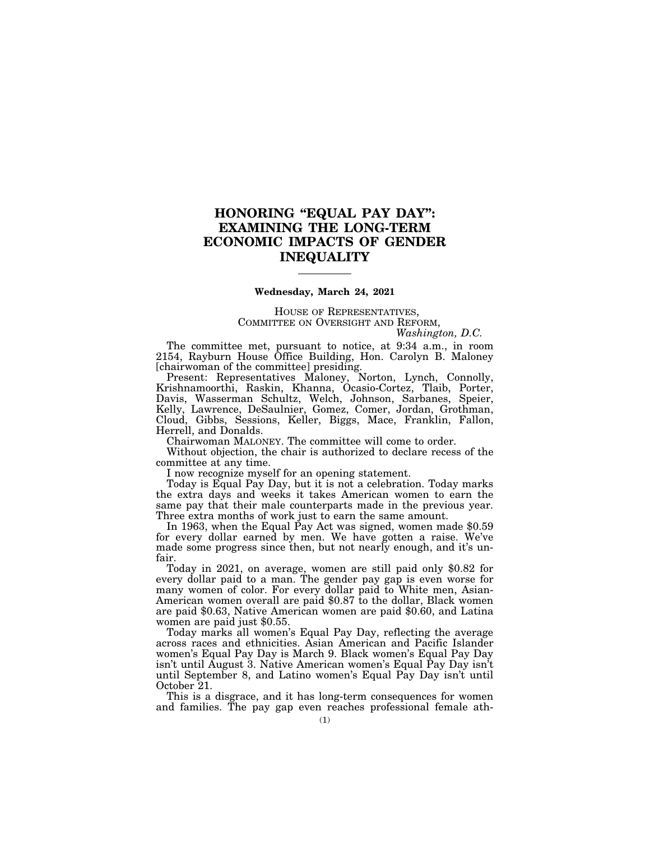### **HONORING ''EQUAL PAY DAY'': EXAMINING THE LONG-TERM ECONOMIC IMPACTS OF GENDER INEQUALITY**

### **Wednesday, March 24, 2021**

HOUSE OF REPRESENTATIVES, COMMITTEE ON OVERSIGHT AND REFORM,

*Washington, D.C.* 

The committee met, pursuant to notice, at 9:34 a.m., in room 2154, Rayburn House Office Building, Hon. Carolyn B. Maloney [chairwoman of the committee] presiding.

Present: Representatives Maloney, Norton, Lynch, Connolly, Krishnamoorthi, Raskin, Khanna, Ocasio-Cortez, Tlaib, Porter, Davis, Wasserman Schultz, Welch, Johnson, Sarbanes, Speier, Kelly, Lawrence, DeSaulnier, Gomez, Comer, Jordan, Grothman, Cloud, Gibbs, Sessions, Keller, Biggs, Mace, Franklin, Fallon, Herrell, and Donalds.

Chairwoman MALONEY. The committee will come to order.

Without objection, the chair is authorized to declare recess of the committee at any time.

I now recognize myself for an opening statement.

Today is Equal Pay Day, but it is not a celebration. Today marks the extra days and weeks it takes American women to earn the same pay that their male counterparts made in the previous year. Three extra months of work just to earn the same amount. In 1963, when the Equal Pay Act was signed, women made \$0.59

for every dollar earned by men. We have gotten a raise. We've made some progress since then, but not nearly enough, and it's unfair.

Today in 2021, on average, women are still paid only \$0.82 for every dollar paid to a man. The gender pay gap is even worse for many women of color. For every dollar paid to White men, Asian-American women overall are paid \$0.87 to the dollar, Black women are paid \$0.63, Native American women are paid \$0.60, and Latina women are paid just \$0.55.

Today marks all women's Equal Pay Day, reflecting the average across races and ethnicities. Asian American and Pacific Islander women's Equal Pay Day is March 9. Black women's Equal Pay Day isn't until August 3. Native American women's Equal Pay Day isn't until September 8, and Latino women's Equal Pay Day isn't until October 21.

This is a disgrace, and it has long-term consequences for women and families. The pay gap even reaches professional female ath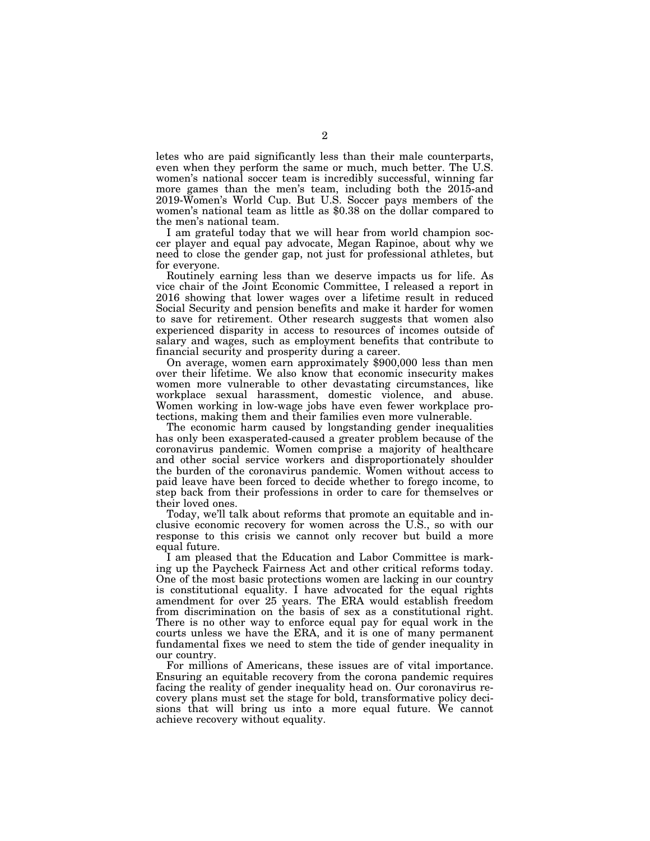letes who are paid significantly less than their male counterparts, even when they perform the same or much, much better. The U.S. women's national soccer team is incredibly successful, winning far more games than the men's team, including both the 2015-and 2019-Women's World Cup. But U.S. Soccer pays members of the women's national team as little as \$0.38 on the dollar compared to the men's national team.

I am grateful today that we will hear from world champion soccer player and equal pay advocate, Megan Rapinoe, about why we need to close the gender gap, not just for professional athletes, but for everyone.

Routinely earning less than we deserve impacts us for life. As vice chair of the Joint Economic Committee, I released a report in 2016 showing that lower wages over a lifetime result in reduced Social Security and pension benefits and make it harder for women to save for retirement. Other research suggests that women also experienced disparity in access to resources of incomes outside of salary and wages, such as employment benefits that contribute to financial security and prosperity during a career.

On average, women earn approximately \$900,000 less than men over their lifetime. We also know that economic insecurity makes women more vulnerable to other devastating circumstances, like workplace sexual harassment, domestic violence, and abuse. Women working in low-wage jobs have even fewer workplace protections, making them and their families even more vulnerable.

The economic harm caused by longstanding gender inequalities has only been exasperated-caused a greater problem because of the coronavirus pandemic. Women comprise a majority of healthcare and other social service workers and disproportionately shoulder the burden of the coronavirus pandemic. Women without access to paid leave have been forced to decide whether to forego income, to step back from their professions in order to care for themselves or their loved ones.

Today, we'll talk about reforms that promote an equitable and inclusive economic recovery for women across the U.S., so with our response to this crisis we cannot only recover but build a more equal future.

I am pleased that the Education and Labor Committee is marking up the Paycheck Fairness Act and other critical reforms today. One of the most basic protections women are lacking in our country is constitutional equality. I have advocated for the equal rights amendment for over 25 years. The ERA would establish freedom from discrimination on the basis of sex as a constitutional right. There is no other way to enforce equal pay for equal work in the courts unless we have the ERA, and it is one of many permanent fundamental fixes we need to stem the tide of gender inequality in our country.

For millions of Americans, these issues are of vital importance. Ensuring an equitable recovery from the corona pandemic requires facing the reality of gender inequality head on. Our coronavirus recovery plans must set the stage for bold, transformative policy decisions that will bring us into a more equal future. We cannot achieve recovery without equality.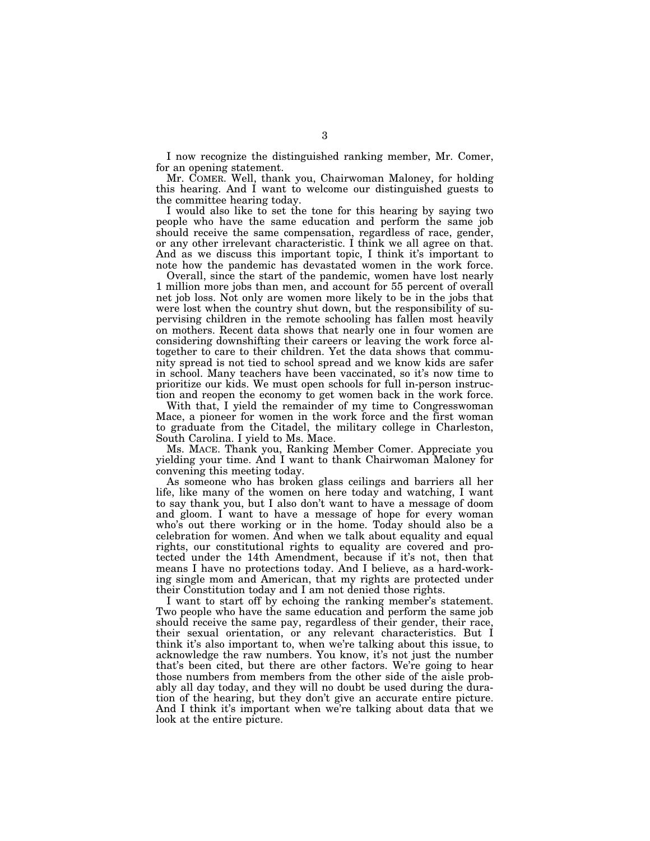I now recognize the distinguished ranking member, Mr. Comer, for an opening statement.

Mr. COMER. Well, thank you, Chairwoman Maloney, for holding this hearing. And I want to welcome our distinguished guests to the committee hearing today.

I would also like to set the tone for this hearing by saying two people who have the same education and perform the same job should receive the same compensation, regardless of race, gender, or any other irrelevant characteristic. I think we all agree on that. And as we discuss this important topic, I think it's important to note how the pandemic has devastated women in the work force.

Overall, since the start of the pandemic, women have lost nearly 1 million more jobs than men, and account for 55 percent of overall net job loss. Not only are women more likely to be in the jobs that were lost when the country shut down, but the responsibility of supervising children in the remote schooling has fallen most heavily on mothers. Recent data shows that nearly one in four women are considering downshifting their careers or leaving the work force altogether to care to their children. Yet the data shows that community spread is not tied to school spread and we know kids are safer in school. Many teachers have been vaccinated, so it's now time to prioritize our kids. We must open schools for full in-person instruction and reopen the economy to get women back in the work force.

With that, I yield the remainder of my time to Congresswoman Mace, a pioneer for women in the work force and the first woman to graduate from the Citadel, the military college in Charleston, South Carolina. I yield to Ms. Mace.

Ms. MACE. Thank you, Ranking Member Comer. Appreciate you yielding your time. And I want to thank Chairwoman Maloney for convening this meeting today.

As someone who has broken glass ceilings and barriers all her life, like many of the women on here today and watching, I want to say thank you, but I also don't want to have a message of doom and gloom. I want to have a message of hope for every woman who's out there working or in the home. Today should also be a celebration for women. And when we talk about equality and equal rights, our constitutional rights to equality are covered and protected under the 14th Amendment, because if it's not, then that means I have no protections today. And I believe, as a hard-working single mom and American, that my rights are protected under their Constitution today and I am not denied those rights.

I want to start off by echoing the ranking member's statement. Two people who have the same education and perform the same job should receive the same pay, regardless of their gender, their race, their sexual orientation, or any relevant characteristics. But I think it's also important to, when we're talking about this issue, to acknowledge the raw numbers. You know, it's not just the number that's been cited, but there are other factors. We're going to hear those numbers from members from the other side of the aisle probably all day today, and they will no doubt be used during the duration of the hearing, but they don't give an accurate entire picture. And I think it's important when we're talking about data that we look at the entire picture.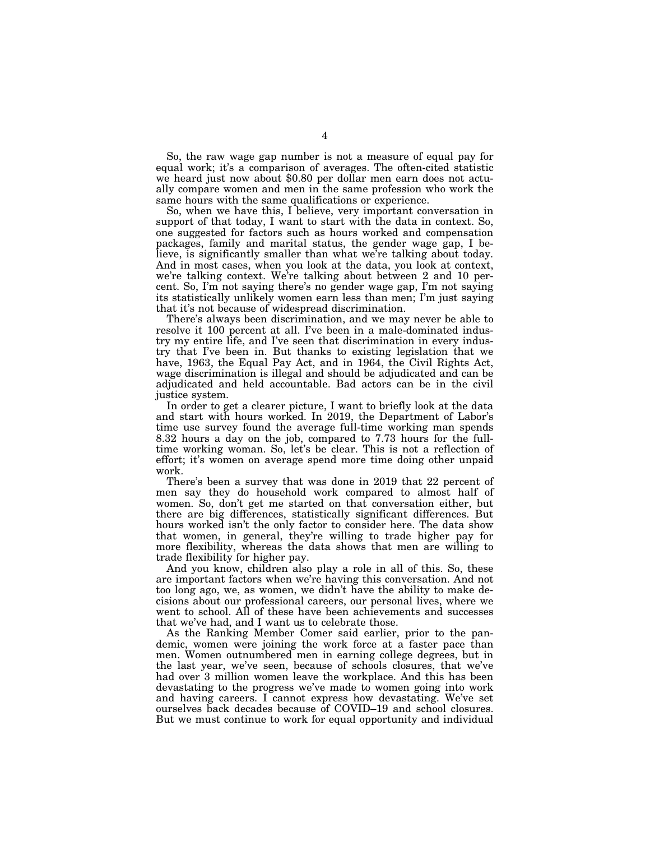So, the raw wage gap number is not a measure of equal pay for equal work; it's a comparison of averages. The often-cited statistic we heard just now about \$0.80 per dollar men earn does not actually compare women and men in the same profession who work the same hours with the same qualifications or experience.

So, when we have this, I believe, very important conversation in support of that today, I want to start with the data in context. So, one suggested for factors such as hours worked and compensation packages, family and marital status, the gender wage gap, I believe, is significantly smaller than what we're talking about today. And in most cases, when you look at the data, you look at context, we're talking context. We're talking about between 2 and 10 percent. So, I'm not saying there's no gender wage gap, I'm not saying its statistically unlikely women earn less than men; I'm just saying that it's not because of widespread discrimination.

There's always been discrimination, and we may never be able to resolve it 100 percent at all. I've been in a male-dominated industry my entire life, and I've seen that discrimination in every industry that I've been in. But thanks to existing legislation that we have, 1963, the Equal Pay Act, and in 1964, the Civil Rights Act, wage discrimination is illegal and should be adjudicated and can be adjudicated and held accountable. Bad actors can be in the civil justice system.

In order to get a clearer picture, I want to briefly look at the data and start with hours worked. In 2019, the Department of Labor's time use survey found the average full-time working man spends 8.32 hours a day on the job, compared to 7.73 hours for the fulltime working woman. So, let's be clear. This is not a reflection of effort; it's women on average spend more time doing other unpaid work.

There's been a survey that was done in 2019 that 22 percent of men say they do household work compared to almost half of women. So, don't get me started on that conversation either, but there are big differences, statistically significant differences. But hours worked isn't the only factor to consider here. The data show that women, in general, they're willing to trade higher pay for more flexibility, whereas the data shows that men are willing to trade flexibility for higher pay.

And you know, children also play a role in all of this. So, these are important factors when we're having this conversation. And not too long ago, we, as women, we didn't have the ability to make decisions about our professional careers, our personal lives, where we went to school. All of these have been achievements and successes that we've had, and I want us to celebrate those.

As the Ranking Member Comer said earlier, prior to the pandemic, women were joining the work force at a faster pace than men. Women outnumbered men in earning college degrees, but in the last year, we've seen, because of schools closures, that we've had over 3 million women leave the workplace. And this has been devastating to the progress we've made to women going into work and having careers. I cannot express how devastating. We've set ourselves back decades because of COVID–19 and school closures. But we must continue to work for equal opportunity and individual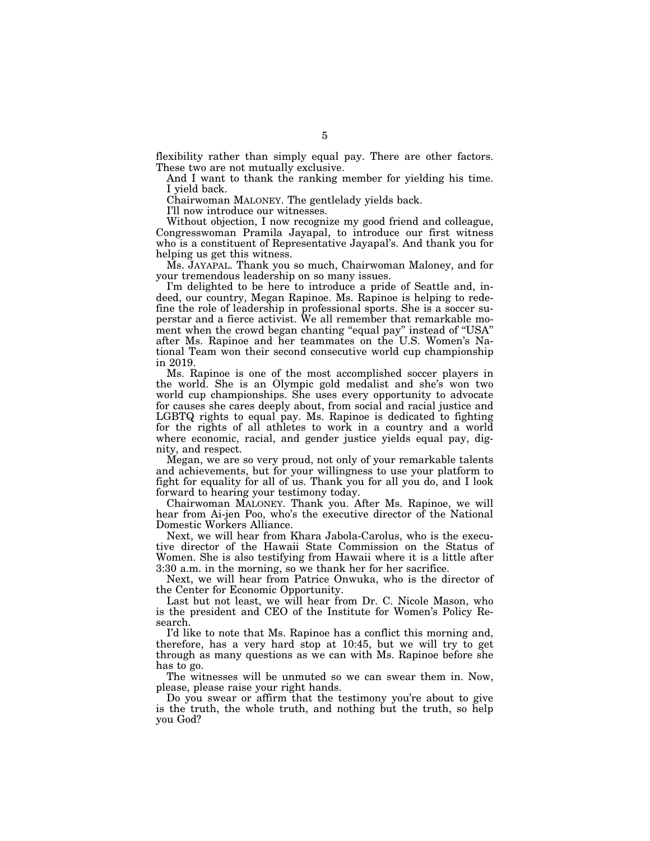flexibility rather than simply equal pay. There are other factors. These two are not mutually exclusive.

And I want to thank the ranking member for yielding his time. I yield back.

Chairwoman MALONEY. The gentlelady yields back.

I'll now introduce our witnesses.

Without objection, I now recognize my good friend and colleague, Congresswoman Pramila Jayapal, to introduce our first witness who is a constituent of Representative Jayapal's. And thank you for helping us get this witness.

Ms. JAYAPAL. Thank you so much, Chairwoman Maloney, and for your tremendous leadership on so many issues.

I'm delighted to be here to introduce a pride of Seattle and, indeed, our country, Megan Rapinoe. Ms. Rapinoe is helping to redefine the role of leadership in professional sports. She is a soccer superstar and a fierce activist. We all remember that remarkable moment when the crowd began chanting "equal pay" instead of "USA" after Ms. Rapinoe and her teammates on the U.S. Women's National Team won their second consecutive world cup championship in 2019.

Ms. Rapinoe is one of the most accomplished soccer players in the world. She is an Olympic gold medalist and she's won two world cup championships. She uses every opportunity to advocate for causes she cares deeply about, from social and racial justice and LGBTQ rights to equal pay. Ms. Rapinoe is dedicated to fighting for the rights of all athletes to work in a country and a world where economic, racial, and gender justice yields equal pay, dignity, and respect.

Megan, we are so very proud, not only of your remarkable talents and achievements, but for your willingness to use your platform to fight for equality for all of us. Thank you for all you do, and I look forward to hearing your testimony today.

Chairwoman MALONEY. Thank you. After Ms. Rapinoe, we will hear from Ai-jen Poo, who's the executive director of the National Domestic Workers Alliance.

Next, we will hear from Khara Jabola-Carolus, who is the executive director of the Hawaii State Commission on the Status of Women. She is also testifying from Hawaii where it is a little after 3:30 a.m. in the morning, so we thank her for her sacrifice.

Next, we will hear from Patrice Onwuka, who is the director of the Center for Economic Opportunity.

Last but not least, we will hear from Dr. C. Nicole Mason, who is the president and CEO of the Institute for Women's Policy Research.

I'd like to note that Ms. Rapinoe has a conflict this morning and, therefore, has a very hard stop at 10:45, but we will try to get through as many questions as we can with Ms. Rapinoe before she has to go.

The witnesses will be unmuted so we can swear them in. Now, please, please raise your right hands.

Do you swear or affirm that the testimony you're about to give is the truth, the whole truth, and nothing but the truth, so help you God?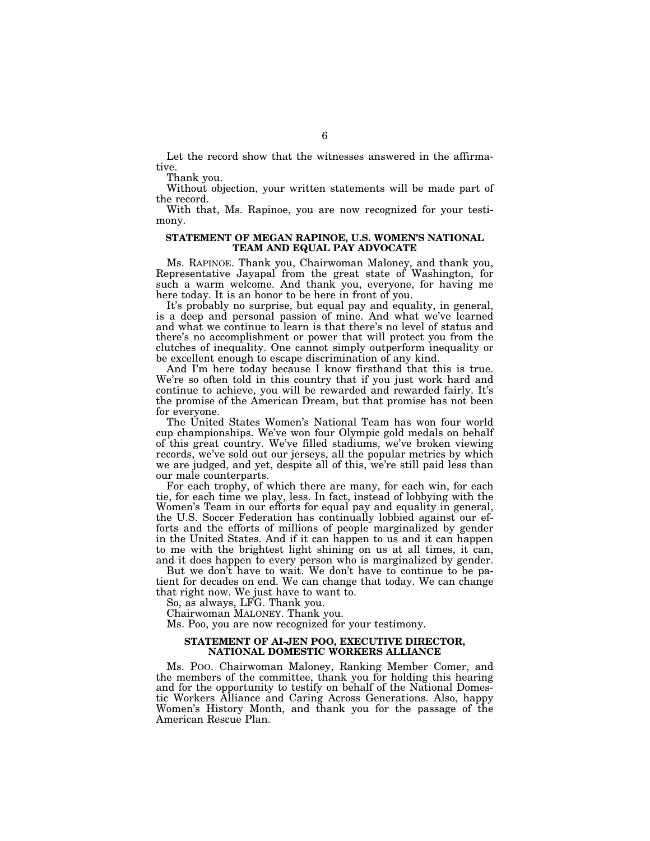Let the record show that the witnesses answered in the affirmative.

Thank you.

Without objection, your written statements will be made part of the record.

With that, Ms. Rapinoe, you are now recognized for your testimony.

### **STATEMENT OF MEGAN RAPINOE, U.S. WOMEN'S NATIONAL TEAM AND EQUAL PAY ADVOCATE**

Ms. RAPINOE. Thank you, Chairwoman Maloney, and thank you, Representative Jayapal from the great state of Washington, for such a warm welcome. And thank you, everyone, for having me here today. It is an honor to be here in front of you.

It's probably no surprise, but equal pay and equality, in general, is a deep and personal passion of mine. And what we've learned and what we continue to learn is that there's no level of status and there's no accomplishment or power that will protect you from the clutches of inequality. One cannot simply outperform inequality or be excellent enough to escape discrimination of any kind.

And I'm here today because I know firsthand that this is true. We're so often told in this country that if you just work hard and continue to achieve, you will be rewarded and rewarded fairly. It's the promise of the American Dream, but that promise has not been for everyone.

The United States Women's National Team has won four world cup championships. We've won four Olympic gold medals on behalf of this great country. We've filled stadiums, we've broken viewing records, we've sold out our jerseys, all the popular metrics by which we are judged, and yet, despite all of this, we're still paid less than our male counterparts.

For each trophy, of which there are many, for each win, for each tie, for each time we play, less. In fact, instead of lobbying with the Women's Team in our efforts for equal pay and equality in general, the U.S. Soccer Federation has continually lobbied against our efforts and the efforts of millions of people marginalized by gender in the United States. And if it can happen to us and it can happen to me with the brightest light shining on us at all times, it can, and it does happen to every person who is marginalized by gender.

But we don't have to wait. We don't have to continue to be patient for decades on end. We can change that today. We can change that right now. We just have to want to.

So, as always, LFG. Thank you.

Chairwoman MALONEY. Thank you.

Ms. Poo, you are now recognized for your testimony.

### **STATEMENT OF AI-JEN POO, EXECUTIVE DIRECTOR, NATIONAL DOMESTIC WORKERS ALLIANCE**

Ms. POO. Chairwoman Maloney, Ranking Member Comer, and the members of the committee, thank you for holding this hearing and for the opportunity to testify on behalf of the National Domestic Workers Alliance and Caring Across Generations. Also, happy Women's History Month, and thank you for the passage of the American Rescue Plan.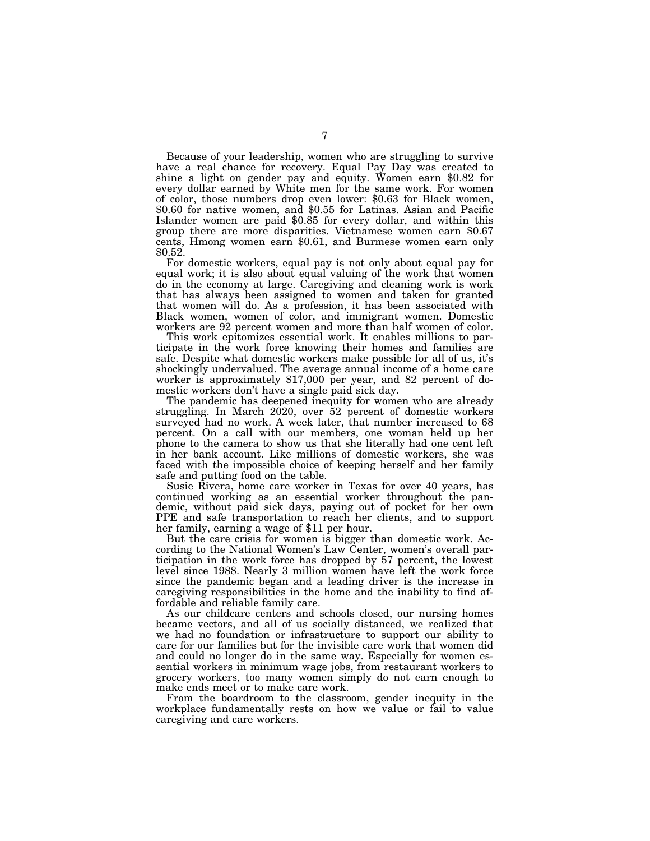Because of your leadership, women who are struggling to survive have a real chance for recovery. Equal Pay Day was created to shine a light on gender pay and equity. Women earn \$0.82 for every dollar earned by White men for the same work. For women of color, those numbers drop even lower: \$0.63 for Black women, \$0.60 for native women, and \$0.55 for Latinas. Asian and Pacific Islander women are paid \$0.85 for every dollar, and within this group there are more disparities. Vietnamese women earn \$0.67 cents, Hmong women earn \$0.61, and Burmese women earn only \$0.52.

For domestic workers, equal pay is not only about equal pay for equal work; it is also about equal valuing of the work that women do in the economy at large. Caregiving and cleaning work is work that has always been assigned to women and taken for granted that women will do. As a profession, it has been associated with Black women, women of color, and immigrant women. Domestic workers are 92 percent women and more than half women of color.

This work epitomizes essential work. It enables millions to participate in the work force knowing their homes and families are safe. Despite what domestic workers make possible for all of us, it's shockingly undervalued. The average annual income of a home care worker is approximately \$17,000 per year, and 82 percent of domestic workers don't have a single paid sick day.

The pandemic has deepened inequity for women who are already struggling. In March 2020, over 52 percent of domestic workers surveyed had no work. A week later, that number increased to 68 percent. On a call with our members, one woman held up her phone to the camera to show us that she literally had one cent left in her bank account. Like millions of domestic workers, she was faced with the impossible choice of keeping herself and her family safe and putting food on the table.

Susie Rivera, home care worker in Texas for over 40 years, has continued working as an essential worker throughout the pandemic, without paid sick days, paying out of pocket for her own PPE and safe transportation to reach her clients, and to support her family, earning a wage of \$11 per hour.

But the care crisis for women is bigger than domestic work. According to the National Women's Law Center, women's overall participation in the work force has dropped by 57 percent, the lowest level since 1988. Nearly 3 million women have left the work force since the pandemic began and a leading driver is the increase in caregiving responsibilities in the home and the inability to find affordable and reliable family care.

As our childcare centers and schools closed, our nursing homes became vectors, and all of us socially distanced, we realized that we had no foundation or infrastructure to support our ability to care for our families but for the invisible care work that women did and could no longer do in the same way. Especially for women essential workers in minimum wage jobs, from restaurant workers to grocery workers, too many women simply do not earn enough to make ends meet or to make care work.

From the boardroom to the classroom, gender inequity in the workplace fundamentally rests on how we value or fail to value caregiving and care workers.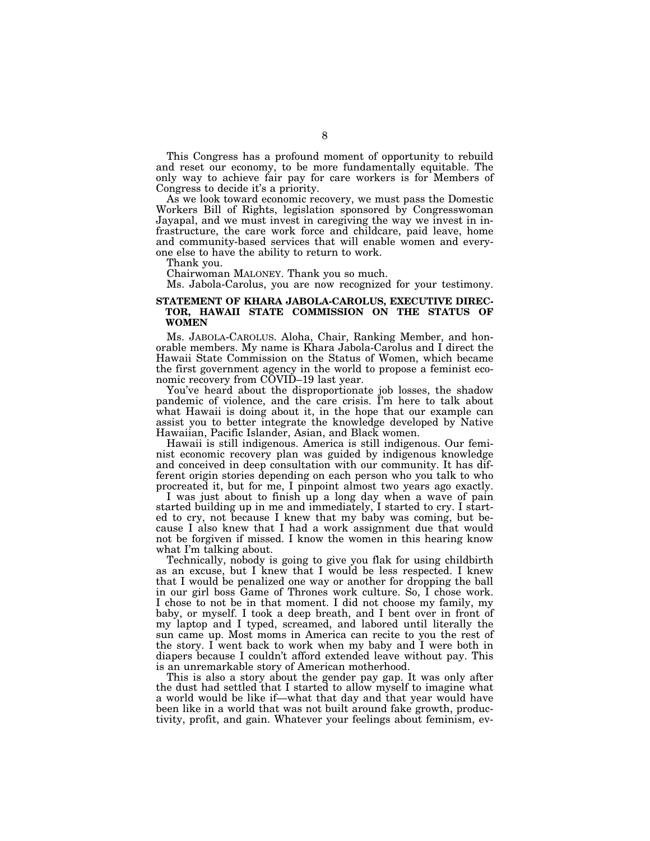This Congress has a profound moment of opportunity to rebuild and reset our economy, to be more fundamentally equitable. The only way to achieve fair pay for care workers is for Members of Congress to decide it's a priority.

As we look toward economic recovery, we must pass the Domestic Workers Bill of Rights, legislation sponsored by Congresswoman Jayapal, and we must invest in caregiving the way we invest in infrastructure, the care work force and childcare, paid leave, home and community-based services that will enable women and everyone else to have the ability to return to work.

Thank you.

Chairwoman MALONEY. Thank you so much.

Ms. Jabola-Carolus, you are now recognized for your testimony.

### **STATEMENT OF KHARA JABOLA-CAROLUS, EXECUTIVE DIREC-TOR, HAWAII STATE COMMISSION ON THE STATUS OF WOMEN**

Ms. JABOLA-CAROLUS. Aloha, Chair, Ranking Member, and honorable members. My name is Khara Jabola-Carolus and I direct the Hawaii State Commission on the Status of Women, which became the first government agency in the world to propose a feminist economic recovery from COVID-19 last year.

You've heard about the disproportionate job losses, the shadow pandemic of violence, and the care crisis. I'm here to talk about what Hawaii is doing about it, in the hope that our example can assist you to better integrate the knowledge developed by Native Hawaiian, Pacific Islander, Asian, and Black women.

Hawaii is still indigenous. America is still indigenous. Our feminist economic recovery plan was guided by indigenous knowledge and conceived in deep consultation with our community. It has different origin stories depending on each person who you talk to who procreated it, but for me, I pinpoint almost two years ago exactly.

I was just about to finish up a long day when a wave of pain started building up in me and immediately, I started to cry. I started to cry, not because I knew that my baby was coming, but because I also knew that I had a work assignment due that would not be forgiven if missed. I know the women in this hearing know what I'm talking about.

Technically, nobody is going to give you flak for using childbirth as an excuse, but I knew that I would be less respected. I knew that I would be penalized one way or another for dropping the ball in our girl boss Game of Thrones work culture. So, I chose work. I chose to not be in that moment. I did not choose my family, my baby, or myself. I took a deep breath, and I bent over in front of my laptop and I typed, screamed, and labored until literally the sun came up. Most moms in America can recite to you the rest of the story. I went back to work when my baby and I were both in diapers because I couldn't afford extended leave without pay. This is an unremarkable story of American motherhood.

This is also a story about the gender pay gap. It was only after the dust had settled that I started to allow myself to imagine what a world would be like if—what that day and that year would have been like in a world that was not built around fake growth, productivity, profit, and gain. Whatever your feelings about feminism, ev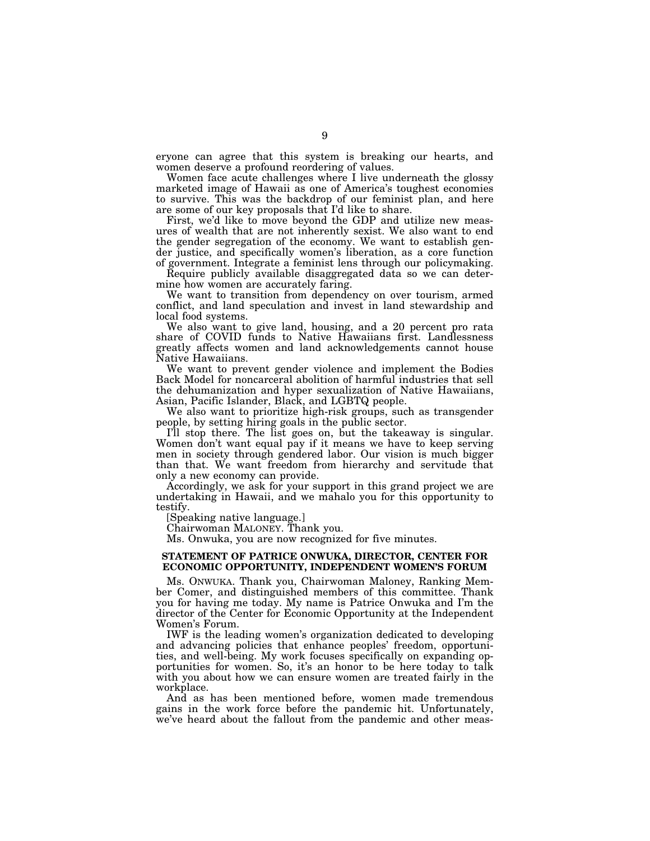eryone can agree that this system is breaking our hearts, and women deserve a profound reordering of values.

Women face acute challenges where I live underneath the glossy marketed image of Hawaii as one of America's toughest economies to survive. This was the backdrop of our feminist plan, and here are some of our key proposals that I'd like to share.

First, we'd like to move beyond the GDP and utilize new measures of wealth that are not inherently sexist. We also want to end the gender segregation of the economy. We want to establish gender justice, and specifically women's liberation, as a core function of government. Integrate a feminist lens through our policymaking.

Require publicly available disaggregated data so we can determine how women are accurately faring.

We want to transition from dependency on over tourism, armed conflict, and land speculation and invest in land stewardship and local food systems.

We also want to give land, housing, and a 20 percent pro rata share of COVID funds to Native Hawaiians first. Landlessness greatly affects women and land acknowledgements cannot house Native Hawaiians.

We want to prevent gender violence and implement the Bodies Back Model for noncarceral abolition of harmful industries that sell the dehumanization and hyper sexualization of Native Hawaiians, Asian, Pacific Islander, Black, and LGBTQ people.

We also want to prioritize high-risk groups, such as transgender people, by setting hiring goals in the public sector.

I'll stop there. The list goes on, but the takeaway is singular. Women don't want equal pay if it means we have to keep serving men in society through gendered labor. Our vision is much bigger than that. We want freedom from hierarchy and servitude that only a new economy can provide.

Accordingly, we ask for your support in this grand project we are undertaking in Hawaii, and we mahalo you for this opportunity to testify.

[Speaking native language.]

Chairwoman MALONEY. Thank you.

Ms. Onwuka, you are now recognized for five minutes.

### **STATEMENT OF PATRICE ONWUKA, DIRECTOR, CENTER FOR ECONOMIC OPPORTUNITY, INDEPENDENT WOMEN'S FORUM**

Ms. ONWUKA. Thank you, Chairwoman Maloney, Ranking Member Comer, and distinguished members of this committee. Thank you for having me today. My name is Patrice Onwuka and I'm the director of the Center for Economic Opportunity at the Independent Women's Forum.

IWF is the leading women's organization dedicated to developing and advancing policies that enhance peoples' freedom, opportunities, and well-being. My work focuses specifically on expanding opportunities for women. So, it's an honor to be here today to talk with you about how we can ensure women are treated fairly in the workplace.

And as has been mentioned before, women made tremendous gains in the work force before the pandemic hit. Unfortunately, we've heard about the fallout from the pandemic and other meas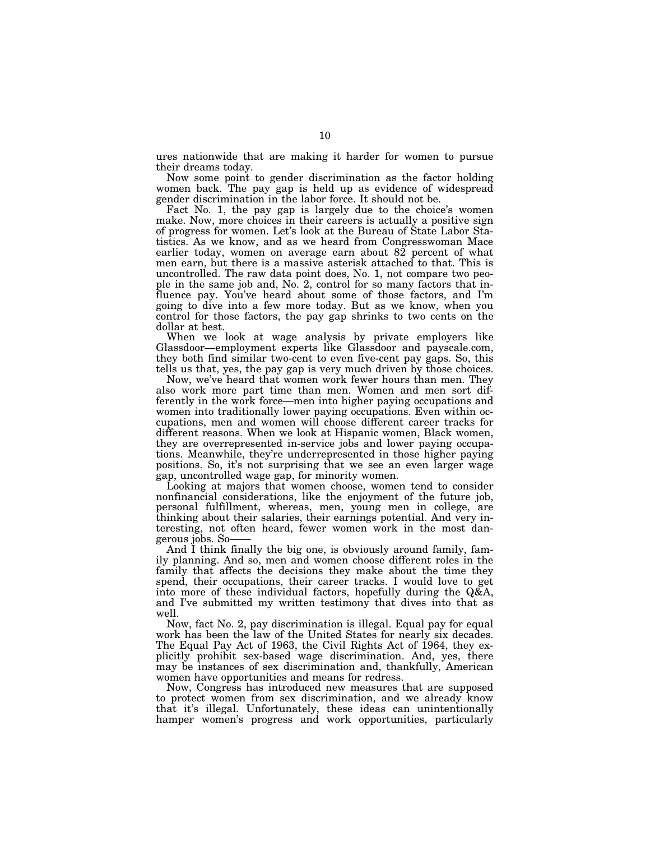ures nationwide that are making it harder for women to pursue their dreams today.

Now some point to gender discrimination as the factor holding women back. The pay gap is held up as evidence of widespread gender discrimination in the labor force. It should not be.

Fact No. 1, the pay gap is largely due to the choice's women make. Now, more choices in their careers is actually a positive sign of progress for women. Let's look at the Bureau of State Labor Statistics. As we know, and as we heard from Congresswoman Mace earlier today, women on average earn about  $82$  percent of what men earn, but there is a massive asterisk attached to that. This is uncontrolled. The raw data point does, No. 1, not compare two people in the same job and, No. 2, control for so many factors that influence pay. You've heard about some of those factors, and I'm going to dive into a few more today. But as we know, when you control for those factors, the pay gap shrinks to two cents on the dollar at best.

When we look at wage analysis by private employers like Glassdoor—employment experts like Glassdoor and payscale.com, they both find similar two-cent to even five-cent pay gaps. So, this tells us that, yes, the pay gap is very much driven by those choices.

Now, we've heard that women work fewer hours than men. They also work more part time than men. Women and men sort differently in the work force—men into higher paying occupations and women into traditionally lower paying occupations. Even within occupations, men and women will choose different career tracks for different reasons. When we look at Hispanic women, Black women, they are overrepresented in-service jobs and lower paying occupations. Meanwhile, they're underrepresented in those higher paying positions. So, it's not surprising that we see an even larger wage gap, uncontrolled wage gap, for minority women.

Looking at majors that women choose, women tend to consider nonfinancial considerations, like the enjoyment of the future job, personal fulfillment, whereas, men, young men in college, are thinking about their salaries, their earnings potential. And very interesting, not often heard, fewer women work in the most dangerous jobs. So——

And I think finally the big one, is obviously around family, family planning. And so, men and women choose different roles in the family that affects the decisions they make about the time they spend, their occupations, their career tracks. I would love to get into more of these individual factors, hopefully during the  $Q\&A$ , and I've submitted my written testimony that dives into that as well.

Now, fact No. 2, pay discrimination is illegal. Equal pay for equal work has been the law of the United States for nearly six decades. The Equal Pay Act of 1963, the Civil Rights Act of 1964, they explicitly prohibit sex-based wage discrimination. And, yes, there may be instances of sex discrimination and, thankfully, American women have opportunities and means for redress.

Now, Congress has introduced new measures that are supposed to protect women from sex discrimination, and we already know that it's illegal. Unfortunately, these ideas can unintentionally hamper women's progress and work opportunities, particularly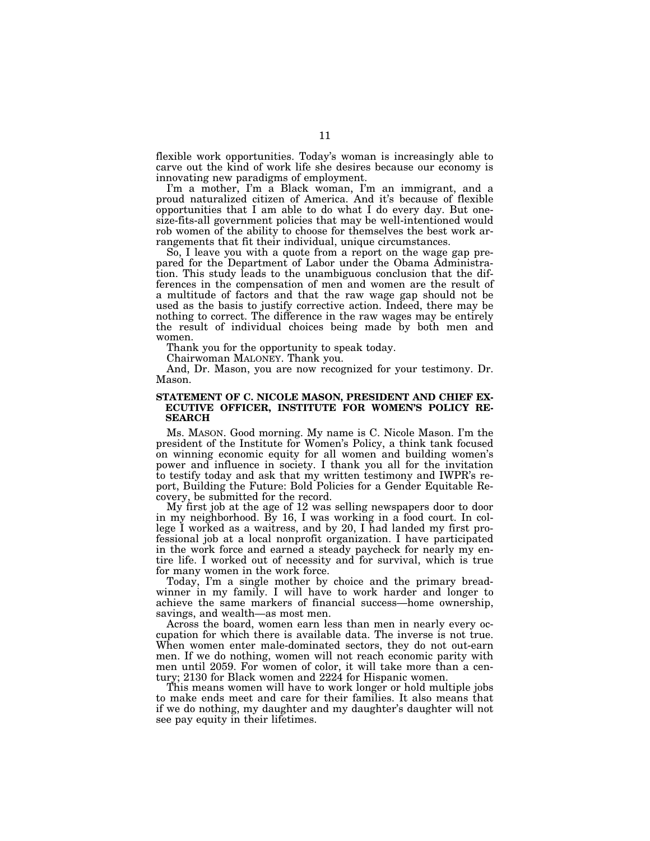flexible work opportunities. Today's woman is increasingly able to carve out the kind of work life she desires because our economy is innovating new paradigms of employment.

I'm a mother, I'm a Black woman, I'm an immigrant, and a proud naturalized citizen of America. And it's because of flexible opportunities that I am able to do what I do every day. But onesize-fits-all government policies that may be well-intentioned would rob women of the ability to choose for themselves the best work arrangements that fit their individual, unique circumstances.

So, I leave you with a quote from a report on the wage gap prepared for the Department of Labor under the Obama Administration. This study leads to the unambiguous conclusion that the differences in the compensation of men and women are the result of a multitude of factors and that the raw wage gap should not be used as the basis to justify corrective action. Indeed, there may be nothing to correct. The difference in the raw wages may be entirely the result of individual choices being made by both men and women.

Thank you for the opportunity to speak today.

Chairwoman MALONEY. Thank you.

And, Dr. Mason, you are now recognized for your testimony. Dr. Mason.

### **STATEMENT OF C. NICOLE MASON, PRESIDENT AND CHIEF EX-ECUTIVE OFFICER, INSTITUTE FOR WOMEN'S POLICY RE-SEARCH**

Ms. MASON. Good morning. My name is C. Nicole Mason. I'm the president of the Institute for Women's Policy, a think tank focused on winning economic equity for all women and building women's power and influence in society. I thank you all for the invitation to testify today and ask that my written testimony and IWPR's report, Building the Future: Bold Policies for a Gender Equitable Recovery, be submitted for the record.

My first job at the age of 12 was selling newspapers door to door in my neighborhood. By 16, I was working in a food court. In college I worked as a waitress, and by 20, I had landed my first professional job at a local nonprofit organization. I have participated in the work force and earned a steady paycheck for nearly my entire life. I worked out of necessity and for survival, which is true for many women in the work force.

Today, I'm a single mother by choice and the primary breadwinner in my family. I will have to work harder and longer to achieve the same markers of financial success—home ownership, savings, and wealth—as most men.

Across the board, women earn less than men in nearly every occupation for which there is available data. The inverse is not true. When women enter male-dominated sectors, they do not out-earn men. If we do nothing, women will not reach economic parity with men until 2059. For women of color, it will take more than a century; 2130 for Black women and 2224 for Hispanic women.

This means women will have to work longer or hold multiple jobs to make ends meet and care for their families. It also means that if we do nothing, my daughter and my daughter's daughter will not see pay equity in their lifetimes.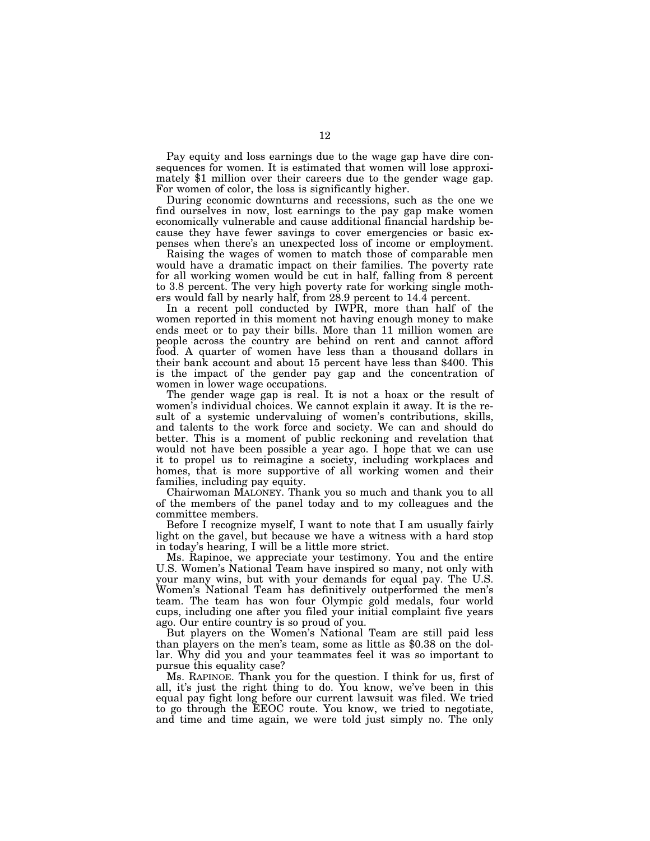Pay equity and loss earnings due to the wage gap have dire consequences for women. It is estimated that women will lose approximately \$1 million over their careers due to the gender wage gap. For women of color, the loss is significantly higher.

During economic downturns and recessions, such as the one we find ourselves in now, lost earnings to the pay gap make women economically vulnerable and cause additional financial hardship because they have fewer savings to cover emergencies or basic expenses when there's an unexpected loss of income or employment.

Raising the wages of women to match those of comparable men would have a dramatic impact on their families. The poverty rate for all working women would be cut in half, falling from 8 percent to 3.8 percent. The very high poverty rate for working single mothers would fall by nearly half, from 28.9 percent to 14.4 percent.

In a recent poll conducted by IWPR, more than half of the women reported in this moment not having enough money to make ends meet or to pay their bills. More than 11 million women are people across the country are behind on rent and cannot afford food. A quarter of women have less than a thousand dollars in their bank account and about 15 percent have less than \$400. This is the impact of the gender pay gap and the concentration of women in lower wage occupations.

The gender wage gap is real. It is not a hoax or the result of women's individual choices. We cannot explain it away. It is the result of a systemic undervaluing of women's contributions, skills, and talents to the work force and society. We can and should do better. This is a moment of public reckoning and revelation that would not have been possible a year ago. I hope that we can use it to propel us to reimagine a society, including workplaces and homes, that is more supportive of all working women and their families, including pay equity.

Chairwoman MALONEY. Thank you so much and thank you to all of the members of the panel today and to my colleagues and the committee members.

Before I recognize myself, I want to note that I am usually fairly light on the gavel, but because we have a witness with a hard stop in today's hearing, I will be a little more strict.

Ms. Rapinoe, we appreciate your testimony. You and the entire U.S. Women's National Team have inspired so many, not only with your many wins, but with your demands for equal pay. The U.S. Women's National Team has definitively outperformed the men's team. The team has won four Olympic gold medals, four world cups, including one after you filed your initial complaint five years ago. Our entire country is so proud of you.

But players on the Women's National Team are still paid less than players on the men's team, some as little as \$0.38 on the dollar. Why did you and your teammates feel it was so important to pursue this equality case?

Ms. RAPINOE. Thank you for the question. I think for us, first of all, it's just the right thing to do. You know, we've been in this equal pay fight long before our current lawsuit was filed. We tried to go through the EEOC route. You know, we tried to negotiate, and time and time again, we were told just simply no. The only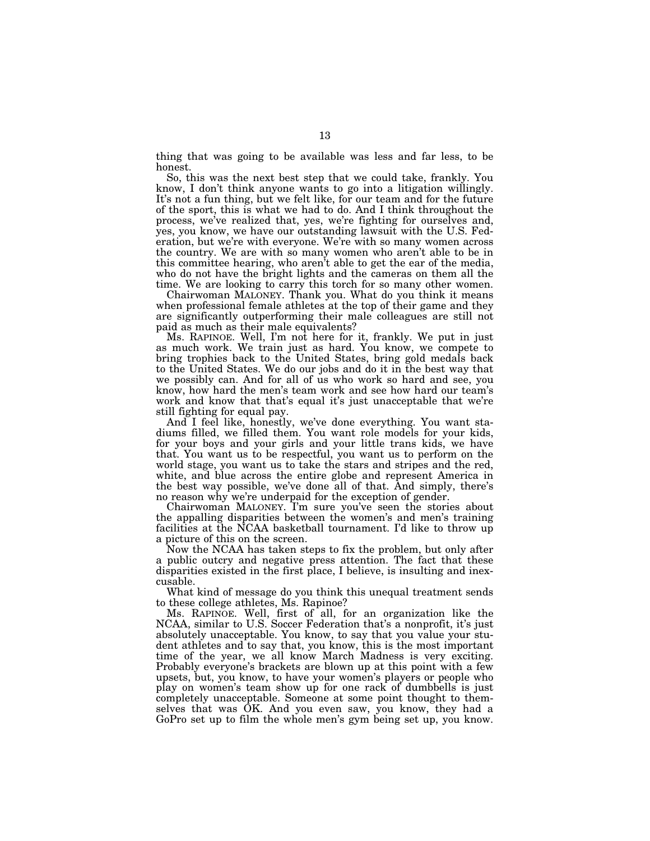thing that was going to be available was less and far less, to be honest.

So, this was the next best step that we could take, frankly. You know, I don't think anyone wants to go into a litigation willingly. It's not a fun thing, but we felt like, for our team and for the future of the sport, this is what we had to do. And I think throughout the process, we've realized that, yes, we're fighting for ourselves and, yes, you know, we have our outstanding lawsuit with the U.S. Federation, but we're with everyone. We're with so many women across the country. We are with so many women who aren't able to be in this committee hearing, who aren't able to get the ear of the media, who do not have the bright lights and the cameras on them all the time. We are looking to carry this torch for so many other women.

Chairwoman MALONEY. Thank you. What do you think it means when professional female athletes at the top of their game and they are significantly outperforming their male colleagues are still not paid as much as their male equivalents?

Ms. RAPINOE. Well, I'm not here for it, frankly. We put in just as much work. We train just as hard. You know, we compete to bring trophies back to the United States, bring gold medals back to the United States. We do our jobs and do it in the best way that we possibly can. And for all of us who work so hard and see, you know, how hard the men's team work and see how hard our team's work and know that that's equal it's just unacceptable that we're still fighting for equal pay.

And I feel like, honestly, we've done everything. You want stadiums filled, we filled them. You want role models for your kids, for your boys and your girls and your little trans kids, we have that. You want us to be respectful, you want us to perform on the world stage, you want us to take the stars and stripes and the red, white, and blue across the entire globe and represent America in the best way possible, we've done all of that. And simply, there's no reason why we're underpaid for the exception of gender.

Chairwoman MALONEY. I'm sure you've seen the stories about the appalling disparities between the women's and men's training facilities at the NCAA basketball tournament. I'd like to throw up a picture of this on the screen.

Now the NCAA has taken steps to fix the problem, but only after a public outcry and negative press attention. The fact that these disparities existed in the first place, I believe, is insulting and inexcusable.

What kind of message do you think this unequal treatment sends to these college athletes, Ms. Rapinoe?

Ms. RAPINOE. Well, first of all, for an organization like the NCAA, similar to U.S. Soccer Federation that's a nonprofit, it's just absolutely unacceptable. You know, to say that you value your student athletes and to say that, you know, this is the most important time of the year, we all know March Madness is very exciting. Probably everyone's brackets are blown up at this point with a few upsets, but, you know, to have your women's players or people who play on women's team show up for one rack of dumbbells is just completely unacceptable. Someone at some point thought to themselves that was OK. And you even saw, you know, they had a GoPro set up to film the whole men's gym being set up, you know.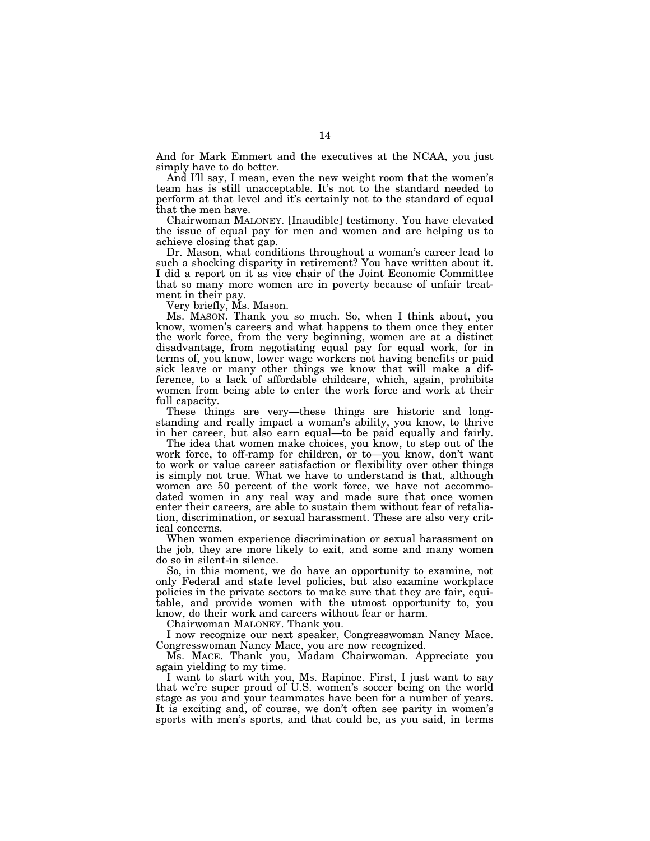And for Mark Emmert and the executives at the NCAA, you just simply have to do better.

And I'll say, I mean, even the new weight room that the women's team has is still unacceptable. It's not to the standard needed to perform at that level and it's certainly not to the standard of equal that the men have.

Chairwoman MALONEY. [Inaudible] testimony. You have elevated the issue of equal pay for men and women and are helping us to achieve closing that gap.

Dr. Mason, what conditions throughout a woman's career lead to such a shocking disparity in retirement? You have written about it. I did a report on it as vice chair of the Joint Economic Committee that so many more women are in poverty because of unfair treatment in their pay.

Very briefly, Ms. Mason.

Ms. MASON. Thank you so much. So, when I think about, you know, women's careers and what happens to them once they enter the work force, from the very beginning, women are at a distinct disadvantage, from negotiating equal pay for equal work, for in terms of, you know, lower wage workers not having benefits or paid sick leave or many other things we know that will make a difference, to a lack of affordable childcare, which, again, prohibits women from being able to enter the work force and work at their full capacity.

These things are very—these things are historic and longstanding and really impact a woman's ability, you know, to thrive in her career, but also earn equal—to be paid equally and fairly.

The idea that women make choices, you know, to step out of the work force, to off-ramp for children, or to—you know, don't want to work or value career satisfaction or flexibility over other things is simply not true. What we have to understand is that, although women are 50 percent of the work force, we have not accommodated women in any real way and made sure that once women enter their careers, are able to sustain them without fear of retaliation, discrimination, or sexual harassment. These are also very critical concerns.

When women experience discrimination or sexual harassment on the job, they are more likely to exit, and some and many women do so in silent-in silence.

So, in this moment, we do have an opportunity to examine, not only Federal and state level policies, but also examine workplace policies in the private sectors to make sure that they are fair, equitable, and provide women with the utmost opportunity to, you know, do their work and careers without fear or harm.

Chairwoman MALONEY. Thank you.

I now recognize our next speaker, Congresswoman Nancy Mace. Congresswoman Nancy Mace, you are now recognized.

Ms. MACE. Thank you, Madam Chairwoman. Appreciate you again yielding to my time.

I want to start with you, Ms. Rapinoe. First, I just want to say that we're super proud of U.S. women's soccer being on the world stage as you and your teammates have been for a number of years. It is exciting and, of course, we don't often see parity in women's sports with men's sports, and that could be, as you said, in terms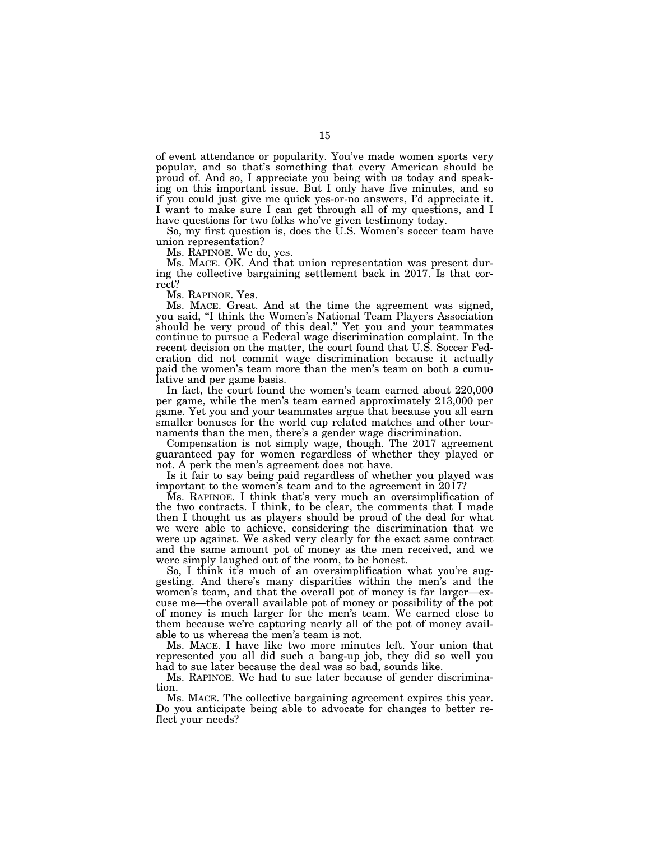of event attendance or popularity. You've made women sports very popular, and so that's something that every American should be proud of. And so, I appreciate you being with us today and speaking on this important issue. But I only have five minutes, and so if you could just give me quick yes-or-no answers, I'd appreciate it. I want to make sure I can get through all of my questions, and I have questions for two folks who've given testimony today.

So, my first question is, does the U.S. Women's soccer team have union representation?

Ms. RAPINOE. We do, yes.

Ms. MACE. OK. And that union representation was present during the collective bargaining settlement back in 2017. Is that correct?

Ms. RAPINOE. Yes.

Ms. MACE. Great. And at the time the agreement was signed, you said, ''I think the Women's National Team Players Association should be very proud of this deal.'' Yet you and your teammates continue to pursue a Federal wage discrimination complaint. In the recent decision on the matter, the court found that U.S. Soccer Federation did not commit wage discrimination because it actually paid the women's team more than the men's team on both a cumulative and per game basis.

In fact, the court found the women's team earned about 220,000 per game, while the men's team earned approximately 213,000 per game. Yet you and your teammates argue that because you all earn smaller bonuses for the world cup related matches and other tournaments than the men, there's a gender wage discrimination.

Compensation is not simply wage, though. The 2017 agreement guaranteed pay for women regardless of whether they played or not. A perk the men's agreement does not have.

Is it fair to say being paid regardless of whether you played was important to the women's team and to the agreement in 2017?

Ms. RAPINOE. I think that's very much an oversimplification of the two contracts. I think, to be clear, the comments that I made then I thought us as players should be proud of the deal for what we were able to achieve, considering the discrimination that we were up against. We asked very clearly for the exact same contract and the same amount pot of money as the men received, and we were simply laughed out of the room, to be honest.

So, I think it's much of an oversimplification what you're suggesting. And there's many disparities within the men's and the women's team, and that the overall pot of money is far larger—excuse me—the overall available pot of money or possibility of the pot of money is much larger for the men's team. We earned close to them because we're capturing nearly all of the pot of money available to us whereas the men's team is not.

Ms. MACE. I have like two more minutes left. Your union that represented you all did such a bang-up job, they did so well you had to sue later because the deal was so bad, sounds like.

Ms. RAPINOE. We had to sue later because of gender discrimination.

Ms. MACE. The collective bargaining agreement expires this year. Do you anticipate being able to advocate for changes to better reflect your needs?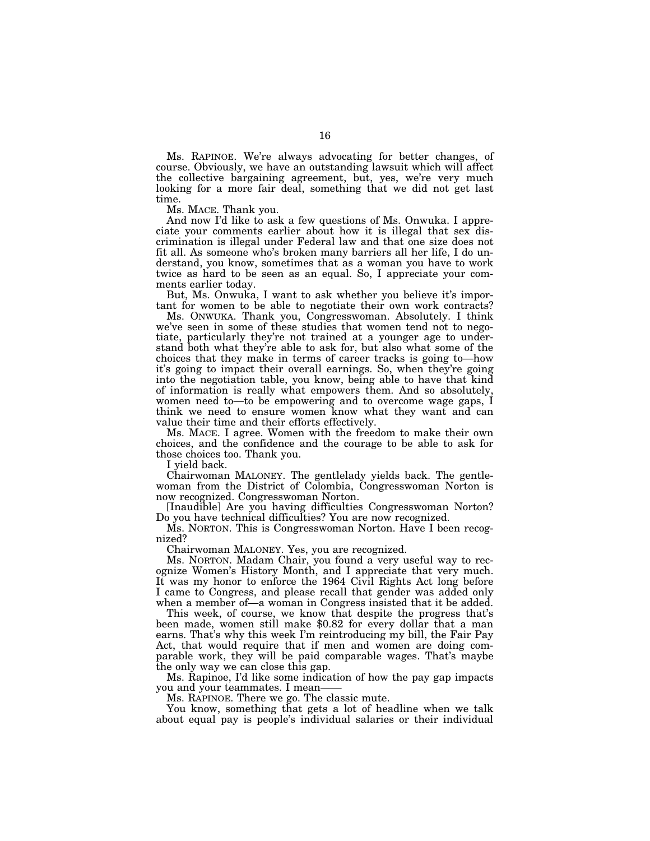Ms. RAPINOE. We're always advocating for better changes, of course. Obviously, we have an outstanding lawsuit which will affect the collective bargaining agreement, but, yes, we're very much looking for a more fair deal, something that we did not get last time.

Ms. MACE. Thank you.

And now I'd like to ask a few questions of Ms. Onwuka. I appreciate your comments earlier about how it is illegal that sex discrimination is illegal under Federal law and that one size does not fit all. As someone who's broken many barriers all her life, I do understand, you know, sometimes that as a woman you have to work twice as hard to be seen as an equal. So, I appreciate your comments earlier today.

But, Ms. Onwuka, I want to ask whether you believe it's important for women to be able to negotiate their own work contracts?

Ms. ONWUKA. Thank you, Congresswoman. Absolutely. I think we've seen in some of these studies that women tend not to negotiate, particularly they're not trained at a younger age to understand both what they're able to ask for, but also what some of the choices that they make in terms of career tracks is going to—how it's going to impact their overall earnings. So, when they're going into the negotiation table, you know, being able to have that kind of information is really what empowers them. And so absolutely, women need to—to be empowering and to overcome wage gaps, I think we need to ensure women know what they want and can value their time and their efforts effectively.

Ms. MACE. I agree. Women with the freedom to make their own choices, and the confidence and the courage to be able to ask for those choices too. Thank you.

I yield back.

Chairwoman MALONEY. The gentlelady yields back. The gentlewoman from the District of Colombia, Congresswoman Norton is now recognized. Congresswoman Norton.

[Inaudible] Are you having difficulties Congresswoman Norton? Do you have technical difficulties? You are now recognized.

Ms. NORTON. This is Congresswoman Norton. Have I been recognized?

Chairwoman MALONEY. Yes, you are recognized.

Ms. NORTON. Madam Chair, you found a very useful way to recognize Women's History Month, and I appreciate that very much. It was my honor to enforce the 1964 Civil Rights Act long before I came to Congress, and please recall that gender was added only when a member of—a woman in Congress insisted that it be added.<br>This week, of course, we know that despite the progress that's

been made, women still make \$0.82 for every dollar that a man earns. That's why this week I'm reintroducing my bill, the Fair Pay Act, that would require that if men and women are doing comparable work, they will be paid comparable wages. That's maybe the only way we can close this gap.

Ms. Rapinoe, I'd like some indication of how the pay gap impacts you and your teammates. I mean-

Ms. RAPINOE. There we go. The classic mute.

You know, something that gets a lot of headline when we talk about equal pay is people's individual salaries or their individual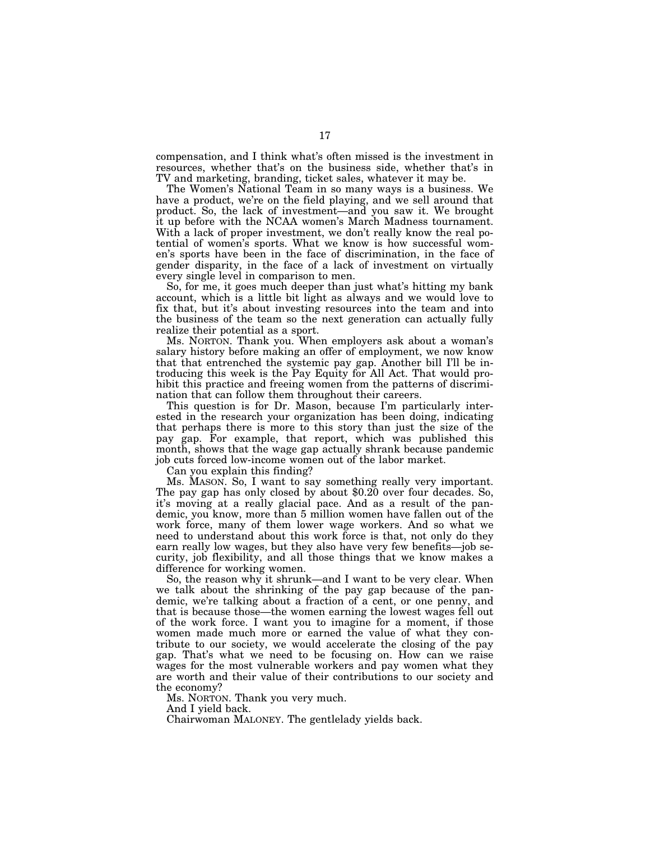compensation, and I think what's often missed is the investment in resources, whether that's on the business side, whether that's in TV and marketing, branding, ticket sales, whatever it may be.

The Women's National Team in so many ways is a business. We have a product, we're on the field playing, and we sell around that product. So, the lack of investment—and you saw it. We brought it up before with the NCAA women's March Madness tournament. With a lack of proper investment, we don't really know the real potential of women's sports. What we know is how successful women's sports have been in the face of discrimination, in the face of gender disparity, in the face of a lack of investment on virtually every single level in comparison to men.

So, for me, it goes much deeper than just what's hitting my bank account, which is a little bit light as always and we would love to fix that, but it's about investing resources into the team and into the business of the team so the next generation can actually fully realize their potential as a sport.

Ms. NORTON. Thank you. When employers ask about a woman's salary history before making an offer of employment, we now know that that entrenched the systemic pay gap. Another bill I'll be introducing this week is the Pay Equity for All Act. That would prohibit this practice and freeing women from the patterns of discrimination that can follow them throughout their careers.

This question is for Dr. Mason, because I'm particularly interested in the research your organization has been doing, indicating that perhaps there is more to this story than just the size of the pay gap. For example, that report, which was published this month, shows that the wage gap actually shrank because pandemic job cuts forced low-income women out of the labor market.

Can you explain this finding?

Ms. MASON. So, I want to say something really very important. The pay gap has only closed by about \$0.20 over four decades. So, it's moving at a really glacial pace. And as a result of the pandemic, you know, more than 5 million women have fallen out of the work force, many of them lower wage workers. And so what we need to understand about this work force is that, not only do they earn really low wages, but they also have very few benefits—job security, job flexibility, and all those things that we know makes a difference for working women.

So, the reason why it shrunk—and I want to be very clear. When we talk about the shrinking of the pay gap because of the pandemic, we're talking about a fraction of a cent, or one penny, and that is because those—the women earning the lowest wages fell out of the work force. I want you to imagine for a moment, if those women made much more or earned the value of what they contribute to our society, we would accelerate the closing of the pay gap. That's what we need to be focusing on. How can we raise wages for the most vulnerable workers and pay women what they are worth and their value of their contributions to our society and the economy?

Ms. NORTON. Thank you very much.

And I yield back.

Chairwoman MALONEY. The gentlelady yields back.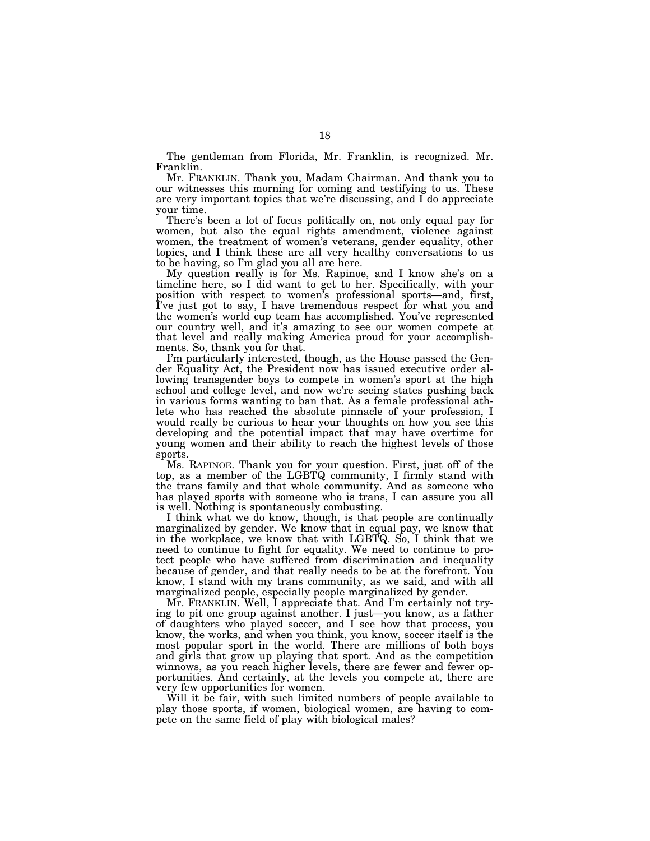The gentleman from Florida, Mr. Franklin, is recognized. Mr. Franklin.

Mr. FRANKLIN. Thank you, Madam Chairman. And thank you to our witnesses this morning for coming and testifying to us. These are very important topics that we're discussing, and I do appreciate your time.

There's been a lot of focus politically on, not only equal pay for women, but also the equal rights amendment, violence against women, the treatment of women's veterans, gender equality, other topics, and I think these are all very healthy conversations to us to be having, so I'm glad you all are here.

My question really is for Ms. Rapinoe, and I know she's on a timeline here, so I did want to get to her. Specifically, with your position with respect to women's professional sports—and, first, I've just got to say, I have tremendous respect for what you and the women's world cup team has accomplished. You've represented our country well, and it's amazing to see our women compete at that level and really making America proud for your accomplishments. So, thank you for that.

I'm particularly interested, though, as the House passed the Gender Equality Act, the President now has issued executive order allowing transgender boys to compete in women's sport at the high school and college level, and now we're seeing states pushing back in various forms wanting to ban that. As a female professional athlete who has reached the absolute pinnacle of your profession, I would really be curious to hear your thoughts on how you see this developing and the potential impact that may have overtime for young women and their ability to reach the highest levels of those sports.

Ms. RAPINOE. Thank you for your question. First, just off of the top, as a member of the LGBTQ community, I firmly stand with the trans family and that whole community. And as someone who has played sports with someone who is trans, I can assure you all is well. Nothing is spontaneously combusting.

I think what we do know, though, is that people are continually marginalized by gender. We know that in equal pay, we know that in the workplace, we know that with LGBTQ. So, I think that we need to continue to fight for equality. We need to continue to protect people who have suffered from discrimination and inequality because of gender, and that really needs to be at the forefront. You know, I stand with my trans community, as we said, and with all marginalized people, especially people marginalized by gender.

Mr. FRANKLIN. Well, I appreciate that. And I'm certainly not trying to pit one group against another. I just—you know, as a father of daughters who played soccer, and I see how that process, you know, the works, and when you think, you know, soccer itself is the most popular sport in the world. There are millions of both boys and girls that grow up playing that sport. And as the competition winnows, as you reach higher levels, there are fewer and fewer opportunities. And certainly, at the levels you compete at, there are very few opportunities for women.

Will it be fair, with such limited numbers of people available to play those sports, if women, biological women, are having to compete on the same field of play with biological males?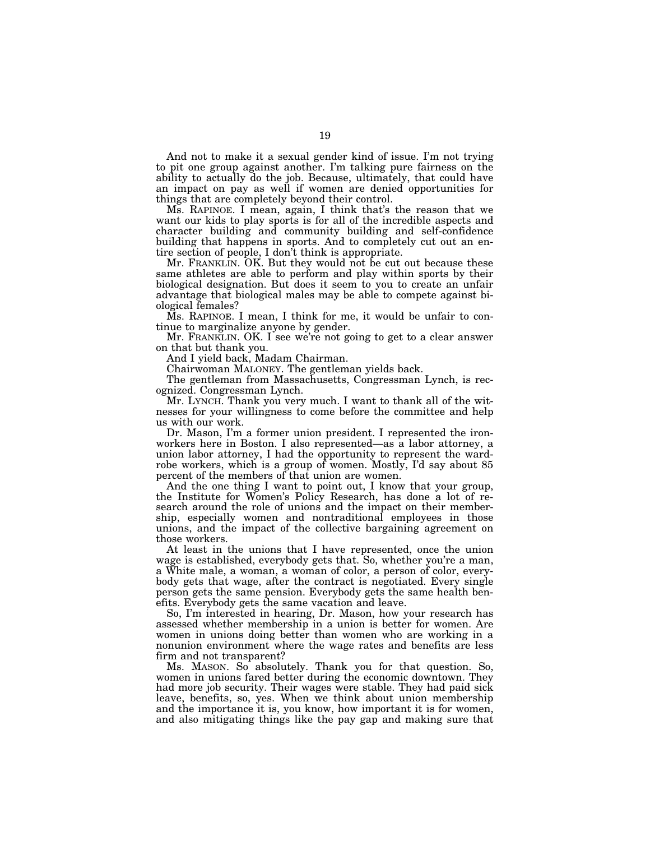And not to make it a sexual gender kind of issue. I'm not trying to pit one group against another. I'm talking pure fairness on the ability to actually do the job. Because, ultimately, that could have an impact on pay as well if women are denied opportunities for things that are completely beyond their control.

Ms. RAPINOE. I mean, again, I think that's the reason that we want our kids to play sports is for all of the incredible aspects and character building and community building and self-confidence building that happens in sports. And to completely cut out an entire section of people, I don't think is appropriate.

Mr. FRANKLIN. OK. But they would not be cut out because these same athletes are able to perform and play within sports by their biological designation. But does it seem to you to create an unfair advantage that biological males may be able to compete against biological females?

Ms. RAPINOE. I mean, I think for me, it would be unfair to continue to marginalize anyone by gender.

Mr. FRANKLIN. OK. I see we're not going to get to a clear answer on that but thank you.

And I yield back, Madam Chairman.

Chairwoman MALONEY. The gentleman yields back.

The gentleman from Massachusetts, Congressman Lynch, is recognized. Congressman Lynch.

Mr. LYNCH. Thank you very much. I want to thank all of the witnesses for your willingness to come before the committee and help us with our work.

Dr. Mason, I'm a former union president. I represented the ironworkers here in Boston. I also represented—as a labor attorney, a union labor attorney, I had the opportunity to represent the wardrobe workers, which is a group of women. Mostly, I'd say about 85 percent of the members of that union are women.

And the one thing I want to point out, I know that your group, the Institute for Women's Policy Research, has done a lot of research around the role of unions and the impact on their membership, especially women and nontraditional employees in those unions, and the impact of the collective bargaining agreement on those workers.

At least in the unions that I have represented, once the union wage is established, everybody gets that. So, whether you're a man, a White male, a woman, a woman of color, a person of color, everybody gets that wage, after the contract is negotiated. Every single person gets the same pension. Everybody gets the same health benefits. Everybody gets the same vacation and leave.

So, I'm interested in hearing, Dr. Mason, how your research has assessed whether membership in a union is better for women. Are women in unions doing better than women who are working in a nonunion environment where the wage rates and benefits are less firm and not transparent?

Ms. MASON. So absolutely. Thank you for that question. So, women in unions fared better during the economic downtown. They had more job security. Their wages were stable. They had paid sick leave, benefits, so, yes. When we think about union membership and the importance it is, you know, how important it is for women, and also mitigating things like the pay gap and making sure that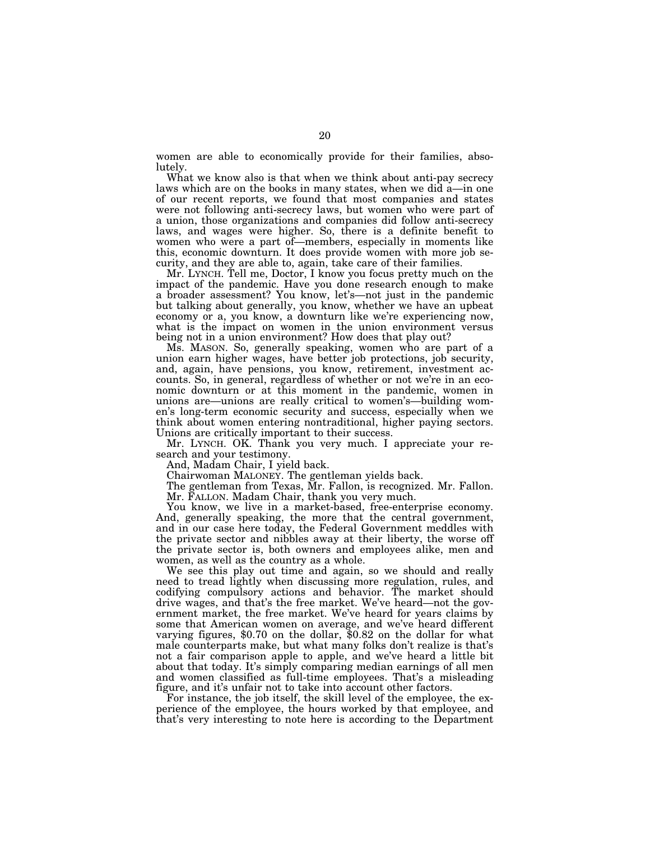women are able to economically provide for their families, absolutely.

What we know also is that when we think about anti-pay secrecy laws which are on the books in many states, when we did a—in one of our recent reports, we found that most companies and states were not following anti-secrecy laws, but women who were part of a union, those organizations and companies did follow anti-secrecy laws, and wages were higher. So, there is a definite benefit to women who were a part of—members, especially in moments like this, economic downturn. It does provide women with more job security, and they are able to, again, take care of their families.

Mr. LYNCH. Tell me, Doctor, I know you focus pretty much on the impact of the pandemic. Have you done research enough to make a broader assessment? You know, let's—not just in the pandemic but talking about generally, you know, whether we have an upbeat economy or a, you know, a downturn like we're experiencing now, what is the impact on women in the union environment versus being not in a union environment? How does that play out?

Ms. MASON. So, generally speaking, women who are part of a union earn higher wages, have better job protections, job security, and, again, have pensions, you know, retirement, investment accounts. So, in general, regardless of whether or not we're in an economic downturn or at this moment in the pandemic, women in unions are—unions are really critical to women's—building women's long-term economic security and success, especially when we think about women entering nontraditional, higher paying sectors. Unions are critically important to their success.

Mr. LYNCH. OK. Thank you very much. I appreciate your research and your testimony.

And, Madam Chair, I yield back.

Chairwoman MALONEY. The gentleman yields back.

The gentleman from Texas, Mr. Fallon, is recognized. Mr. Fallon. Mr. FALLON. Madam Chair, thank you very much.

You know, we live in a market-based, free-enterprise economy. And, generally speaking, the more that the central government, and in our case here today, the Federal Government meddles with the private sector and nibbles away at their liberty, the worse off the private sector is, both owners and employees alike, men and women, as well as the country as a whole.

We see this play out time and again, so we should and really need to tread lightly when discussing more regulation, rules, and codifying compulsory actions and behavior. The market should drive wages, and that's the free market. We've heard—not the government market, the free market. We've heard for years claims by some that American women on average, and we've heard different varying figures, \$0.70 on the dollar, \$0.82 on the dollar for what male counterparts make, but what many folks don't realize is that's not a fair comparison apple to apple, and we've heard a little bit about that today. It's simply comparing median earnings of all men and women classified as full-time employees. That's a misleading figure, and it's unfair not to take into account other factors.

For instance, the job itself, the skill level of the employee, the experience of the employee, the hours worked by that employee, and that's very interesting to note here is according to the Department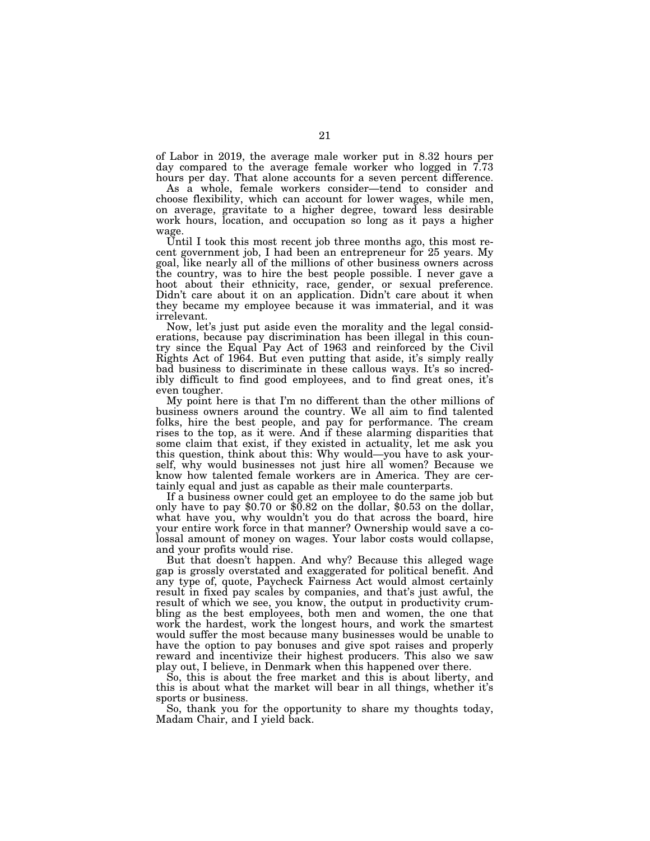of Labor in 2019, the average male worker put in 8.32 hours per day compared to the average female worker who logged in 7.73 hours per day. That alone accounts for a seven percent difference.

As a whole, female workers consider—tend to consider and choose flexibility, which can account for lower wages, while men, on average, gravitate to a higher degree, toward less desirable work hours, location, and occupation so long as it pays a higher wage.

Until I took this most recent job three months ago, this most recent government job, I had been an entrepreneur for 25 years. My goal, like nearly all of the millions of other business owners across the country, was to hire the best people possible. I never gave a hoot about their ethnicity, race, gender, or sexual preference. Didn't care about it on an application. Didn't care about it when they became my employee because it was immaterial, and it was irrelevant.

Now, let's just put aside even the morality and the legal considerations, because pay discrimination has been illegal in this country since the Equal Pay Act of 1963 and reinforced by the Civil Rights Act of 1964. But even putting that aside, it's simply really bad business to discriminate in these callous ways. It's so incredibly difficult to find good employees, and to find great ones, it's even tougher.

My point here is that I'm no different than the other millions of business owners around the country. We all aim to find talented folks, hire the best people, and pay for performance. The cream rises to the top, as it were. And if these alarming disparities that some claim that exist, if they existed in actuality, let me ask you this question, think about this: Why would—you have to ask yourself, why would businesses not just hire all women? Because we know how talented female workers are in America. They are cer-

tainly equal and just as capable as their male counterparts. only have to pay \$0.70 or  $\overline{60.82}$  on the dollar, \$0.53 on the dollar, what have you, why wouldn't you do that across the board, hire your entire work force in that manner? Ownership would save a colossal amount of money on wages. Your labor costs would collapse, and your profits would rise.

But that doesn't happen. And why? Because this alleged wage gap is grossly overstated and exaggerated for political benefit. And any type of, quote, Paycheck Fairness Act would almost certainly result in fixed pay scales by companies, and that's just awful, the result of which we see, you know, the output in productivity crumbling as the best employees, both men and women, the one that work the hardest, work the longest hours, and work the smartest would suffer the most because many businesses would be unable to have the option to pay bonuses and give spot raises and properly reward and incentivize their highest producers. This also we saw play out, I believe, in Denmark when this happened over there.

So, this is about the free market and this is about liberty, and this is about what the market will bear in all things, whether it's sports or business.

So, thank you for the opportunity to share my thoughts today, Madam Chair, and I yield back.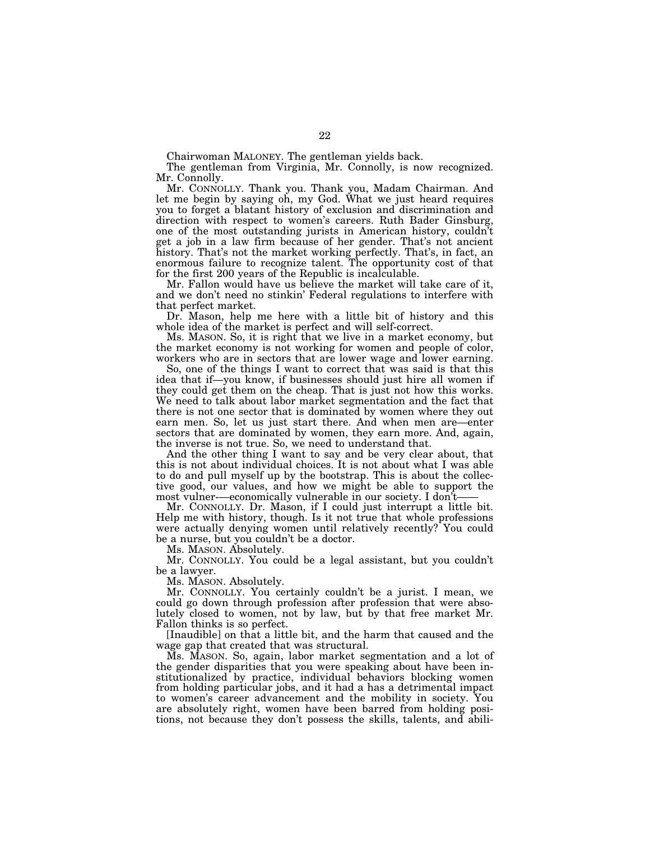Chairwoman MALONEY. The gentleman yields back.

The gentleman from Virginia, Mr. Connolly, is now recognized. Mr. Connolly.

Mr. CONNOLLY. Thank you. Thank you, Madam Chairman. And let me begin by saying oh, my God. What we just heard requires you to forget a blatant history of exclusion and discrimination and direction with respect to women's careers. Ruth Bader Ginsburg, one of the most outstanding jurists in American history, couldn't get a job in a law firm because of her gender. That's not ancient history. That's not the market working perfectly. That's, in fact, an enormous failure to recognize talent. The opportunity cost of that for the first 200 years of the Republic is incalculable.

Mr. Fallon would have us believe the market will take care of it, and we don't need no stinkin' Federal regulations to interfere with that perfect market.

Dr. Mason, help me here with a little bit of history and this whole idea of the market is perfect and will self-correct.

Ms. MASON. So, it is right that we live in a market economy, but the market economy is not working for women and people of color, workers who are in sectors that are lower wage and lower earning.

So, one of the things I want to correct that was said is that this idea that if—you know, if businesses should just hire all women if they could get them on the cheap. That is just not how this works. We need to talk about labor market segmentation and the fact that there is not one sector that is dominated by women where they out earn men. So, let us just start there. And when men are—enter sectors that are dominated by women, they earn more. And, again, the inverse is not true. So, we need to understand that.

And the other thing I want to say and be very clear about, that this is not about individual choices. It is not about what I was able to do and pull myself up by the bootstrap. This is about the collective good, our values, and how we might be able to support the most vulner-—economically vulnerable in our society. I don't-

Mr. CONNOLLY. Dr. Mason, if I could just interrupt a little bit. Help me with history, though. Is it not true that whole professions were actually denying women until relatively recently? You could be a nurse, but you couldn't be a doctor.

Ms. MASON. Absolutely.

Mr. CONNOLLY. You could be a legal assistant, but you couldn't be a lawyer.

Ms. MASON. Absolutely.

Mr. CONNOLLY. You certainly couldn't be a jurist. I mean, we could go down through profession after profession that were absolutely closed to women, not by law, but by that free market Mr. Fallon thinks is so perfect.

[Inaudible] on that a little bit, and the harm that caused and the wage gap that created that was structural.

Ms. MASON. So, again, labor market segmentation and a lot of the gender disparities that you were speaking about have been institutionalized by practice, individual behaviors blocking women from holding particular jobs, and it had a has a detrimental impact to women's career advancement and the mobility in society. You are absolutely right, women have been barred from holding positions, not because they don't possess the skills, talents, and abili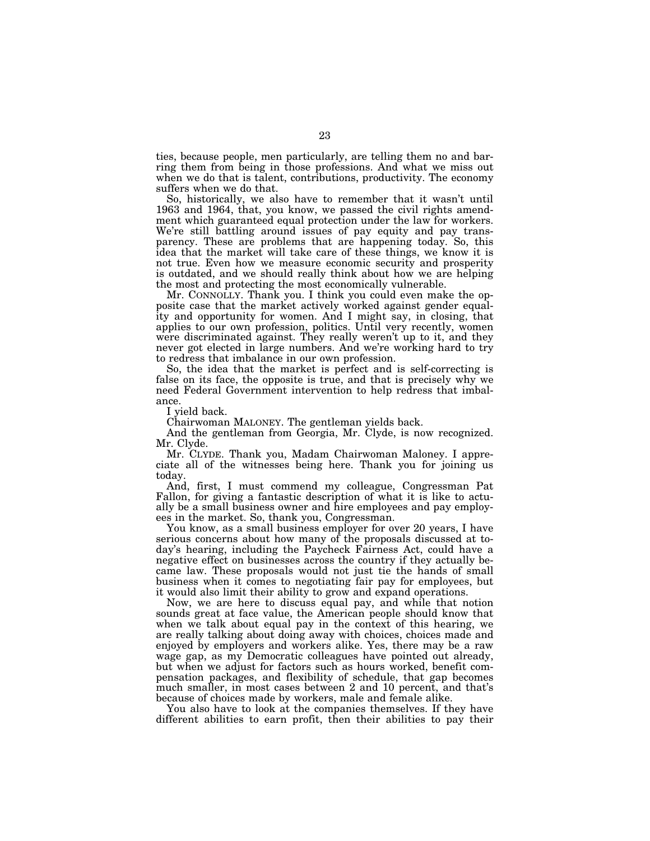ties, because people, men particularly, are telling them no and barring them from being in those professions. And what we miss out when we do that is talent, contributions, productivity. The economy suffers when we do that.

So, historically, we also have to remember that it wasn't until 1963 and 1964, that, you know, we passed the civil rights amendment which guaranteed equal protection under the law for workers. We're still battling around issues of pay equity and pay transparency. These are problems that are happening today. So, this idea that the market will take care of these things, we know it is not true. Even how we measure economic security and prosperity is outdated, and we should really think about how we are helping the most and protecting the most economically vulnerable.

Mr. CONNOLLY. Thank you. I think you could even make the opposite case that the market actively worked against gender equality and opportunity for women. And I might say, in closing, that applies to our own profession, politics. Until very recently, women were discriminated against. They really weren't up to it, and they never got elected in large numbers. And we're working hard to try to redress that imbalance in our own profession.

So, the idea that the market is perfect and is self-correcting is false on its face, the opposite is true, and that is precisely why we need Federal Government intervention to help redress that imbalance.

I yield back.

Chairwoman MALONEY. The gentleman yields back.

And the gentleman from Georgia, Mr. Clyde, is now recognized. Mr. Clyde.

Mr. CLYDE. Thank you, Madam Chairwoman Maloney. I appreciate all of the witnesses being here. Thank you for joining us today.

And, first, I must commend my colleague, Congressman Pat Fallon, for giving a fantastic description of what it is like to actually be a small business owner and hire employees and pay employees in the market. So, thank you, Congressman.

You know, as a small business employer for over 20 years, I have serious concerns about how many of the proposals discussed at today's hearing, including the Paycheck Fairness Act, could have a negative effect on businesses across the country if they actually became law. These proposals would not just tie the hands of small business when it comes to negotiating fair pay for employees, but it would also limit their ability to grow and expand operations.

Now, we are here to discuss equal pay, and while that notion sounds great at face value, the American people should know that when we talk about equal pay in the context of this hearing, we are really talking about doing away with choices, choices made and enjoyed by employers and workers alike. Yes, there may be a raw wage gap, as my Democratic colleagues have pointed out already, but when we adjust for factors such as hours worked, benefit compensation packages, and flexibility of schedule, that gap becomes much smaller, in most cases between 2 and 10 percent, and that's because of choices made by workers, male and female alike.

You also have to look at the companies themselves. If they have different abilities to earn profit, then their abilities to pay their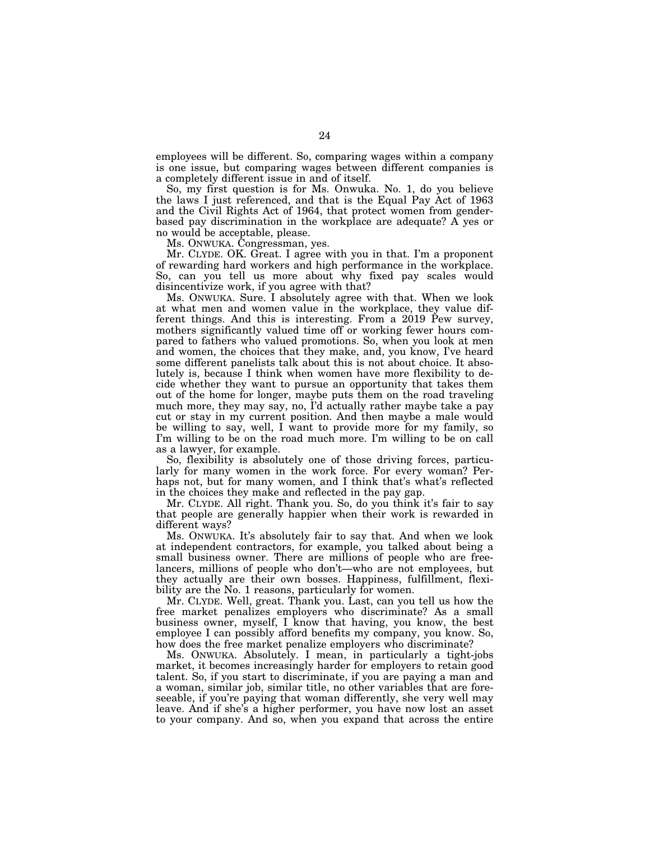employees will be different. So, comparing wages within a company is one issue, but comparing wages between different companies is a completely different issue in and of itself.

So, my first question is for Ms. Onwuka. No. 1, do you believe the laws I just referenced, and that is the Equal Pay Act of 1963 and the Civil Rights Act of 1964, that protect women from genderbased pay discrimination in the workplace are adequate? A yes or no would be acceptable, please.

Ms. ONWUKA. Congressman, yes.

Mr. CLYDE. OK. Great. I agree with you in that. I'm a proponent of rewarding hard workers and high performance in the workplace. So, can you tell us more about why fixed pay scales would disincentivize work, if you agree with that?

Ms. ONWUKA. Sure. I absolutely agree with that. When we look at what men and women value in the workplace, they value different things. And this is interesting. From a 2019 Pew survey, mothers significantly valued time off or working fewer hours compared to fathers who valued promotions. So, when you look at men and women, the choices that they make, and, you know, I've heard some different panelists talk about this is not about choice. It absolutely is, because I think when women have more flexibility to decide whether they want to pursue an opportunity that takes them out of the home for longer, maybe puts them on the road traveling much more, they may say, no, I'd actually rather maybe take a pay cut or stay in my current position. And then maybe a male would be willing to say, well, I want to provide more for my family, so I'm willing to be on the road much more. I'm willing to be on call as a lawyer, for example.

So, flexibility is absolutely one of those driving forces, particularly for many women in the work force. For every woman? Perhaps not, but for many women, and I think that's what's reflected in the choices they make and reflected in the pay gap.

Mr. CLYDE. All right. Thank you. So, do you think it's fair to say that people are generally happier when their work is rewarded in different ways?

Ms. ONWUKA. It's absolutely fair to say that. And when we look at independent contractors, for example, you talked about being a small business owner. There are millions of people who are freelancers, millions of people who don't—who are not employees, but they actually are their own bosses. Happiness, fulfillment, flexibility are the No. 1 reasons, particularly for women.

Mr. CLYDE. Well, great. Thank you. Last, can you tell us how the free market penalizes employers who discriminate? As a small business owner, myself, I know that having, you know, the best employee I can possibly afford benefits my company, you know. So, how does the free market penalize employers who discriminate?

Ms. ONWUKA. Absolutely. I mean, in particularly a tight-jobs market, it becomes increasingly harder for employers to retain good talent. So, if you start to discriminate, if you are paying a man and a woman, similar job, similar title, no other variables that are foreseeable, if you're paying that woman differently, she very well may leave. And if she's a higher performer, you have now lost an asset to your company. And so, when you expand that across the entire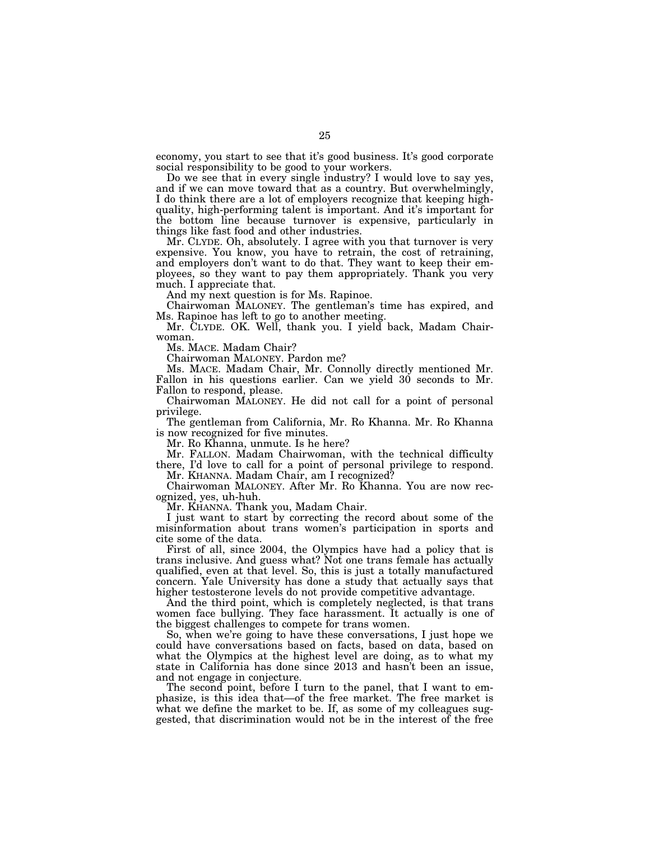economy, you start to see that it's good business. It's good corporate social responsibility to be good to your workers.

Do we see that in every single industry? I would love to say yes, and if we can move toward that as a country. But overwhelmingly, I do think there are a lot of employers recognize that keeping highquality, high-performing talent is important. And it's important for the bottom line because turnover is expensive, particularly in things like fast food and other industries.

Mr. CLYDE. Oh, absolutely. I agree with you that turnover is very expensive. You know, you have to retrain, the cost of retraining, and employers don't want to do that. They want to keep their employees, so they want to pay them appropriately. Thank you very much. I appreciate that.

And my next question is for Ms. Rapinoe.

Chairwoman MALONEY. The gentleman's time has expired, and Ms. Rapinoe has left to go to another meeting.

Mr. CLYDE. OK. Well, thank you. I yield back, Madam Chairwoman.

Ms. MACE. Madam Chair?

Chairwoman MALONEY. Pardon me?

Ms. MACE. Madam Chair, Mr. Connolly directly mentioned Mr. Fallon in his questions earlier. Can we yield 30 seconds to Mr. Fallon to respond, please.

Chairwoman MALONEY. He did not call for a point of personal privilege.

The gentleman from California, Mr. Ro Khanna. Mr. Ro Khanna is now recognized for five minutes.

Mr. Ro Khanna, unmute. Is he here?

Mr. FALLON. Madam Chairwoman, with the technical difficulty there, I'd love to call for a point of personal privilege to respond.

Mr. KHANNA. Madam Chair, am I recognized?

Chairwoman MALONEY. After Mr. Ro Khanna. You are now recognized, yes, uh-huh.

Mr. KHANNA. Thank you, Madam Chair.

I just want to start by correcting the record about some of the misinformation about trans women's participation in sports and cite some of the data.

First of all, since 2004, the Olympics have had a policy that is trans inclusive. And guess what? Not one trans female has actually qualified, even at that level. So, this is just a totally manufactured concern. Yale University has done a study that actually says that higher testosterone levels do not provide competitive advantage.

And the third point, which is completely neglected, is that trans women face bullying. They face harassment. It actually is one of the biggest challenges to compete for trans women.

So, when we're going to have these conversations, I just hope we could have conversations based on facts, based on data, based on what the Olympics at the highest level are doing, as to what my state in California has done since 2013 and hasn't been an issue, and not engage in conjecture.

The second point, before I turn to the panel, that I want to emphasize, is this idea that—of the free market. The free market is what we define the market to be. If, as some of my colleagues suggested, that discrimination would not be in the interest of the free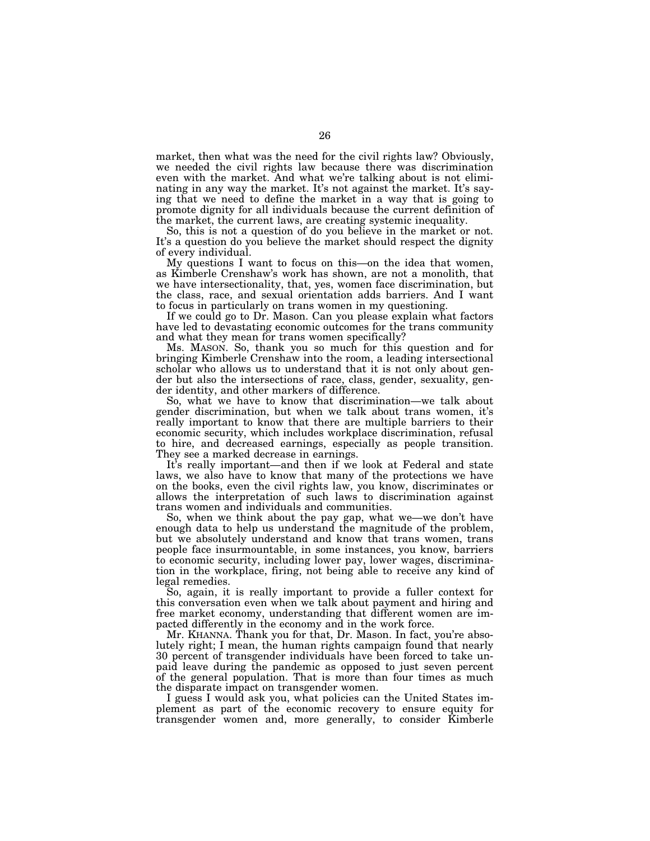market, then what was the need for the civil rights law? Obviously, we needed the civil rights law because there was discrimination even with the market. And what we're talking about is not eliminating in any way the market. It's not against the market. It's saying that we need to define the market in a way that is going to promote dignity for all individuals because the current definition of the market, the current laws, are creating systemic inequality.

So, this is not a question of do you believe in the market or not. It's a question do you believe the market should respect the dignity of every individual.

My questions I want to focus on this—on the idea that women, as Kimberle Crenshaw's work has shown, are not a monolith, that we have intersectionality, that, yes, women face discrimination, but the class, race, and sexual orientation adds barriers. And I want to focus in particularly on trans women in my questioning.

If we could go to Dr. Mason. Can you please explain what factors have led to devastating economic outcomes for the trans community and what they mean for trans women specifically?

Ms. MASON. So, thank you so much for this question and for bringing Kimberle Crenshaw into the room, a leading intersectional scholar who allows us to understand that it is not only about gender but also the intersections of race, class, gender, sexuality, gender identity, and other markers of difference.

So, what we have to know that discrimination—we talk about gender discrimination, but when we talk about trans women, it's really important to know that there are multiple barriers to their economic security, which includes workplace discrimination, refusal to hire, and decreased earnings, especially as people transition. They see a marked decrease in earnings.

It's really important—and then if we look at Federal and state laws, we also have to know that many of the protections we have on the books, even the civil rights law, you know, discriminates or allows the interpretation of such laws to discrimination against trans women and individuals and communities.

So, when we think about the pay gap, what we—we don't have enough data to help us understand the magnitude of the problem, but we absolutely understand and know that trans women, trans people face insurmountable, in some instances, you know, barriers to economic security, including lower pay, lower wages, discrimination in the workplace, firing, not being able to receive any kind of legal remedies.

So, again, it is really important to provide a fuller context for this conversation even when we talk about payment and hiring and free market economy, understanding that different women are impacted differently in the economy and in the work force.

Mr. KHANNA. Thank you for that, Dr. Mason. In fact, you're absolutely right; I mean, the human rights campaign found that nearly 30 percent of transgender individuals have been forced to take unpaid leave during the pandemic as opposed to just seven percent of the general population. That is more than four times as much the disparate impact on transgender women.

I guess I would ask you, what policies can the United States implement as part of the economic recovery to ensure equity for transgender women and, more generally, to consider Kimberle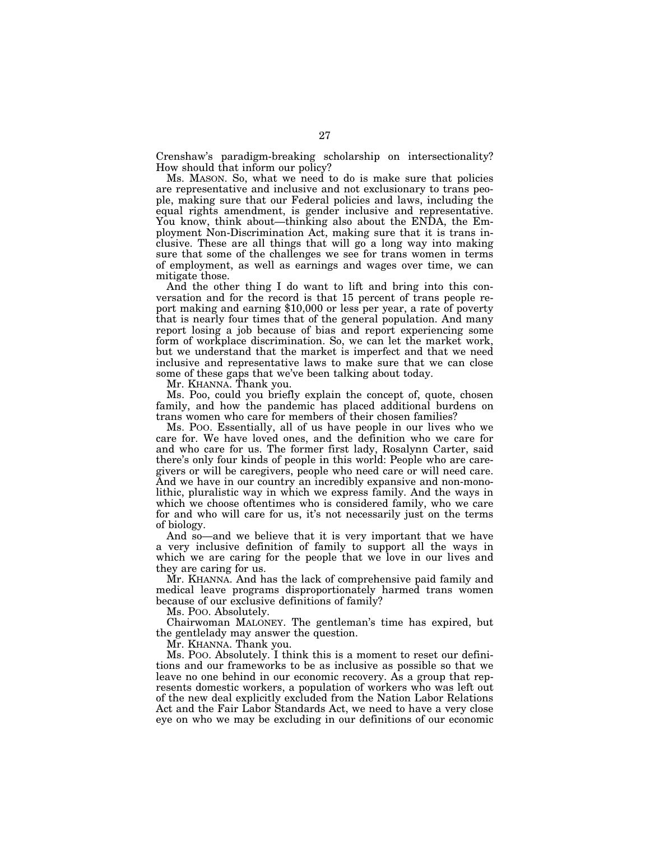Crenshaw's paradigm-breaking scholarship on intersectionality? How should that inform our policy?

Ms. MASON. So, what we need to do is make sure that policies are representative and inclusive and not exclusionary to trans people, making sure that our Federal policies and laws, including the equal rights amendment, is gender inclusive and representative. You know, think about—thinking also about the ENDA, the Employment Non-Discrimination Act, making sure that it is trans inclusive. These are all things that will go a long way into making sure that some of the challenges we see for trans women in terms of employment, as well as earnings and wages over time, we can mitigate those.

And the other thing I do want to lift and bring into this conversation and for the record is that 15 percent of trans people report making and earning \$10,000 or less per year, a rate of poverty that is nearly four times that of the general population. And many report losing a job because of bias and report experiencing some form of workplace discrimination. So, we can let the market work, but we understand that the market is imperfect and that we need inclusive and representative laws to make sure that we can close some of these gaps that we've been talking about today.

Mr. KHANNA. Thank you.

Ms. Poo, could you briefly explain the concept of, quote, chosen family, and how the pandemic has placed additional burdens on trans women who care for members of their chosen families?

Ms. POO. Essentially, all of us have people in our lives who we care for. We have loved ones, and the definition who we care for and who care for us. The former first lady, Rosalynn Carter, said there's only four kinds of people in this world: People who are caregivers or will be caregivers, people who need care or will need care. And we have in our country an incredibly expansive and non-monolithic, pluralistic way in which we express family. And the ways in which we choose oftentimes who is considered family, who we care for and who will care for us, it's not necessarily just on the terms of biology.

And so—and we believe that it is very important that we have a very inclusive definition of family to support all the ways in which we are caring for the people that we love in our lives and they are caring for us.

Mr. KHANNA. And has the lack of comprehensive paid family and medical leave programs disproportionately harmed trans women because of our exclusive definitions of family?

Ms. POO. Absolutely.

Chairwoman MALONEY. The gentleman's time has expired, but the gentlelady may answer the question.

Mr. KHANNA. Thank you.

Ms. POO. Absolutely. I think this is a moment to reset our definitions and our frameworks to be as inclusive as possible so that we leave no one behind in our economic recovery. As a group that represents domestic workers, a population of workers who was left out of the new deal explicitly excluded from the Nation Labor Relations Act and the Fair Labor Standards Act, we need to have a very close eye on who we may be excluding in our definitions of our economic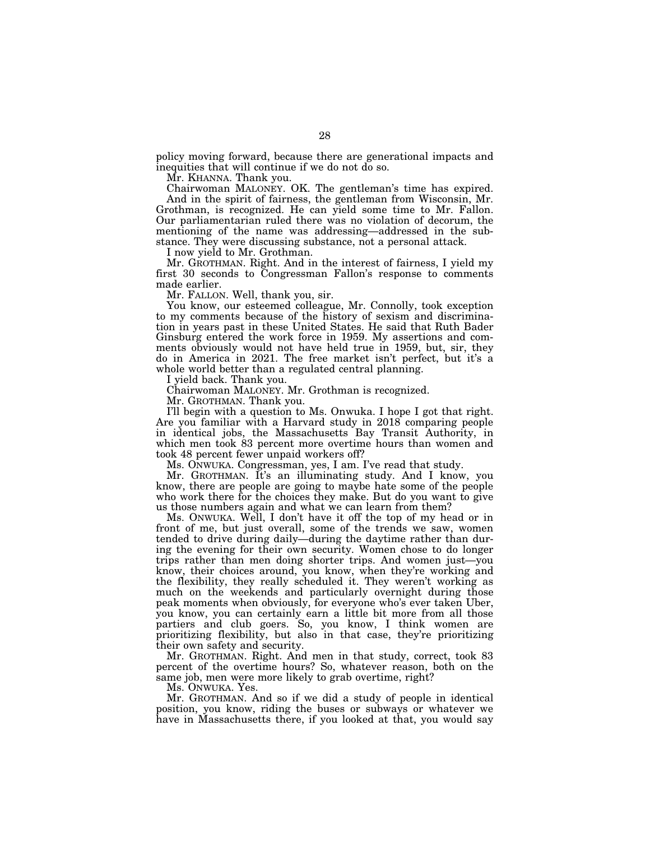policy moving forward, because there are generational impacts and inequities that will continue if we do not do so.

Mr. KHANNA. Thank you.

Chairwoman MALONEY. OK. The gentleman's time has expired. And in the spirit of fairness, the gentleman from Wisconsin, Mr. Grothman, is recognized. He can yield some time to Mr. Fallon. Our parliamentarian ruled there was no violation of decorum, the mentioning of the name was addressing—addressed in the substance. They were discussing substance, not a personal attack.

I now yield to Mr. Grothman.

Mr. GROTHMAN. Right. And in the interest of fairness, I yield my first 30 seconds to Congressman Fallon's response to comments made earlier.

Mr. FALLON. Well, thank you, sir.

You know, our esteemed colleague, Mr. Connolly, took exception to my comments because of the history of sexism and discrimination in years past in these United States. He said that Ruth Bader Ginsburg entered the work force in 1959. My assertions and comments obviously would not have held true in 1959, but, sir, they do in America in 2021. The free market isn't perfect, but it's a whole world better than a regulated central planning.

I yield back. Thank you.

Chairwoman MALONEY. Mr. Grothman is recognized.

Mr. GROTHMAN. Thank you.

I'll begin with a question to Ms. Onwuka. I hope I got that right. Are you familiar with a Harvard study in 2018 comparing people in identical jobs, the Massachusetts Bay Transit Authority, in which men took 83 percent more overtime hours than women and took 48 percent fewer unpaid workers off?

Ms. ONWUKA. Congressman, yes, I am. I've read that study.

Mr. GROTHMAN. It's an illuminating study. And I know, you know, there are people are going to maybe hate some of the people who work there for the choices they make. But do you want to give us those numbers again and what we can learn from them?

Ms. ONWUKA. Well, I don't have it off the top of my head or in front of me, but just overall, some of the trends we saw, women tended to drive during daily—during the daytime rather than during the evening for their own security. Women chose to do longer trips rather than men doing shorter trips. And women just—you know, their choices around, you know, when they're working and the flexibility, they really scheduled it. They weren't working as much on the weekends and particularly overnight during those peak moments when obviously, for everyone who's ever taken Uber, you know, you can certainly earn a little bit more from all those partiers and club goers. So, you know, I think women are prioritizing flexibility, but also in that case, they're prioritizing their own safety and security.

Mr. GROTHMAN. Right. And men in that study, correct, took 83 percent of the overtime hours? So, whatever reason, both on the same job, men were more likely to grab overtime, right?

Ms. ONWUKA. Yes.

Mr. GROTHMAN. And so if we did a study of people in identical position, you know, riding the buses or subways or whatever we have in Massachusetts there, if you looked at that, you would say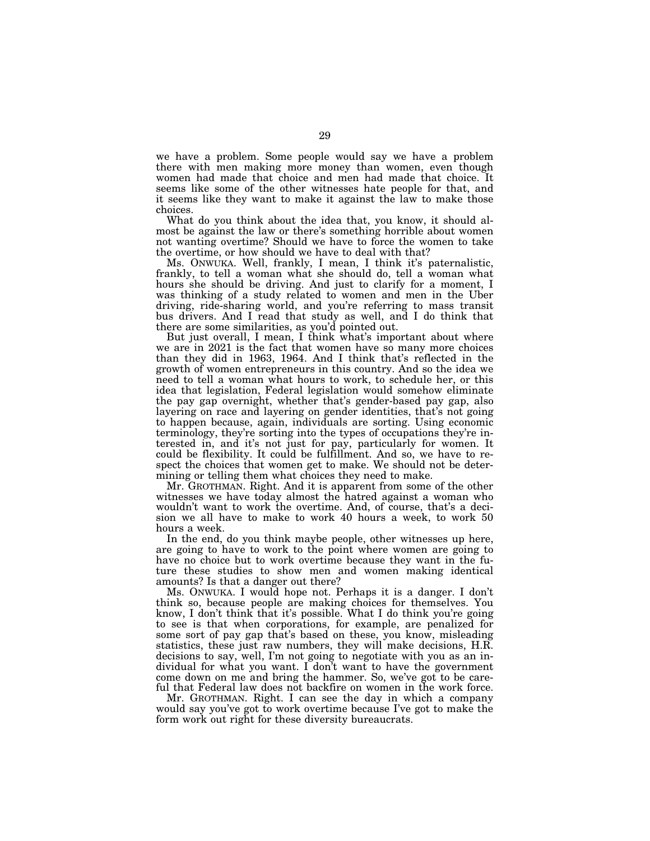we have a problem. Some people would say we have a problem there with men making more money than women, even though women had made that choice and men had made that choice. It seems like some of the other witnesses hate people for that, and it seems like they want to make it against the law to make those choices.

What do you think about the idea that, you know, it should almost be against the law or there's something horrible about women not wanting overtime? Should we have to force the women to take the overtime, or how should we have to deal with that?

Ms. ONWUKA. Well, frankly, I mean, I think it's paternalistic, frankly, to tell a woman what she should do, tell a woman what hours she should be driving. And just to clarify for a moment, I was thinking of a study related to women and men in the Uber driving, ride-sharing world, and you're referring to mass transit bus drivers. And I read that study as well, and I do think that there are some similarities, as you'd pointed out.

But just overall, I mean, I think what's important about where we are in 2021 is the fact that women have so many more choices than they did in 1963, 1964. And I think that's reflected in the growth of women entrepreneurs in this country. And so the idea we need to tell a woman what hours to work, to schedule her, or this idea that legislation, Federal legislation would somehow eliminate the pay gap overnight, whether that's gender-based pay gap, also layering on race and layering on gender identities, that's not going to happen because, again, individuals are sorting. Using economic terminology, they're sorting into the types of occupations they're interested in, and it's not just for pay, particularly for women. It could be flexibility. It could be fulfillment. And so, we have to respect the choices that women get to make. We should not be determining or telling them what choices they need to make.

Mr. GROTHMAN. Right. And it is apparent from some of the other witnesses we have today almost the hatred against a woman who wouldn't want to work the overtime. And, of course, that's a decision we all have to make to work 40 hours a week, to work 50 hours a week.

In the end, do you think maybe people, other witnesses up here, are going to have to work to the point where women are going to have no choice but to work overtime because they want in the future these studies to show men and women making identical amounts? Is that a danger out there?

Ms. ONWUKA. I would hope not. Perhaps it is a danger. I don't think so, because people are making choices for themselves. You know, I don't think that it's possible. What I do think you're going to see is that when corporations, for example, are penalized for some sort of pay gap that's based on these, you know, misleading statistics, these just raw numbers, they will make decisions, H.R. decisions to say, well, I'm not going to negotiate with you as an individual for what you want. I don't want to have the government come down on me and bring the hammer. So, we've got to be careful that Federal law does not backfire on women in the work force.

Mr. GROTHMAN. Right. I can see the day in which a company would say you've got to work overtime because I've got to make the form work out right for these diversity bureaucrats.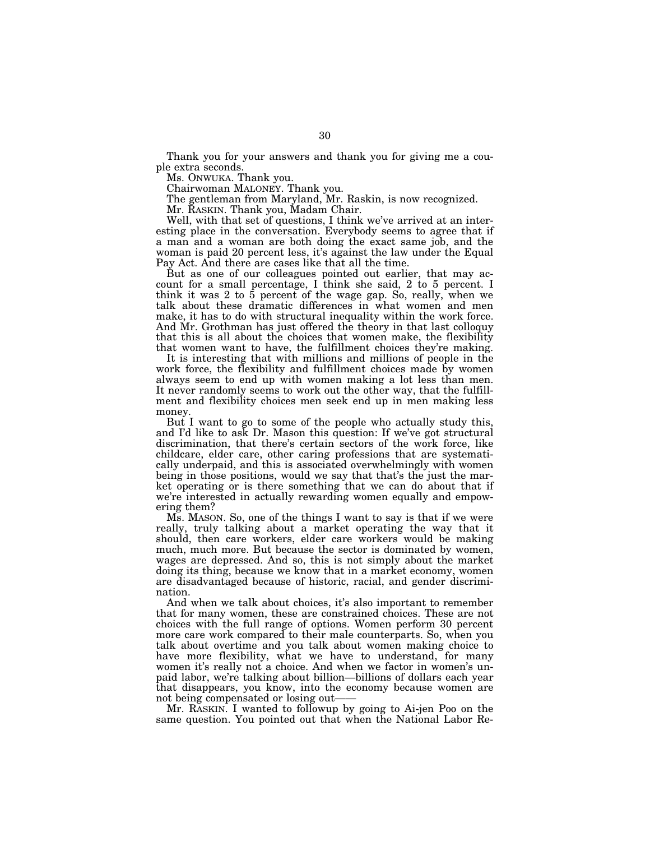Thank you for your answers and thank you for giving me a couple extra seconds.

Ms. ONWUKA. Thank you.

Chairwoman MALONEY. Thank you.

The gentleman from Maryland, Mr. Raskin, is now recognized.

Mr. RASKIN. Thank you, Madam Chair.

Well, with that set of questions, I think we've arrived at an interesting place in the conversation. Everybody seems to agree that if a man and a woman are both doing the exact same job, and the woman is paid 20 percent less, it's against the law under the Equal Pay Act. And there are cases like that all the time.

But as one of our colleagues pointed out earlier, that may account for a small percentage, I think she said, 2 to 5 percent. I think it was 2 to  $5$  percent of the wage gap. So, really, when we talk about these dramatic differences in what women and men make, it has to do with structural inequality within the work force. And Mr. Grothman has just offered the theory in that last colloquy that this is all about the choices that women make, the flexibility that women want to have, the fulfillment choices they're making.

It is interesting that with millions and millions of people in the work force, the flexibility and fulfillment choices made by women always seem to end up with women making a lot less than men. It never randomly seems to work out the other way, that the fulfillment and flexibility choices men seek end up in men making less money.

But I want to go to some of the people who actually study this, and I'd like to ask Dr. Mason this question: If we've got structural discrimination, that there's certain sectors of the work force, like childcare, elder care, other caring professions that are systematically underpaid, and this is associated overwhelmingly with women being in those positions, would we say that that's the just the market operating or is there something that we can do about that if we're interested in actually rewarding women equally and empowering them?

Ms. MASON. So, one of the things I want to say is that if we were really, truly talking about a market operating the way that it should, then care workers, elder care workers would be making much, much more. But because the sector is dominated by women, wages are depressed. And so, this is not simply about the market doing its thing, because we know that in a market economy, women are disadvantaged because of historic, racial, and gender discrimination.

And when we talk about choices, it's also important to remember that for many women, these are constrained choices. These are not choices with the full range of options. Women perform 30 percent more care work compared to their male counterparts. So, when you talk about overtime and you talk about women making choice to have more flexibility, what we have to understand, for many women it's really not a choice. And when we factor in women's unpaid labor, we're talking about billion—billions of dollars each year that disappears, you know, into the economy because women are not being compensated or losing out-

Mr. RASKIN. I wanted to followup by going to Ai-jen Poo on the same question. You pointed out that when the National Labor Re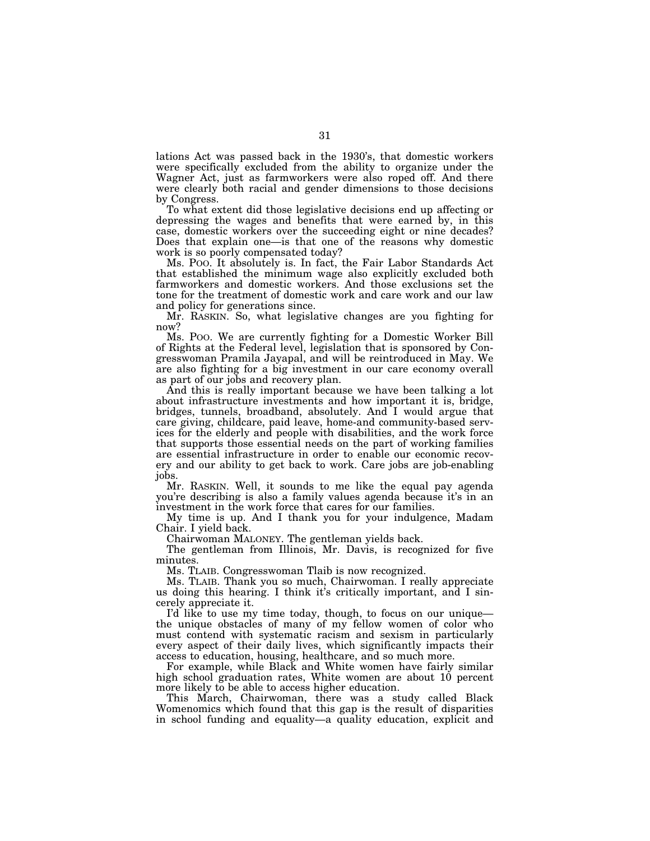lations Act was passed back in the 1930's, that domestic workers were specifically excluded from the ability to organize under the Wagner Act, just as farmworkers were also roped off. And there were clearly both racial and gender dimensions to those decisions by Congress.

To what extent did those legislative decisions end up affecting or depressing the wages and benefits that were earned by, in this case, domestic workers over the succeeding eight or nine decades? Does that explain one—is that one of the reasons why domestic work is so poorly compensated today?

Ms. POO. It absolutely is. In fact, the Fair Labor Standards Act that established the minimum wage also explicitly excluded both farmworkers and domestic workers. And those exclusions set the tone for the treatment of domestic work and care work and our law and policy for generations since.

Mr. RASKIN. So, what legislative changes are you fighting for now?

Ms. POO. We are currently fighting for a Domestic Worker Bill of Rights at the Federal level, legislation that is sponsored by Congresswoman Pramila Jayapal, and will be reintroduced in May. We are also fighting for a big investment in our care economy overall as part of our jobs and recovery plan.

And this is really important because we have been talking a lot about infrastructure investments and how important it is, bridge, bridges, tunnels, broadband, absolutely. And I would argue that care giving, childcare, paid leave, home-and community-based services for the elderly and people with disabilities, and the work force that supports those essential needs on the part of working families are essential infrastructure in order to enable our economic recovery and our ability to get back to work. Care jobs are job-enabling jobs.

Mr. RASKIN. Well, it sounds to me like the equal pay agenda you're describing is also a family values agenda because it's in an investment in the work force that cares for our families.

My time is up. And I thank you for your indulgence, Madam Chair. I yield back.

Chairwoman MALONEY. The gentleman yields back.

The gentleman from Illinois, Mr. Davis, is recognized for five minutes.

Ms. TLAIB. Congresswoman Tlaib is now recognized.

Ms. TLAIB. Thank you so much, Chairwoman. I really appreciate us doing this hearing. I think it's critically important, and I sincerely appreciate it.

I'd like to use my time today, though, to focus on our unique the unique obstacles of many of my fellow women of color who must contend with systematic racism and sexism in particularly every aspect of their daily lives, which significantly impacts their access to education, housing, healthcare, and so much more.

For example, while Black and White women have fairly similar high school graduation rates, White women are about 10 percent more likely to be able to access higher education.

This March, Chairwoman, there was a study called Black Womenomics which found that this gap is the result of disparities in school funding and equality—a quality education, explicit and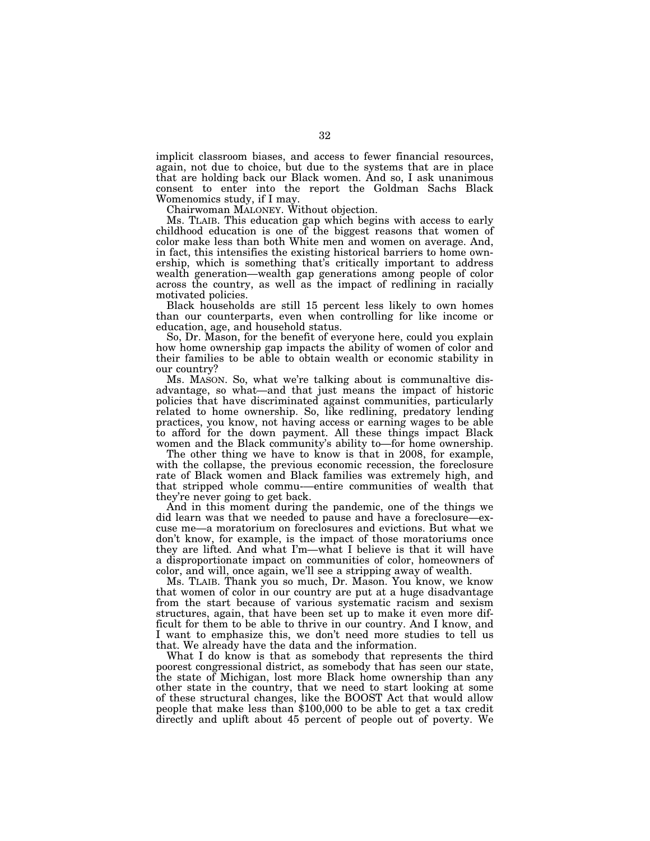implicit classroom biases, and access to fewer financial resources, again, not due to choice, but due to the systems that are in place that are holding back our Black women. And so, I ask unanimous consent to enter into the report the Goldman Sachs Black Womenomics study, if I may.

Chairwoman MALONEY. Without objection.

Ms. TLAIB. This education gap which begins with access to early childhood education is one of the biggest reasons that women of color make less than both White men and women on average. And, in fact, this intensifies the existing historical barriers to home ownership, which is something that's critically important to address wealth generation—wealth gap generations among people of color across the country, as well as the impact of redlining in racially motivated policies.

Black households are still 15 percent less likely to own homes than our counterparts, even when controlling for like income or education, age, and household status.

So, Dr. Mason, for the benefit of everyone here, could you explain how home ownership gap impacts the ability of women of color and their families to be able to obtain wealth or economic stability in our country?

Ms. MASON. So, what we're talking about is communaltive disadvantage, so what—and that just means the impact of historic policies that have discriminated against communities, particularly related to home ownership. So, like redlining, predatory lending practices, you know, not having access or earning wages to be able to afford for the down payment. All these things impact Black women and the Black community's ability to—for home ownership.

The other thing we have to know is that in 2008, for example, with the collapse, the previous economic recession, the foreclosure rate of Black women and Black families was extremely high, and that stripped whole commu-—entire communities of wealth that they're never going to get back.

And in this moment during the pandemic, one of the things we did learn was that we needed to pause and have a foreclosure—excuse me—a moratorium on foreclosures and evictions. But what we don't know, for example, is the impact of those moratoriums once they are lifted. And what I'm—what I believe is that it will have a disproportionate impact on communities of color, homeowners of color, and will, once again, we'll see a stripping away of wealth.

Ms. TLAIB. Thank you so much, Dr. Mason. You know, we know that women of color in our country are put at a huge disadvantage from the start because of various systematic racism and sexism structures, again, that have been set up to make it even more difficult for them to be able to thrive in our country. And I know, and I want to emphasize this, we don't need more studies to tell us that. We already have the data and the information.

What I do know is that as somebody that represents the third poorest congressional district, as somebody that has seen our state, the state of Michigan, lost more Black home ownership than any other state in the country, that we need to start looking at some of these structural changes, like the BOOST Act that would allow people that make less than \$100,000 to be able to get a tax credit directly and uplift about 45 percent of people out of poverty. We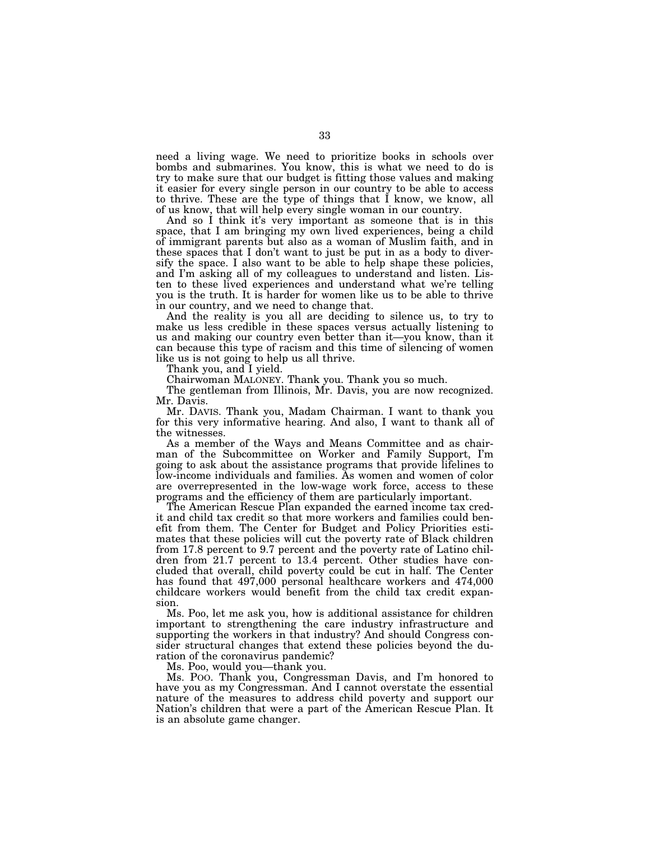need a living wage. We need to prioritize books in schools over bombs and submarines. You know, this is what we need to do is try to make sure that our budget is fitting those values and making it easier for every single person in our country to be able to access to thrive. These are the type of things that I know, we know, all of us know, that will help every single woman in our country.

And so I think it's very important as someone that is in this space, that I am bringing my own lived experiences, being a child of immigrant parents but also as a woman of Muslim faith, and in these spaces that I don't want to just be put in as a body to diversify the space. I also want to be able to help shape these policies, and I'm asking all of my colleagues to understand and listen. Listen to these lived experiences and understand what we're telling you is the truth. It is harder for women like us to be able to thrive in our country, and we need to change that.

And the reality is you all are deciding to silence us, to try to make us less credible in these spaces versus actually listening to us and making our country even better than it—you know, than it can because this type of racism and this time of silencing of women like us is not going to help us all thrive.

Thank you, and I yield.

Chairwoman MALONEY. Thank you. Thank you so much.

The gentleman from Illinois, Mr. Davis, you are now recognized. Mr. Davis.

Mr. DAVIS. Thank you, Madam Chairman. I want to thank you for this very informative hearing. And also, I want to thank all of the witnesses.

As a member of the Ways and Means Committee and as chairman of the Subcommittee on Worker and Family Support, I'm going to ask about the assistance programs that provide lifelines to low-income individuals and families. As women and women of color are overrepresented in the low-wage work force, access to these programs and the efficiency of them are particularly important.

The American Rescue Plan expanded the earned income tax credit and child tax credit so that more workers and families could benefit from them. The Center for Budget and Policy Priorities estimates that these policies will cut the poverty rate of Black children from 17.8 percent to 9.7 percent and the poverty rate of Latino children from 21.7 percent to 13.4 percent. Other studies have concluded that overall, child poverty could be cut in half. The Center has found that 497,000 personal healthcare workers and 474,000 childcare workers would benefit from the child tax credit expansion.

Ms. Poo, let me ask you, how is additional assistance for children important to strengthening the care industry infrastructure and supporting the workers in that industry? And should Congress consider structural changes that extend these policies beyond the duration of the coronavirus pandemic?

Ms. Poo, would you—thank you.

Ms. POO. Thank you, Congressman Davis, and I'm honored to have you as my Congressman. And I cannot overstate the essential nature of the measures to address child poverty and support our Nation's children that were a part of the American Rescue Plan. It is an absolute game changer.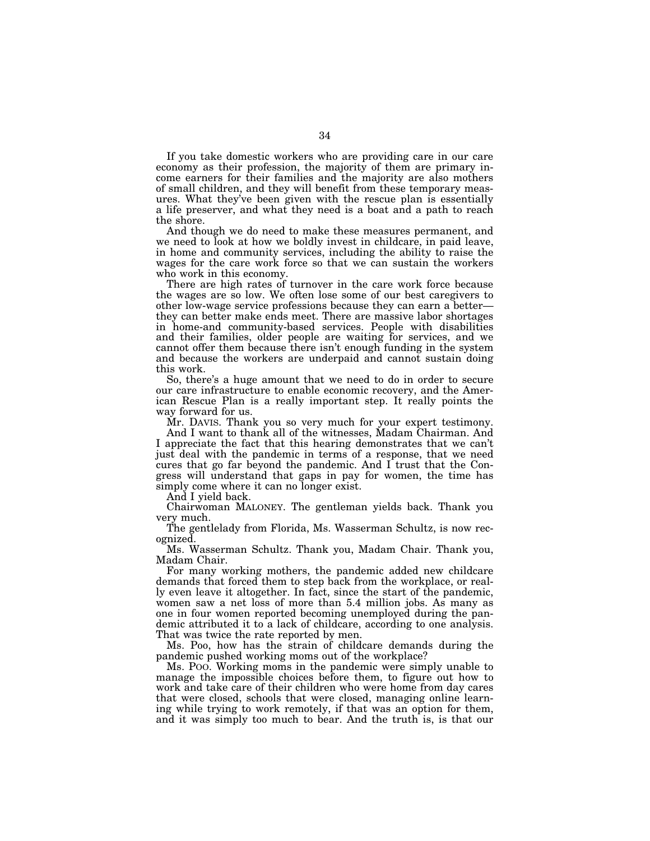If you take domestic workers who are providing care in our care economy as their profession, the majority of them are primary income earners for their families and the majority are also mothers of small children, and they will benefit from these temporary measures. What they've been given with the rescue plan is essentially a life preserver, and what they need is a boat and a path to reach the shore.

And though we do need to make these measures permanent, and we need to look at how we boldly invest in childcare, in paid leave, in home and community services, including the ability to raise the wages for the care work force so that we can sustain the workers who work in this economy.

There are high rates of turnover in the care work force because the wages are so low. We often lose some of our best caregivers to other low-wage service professions because they can earn a better they can better make ends meet. There are massive labor shortages in home-and community-based services. People with disabilities and their families, older people are waiting for services, and we cannot offer them because there isn't enough funding in the system and because the workers are underpaid and cannot sustain doing this work.

So, there's a huge amount that we need to do in order to secure our care infrastructure to enable economic recovery, and the American Rescue Plan is a really important step. It really points the way forward for us.

Mr. DAVIS. Thank you so very much for your expert testimony.

And I want to thank all of the witnesses, Madam Chairman. And I appreciate the fact that this hearing demonstrates that we can't just deal with the pandemic in terms of a response, that we need cures that go far beyond the pandemic. And I trust that the Congress will understand that gaps in pay for women, the time has simply come where it can no longer exist.

And I yield back.

Chairwoman MALONEY. The gentleman yields back. Thank you very much.

The gentlelady from Florida, Ms. Wasserman Schultz, is now recognized.

Ms. Wasserman Schultz. Thank you, Madam Chair. Thank you, Madam Chair.

For many working mothers, the pandemic added new childcare demands that forced them to step back from the workplace, or really even leave it altogether. In fact, since the start of the pandemic, women saw a net loss of more than 5.4 million jobs. As many as one in four women reported becoming unemployed during the pandemic attributed it to a lack of childcare, according to one analysis. That was twice the rate reported by men.

Ms. Poo, how has the strain of childcare demands during the pandemic pushed working moms out of the workplace?

Ms. POO. Working moms in the pandemic were simply unable to manage the impossible choices before them, to figure out how to work and take care of their children who were home from day cares that were closed, schools that were closed, managing online learning while trying to work remotely, if that was an option for them, and it was simply too much to bear. And the truth is, is that our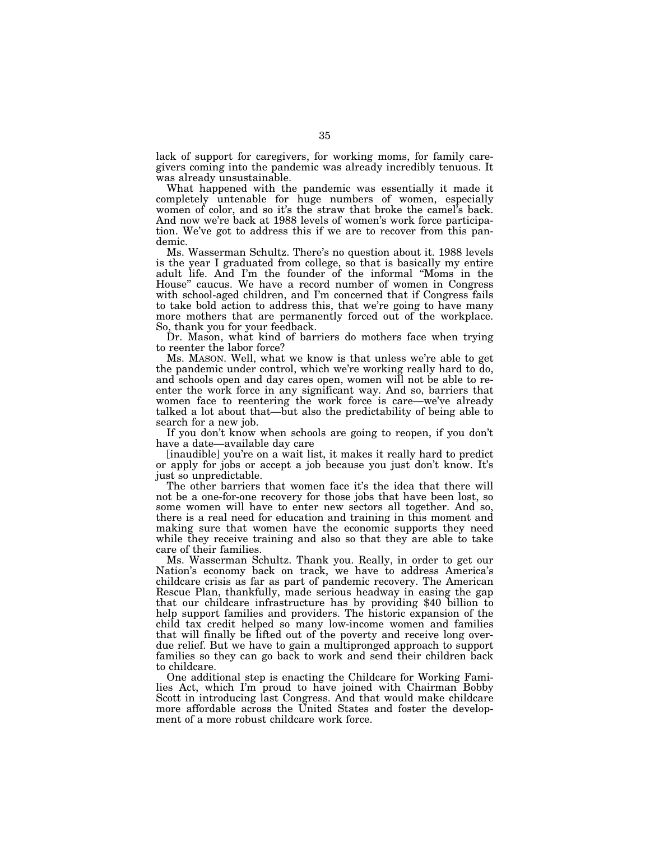lack of support for caregivers, for working moms, for family caregivers coming into the pandemic was already incredibly tenuous. It was already unsustainable.

What happened with the pandemic was essentially it made it completely untenable for huge numbers of women, especially women of color, and so it's the straw that broke the camel's back. And now we're back at 1988 levels of women's work force participation. We've got to address this if we are to recover from this pandemic.

Ms. Wasserman Schultz. There's no question about it. 1988 levels is the year I graduated from college, so that is basically my entire adult life. And I'm the founder of the informal ''Moms in the House'' caucus. We have a record number of women in Congress with school-aged children, and I'm concerned that if Congress fails to take bold action to address this, that we're going to have many more mothers that are permanently forced out of the workplace. So, thank you for your feedback.

Dr. Mason, what kind of barriers do mothers face when trying to reenter the labor force?

Ms. MASON. Well, what we know is that unless we're able to get the pandemic under control, which we're working really hard to do, and schools open and day cares open, women will not be able to reenter the work force in any significant way. And so, barriers that women face to reentering the work force is care—we've already talked a lot about that—but also the predictability of being able to search for a new job.

If you don't know when schools are going to reopen, if you don't have a date—available day care

[inaudible] you're on a wait list, it makes it really hard to predict or apply for jobs or accept a job because you just don't know. It's just so unpredictable.

The other barriers that women face it's the idea that there will not be a one-for-one recovery for those jobs that have been lost, so some women will have to enter new sectors all together. And so, there is a real need for education and training in this moment and making sure that women have the economic supports they need while they receive training and also so that they are able to take care of their families.

Ms. Wasserman Schultz. Thank you. Really, in order to get our Nation's economy back on track, we have to address America's childcare crisis as far as part of pandemic recovery. The American Rescue Plan, thankfully, made serious headway in easing the gap that our childcare infrastructure has by providing \$40 billion to help support families and providers. The historic expansion of the child tax credit helped so many low-income women and families that will finally be lifted out of the poverty and receive long overdue relief. But we have to gain a multipronged approach to support families so they can go back to work and send their children back to childcare.

One additional step is enacting the Childcare for Working Families Act, which I'm proud to have joined with Chairman Bobby Scott in introducing last Congress. And that would make childcare more affordable across the United States and foster the development of a more robust childcare work force.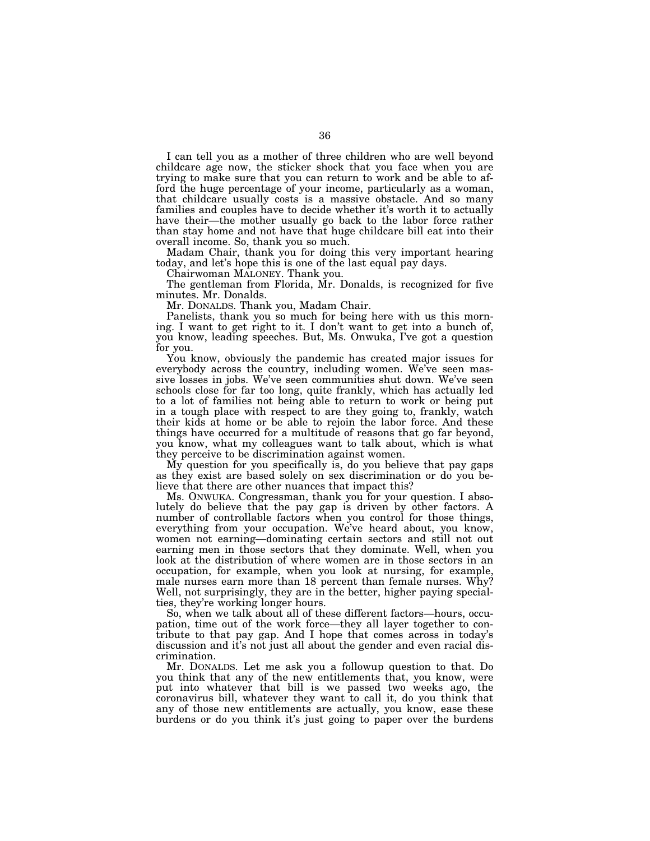I can tell you as a mother of three children who are well beyond childcare age now, the sticker shock that you face when you are trying to make sure that you can return to work and be able to afford the huge percentage of your income, particularly as a woman, that childcare usually costs is a massive obstacle. And so many families and couples have to decide whether it's worth it to actually have their—the mother usually go back to the labor force rather than stay home and not have that huge childcare bill eat into their overall income. So, thank you so much.

Madam Chair, thank you for doing this very important hearing today, and let's hope this is one of the last equal pay days.

Chairwoman MALONEY. Thank you.

The gentleman from Florida, Mr. Donalds, is recognized for five minutes. Mr. Donalds.

Mr. DONALDS. Thank you, Madam Chair.

Panelists, thank you so much for being here with us this morning. I want to get right to it. I don't want to get into a bunch of, you know, leading speeches. But, Ms. Onwuka, I've got a question for you.

You know, obviously the pandemic has created major issues for everybody across the country, including women. We've seen massive losses in jobs. We've seen communities shut down. We've seen schools close for far too long, quite frankly, which has actually led to a lot of families not being able to return to work or being put in a tough place with respect to are they going to, frankly, watch their kids at home or be able to rejoin the labor force. And these things have occurred for a multitude of reasons that go far beyond, you know, what my colleagues want to talk about, which is what they perceive to be discrimination against women.

My question for you specifically is, do you believe that pay gaps as they exist are based solely on sex discrimination or do you believe that there are other nuances that impact this?

Ms. ONWUKA. Congressman, thank you for your question. I absolutely do believe that the pay gap is driven by other factors. A number of controllable factors when you control for those things, everything from your occupation. We've heard about, you know, women not earning—dominating certain sectors and still not out earning men in those sectors that they dominate. Well, when you look at the distribution of where women are in those sectors in an occupation, for example, when you look at nursing, for example, male nurses earn more than 18 percent than female nurses. Why? Well, not surprisingly, they are in the better, higher paying specialties, they're working longer hours.

So, when we talk about all of these different factors—hours, occupation, time out of the work force—they all layer together to contribute to that pay gap. And I hope that comes across in today's discussion and it's not just all about the gender and even racial discrimination.

Mr. DONALDS. Let me ask you a followup question to that. Do you think that any of the new entitlements that, you know, were put into whatever that bill is we passed two weeks ago, the coronavirus bill, whatever they want to call it, do you think that any of those new entitlements are actually, you know, ease these burdens or do you think it's just going to paper over the burdens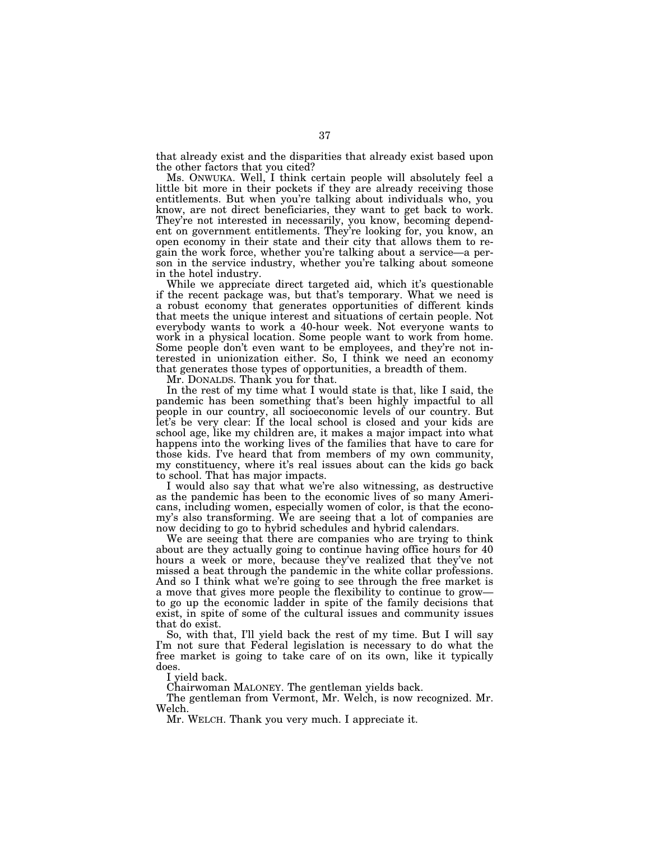that already exist and the disparities that already exist based upon the other factors that you cited?

Ms. ONWUKA. Well, I think certain people will absolutely feel a little bit more in their pockets if they are already receiving those entitlements. But when you're talking about individuals who, you know, are not direct beneficiaries, they want to get back to work. They're not interested in necessarily, you know, becoming dependent on government entitlements. They're looking for, you know, an open economy in their state and their city that allows them to regain the work force, whether you're talking about a service—a person in the service industry, whether you're talking about someone in the hotel industry.

While we appreciate direct targeted aid, which it's questionable if the recent package was, but that's temporary. What we need is a robust economy that generates opportunities of different kinds that meets the unique interest and situations of certain people. Not everybody wants to work a 40-hour week. Not everyone wants to work in a physical location. Some people want to work from home. Some people don't even want to be employees, and they're not interested in unionization either. So, I think we need an economy that generates those types of opportunities, a breadth of them.

Mr. DONALDS. Thank you for that.

In the rest of my time what I would state is that, like I said, the pandemic has been something that's been highly impactful to all people in our country, all socioeconomic levels of our country. But let's be very clear: If the local school is closed and your kids are school age, like my children are, it makes a major impact into what happens into the working lives of the families that have to care for those kids. I've heard that from members of my own community, my constituency, where it's real issues about can the kids go back to school. That has major impacts.

I would also say that what we're also witnessing, as destructive as the pandemic has been to the economic lives of so many Americans, including women, especially women of color, is that the economy's also transforming. We are seeing that a lot of companies are now deciding to go to hybrid schedules and hybrid calendars.

We are seeing that there are companies who are trying to think about are they actually going to continue having office hours for 40 hours a week or more, because they've realized that they've not missed a beat through the pandemic in the white collar professions. And so I think what we're going to see through the free market is a move that gives more people the flexibility to continue to grow to go up the economic ladder in spite of the family decisions that exist, in spite of some of the cultural issues and community issues that do exist.

So, with that, I'll yield back the rest of my time. But I will say I'm not sure that Federal legislation is necessary to do what the free market is going to take care of on its own, like it typically does.

I yield back.

Chairwoman MALONEY. The gentleman yields back.

The gentleman from Vermont, Mr. Welch, is now recognized. Mr. Welch.

Mr. WELCH. Thank you very much. I appreciate it.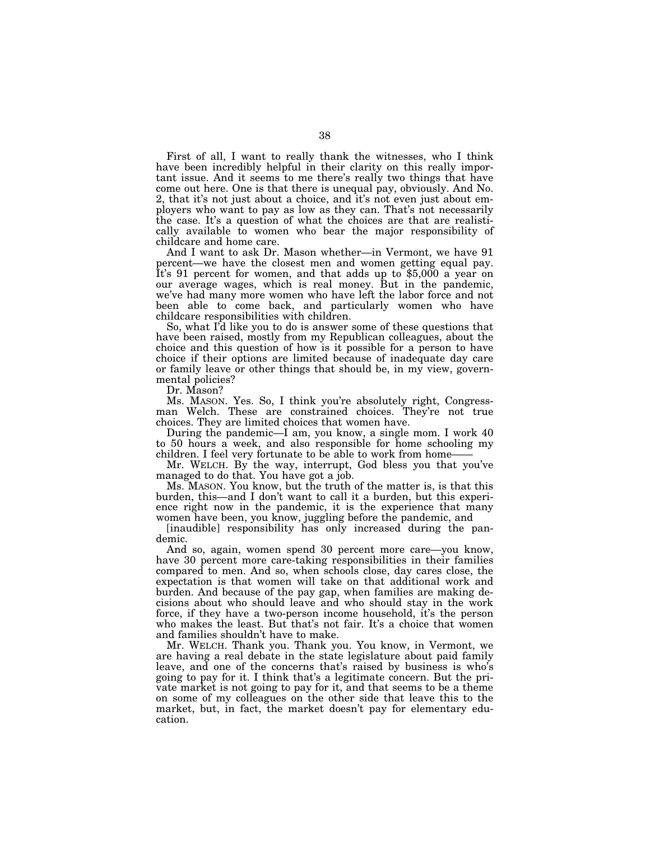First of all, I want to really thank the witnesses, who I think have been incredibly helpful in their clarity on this really important issue. And it seems to me there's really two things that have come out here. One is that there is unequal pay, obviously. And No. 2, that it's not just about a choice, and it's not even just about employers who want to pay as low as they can. That's not necessarily the case. It's a question of what the choices are that are realistically available to women who bear the major responsibility of childcare and home care.

And I want to ask Dr. Mason whether—in Vermont, we have 91 percent—we have the closest men and women getting equal pay. It's 91 percent for women, and that adds up to \$5,000 a year on our average wages, which is real money. But in the pandemic, we've had many more women who have left the labor force and not been able to come back, and particularly women who have childcare responsibilities with children.

So, what I'd like you to do is answer some of these questions that have been raised, mostly from my Republican colleagues, about the choice and this question of how is it possible for a person to have choice if their options are limited because of inadequate day care or family leave or other things that should be, in my view, governmental policies?

Dr. Mason?

Ms. MASON. Yes. So, I think you're absolutely right, Congressman Welch. These are constrained choices. They're not true choices. They are limited choices that women have.

During the pandemic—I am, you know, a single mom. I work 40 to 50 hours a week, and also responsible for home schooling my children. I feel very fortunate to be able to work from home-

Mr. WELCH. By the way, interrupt, God bless you that you've managed to do that. You have got a job.

Ms. MASON. You know, but the truth of the matter is, is that this burden, this—and I don't want to call it a burden, but this experience right now in the pandemic, it is the experience that many women have been, you know, juggling before the pandemic, and

[inaudible] responsibility has only increased during the pandemic.

And so, again, women spend 30 percent more care—you know, have 30 percent more care-taking responsibilities in their families compared to men. And so, when schools close, day cares close, the expectation is that women will take on that additional work and burden. And because of the pay gap, when families are making decisions about who should leave and who should stay in the work force, if they have a two-person income household, it's the person who makes the least. But that's not fair. It's a choice that women and families shouldn't have to make.

Mr. WELCH. Thank you. Thank you. You know, in Vermont, we are having a real debate in the state legislature about paid family leave, and one of the concerns that's raised by business is who's going to pay for it. I think that's a legitimate concern. But the private market is not going to pay for it, and that seems to be a theme on some of my colleagues on the other side that leave this to the market, but, in fact, the market doesn't pay for elementary education.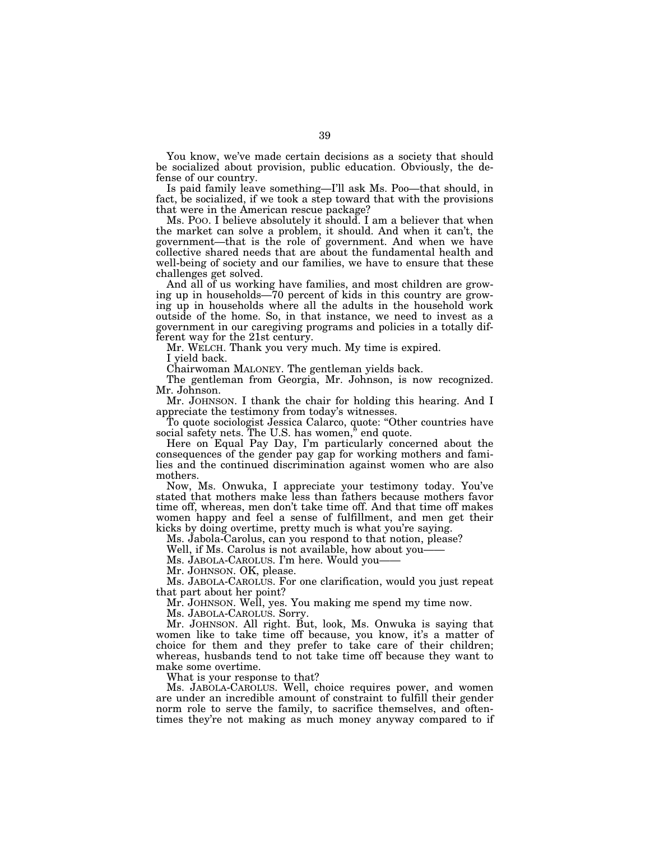You know, we've made certain decisions as a society that should be socialized about provision, public education. Obviously, the defense of our country.

Is paid family leave something—I'll ask Ms. Poo—that should, in fact, be socialized, if we took a step toward that with the provisions that were in the American rescue package?

Ms. POO. I believe absolutely it should. I am a believer that when the market can solve a problem, it should. And when it can't, the government—that is the role of government. And when we have collective shared needs that are about the fundamental health and well-being of society and our families, we have to ensure that these challenges get solved.

And all of us working have families, and most children are growing up in households—70 percent of kids in this country are growing up in households where all the adults in the household work outside of the home. So, in that instance, we need to invest as a government in our caregiving programs and policies in a totally different way for the 21st century.

Mr. WELCH. Thank you very much. My time is expired.

I yield back.

Chairwoman MALONEY. The gentleman yields back.

The gentleman from Georgia, Mr. Johnson, is now recognized. Mr. Johnson.

Mr. JOHNSON. I thank the chair for holding this hearing. And I appreciate the testimony from today's witnesses.

To quote sociologist Jessica Calarco, quote: ''Other countries have social safety nets. The U.S. has women," end quote.

Here on Equal Pay Day, I'm particularly concerned about the consequences of the gender pay gap for working mothers and families and the continued discrimination against women who are also mothers.

Now, Ms. Onwuka, I appreciate your testimony today. You've stated that mothers make less than fathers because mothers favor time off, whereas, men don't take time off. And that time off makes women happy and feel a sense of fulfillment, and men get their kicks by doing overtime, pretty much is what you're saying.

Ms. Jabola-Carolus, can you respond to that notion, please?

Well, if Ms. Carolus is not available, how about you-

Ms. JABOLA-CAROLUS. I'm here. Would you-

Mr. JOHNSON. OK, please.

Ms. JABOLA-CAROLUS. For one clarification, would you just repeat that part about her point?

Mr. JOHNSON. Well, yes. You making me spend my time now.

Ms. JABOLA-CAROLUS. Sorry.

Mr. JOHNSON. All right. But, look, Ms. Onwuka is saying that women like to take time off because, you know, it's a matter of choice for them and they prefer to take care of their children; whereas, husbands tend to not take time off because they want to make some overtime.

What is your response to that?

Ms. JABOLA-CAROLUS. Well, choice requires power, and women are under an incredible amount of constraint to fulfill their gender norm role to serve the family, to sacrifice themselves, and oftentimes they're not making as much money anyway compared to if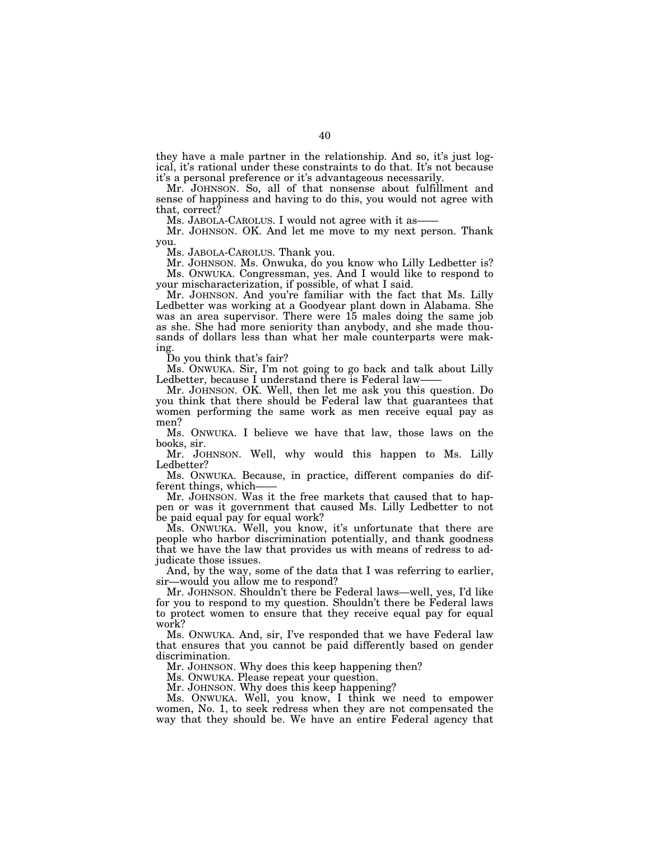they have a male partner in the relationship. And so, it's just logical, it's rational under these constraints to do that. It's not because it's a personal preference or it's advantageous necessarily.

Mr. JOHNSON. So, all of that nonsense about fulfillment and sense of happiness and having to do this, you would not agree with that, correct?

Ms. JABOLA-CAROLUS. I would not agree with it as-

Mr. JOHNSON. OK. And let me move to my next person. Thank you.

Ms. JABOLA-CAROLUS. Thank you.

Mr. JOHNSON. Ms. Onwuka, do you know who Lilly Ledbetter is? Ms. ONWUKA. Congressman, yes. And I would like to respond to your mischaracterization, if possible, of what I said.

Mr. JOHNSON. And you're familiar with the fact that Ms. Lilly Ledbetter was working at a Goodyear plant down in Alabama. She was an area supervisor. There were 15 males doing the same job as she. She had more seniority than anybody, and she made thousands of dollars less than what her male counterparts were making.

Do you think that's fair?

Ms. ONWUKA. Sir, I'm not going to go back and talk about Lilly Ledbetter, because I understand there is Federal law-

Mr. JOHNSON. OK. Well, then let me ask you this question. Do you think that there should be Federal law that guarantees that women performing the same work as men receive equal pay as men?

Ms. ONWUKA. I believe we have that law, those laws on the books, sir.

Mr. JOHNSON. Well, why would this happen to Ms. Lilly Ledbetter?

Ms. ONWUKA. Because, in practice, different companies do different things, which-

Mr. JOHNSON. Was it the free markets that caused that to happen or was it government that caused Ms. Lilly Ledbetter to not be paid equal pay for equal work?

Ms. ONWUKA. Well, you know, it's unfortunate that there are people who harbor discrimination potentially, and thank goodness that we have the law that provides us with means of redress to adjudicate those issues.

And, by the way, some of the data that I was referring to earlier, sir—would you allow me to respond?

Mr. JOHNSON. Shouldn't there be Federal laws—well, yes, I'd like for you to respond to my question. Shouldn't there be Federal laws to protect women to ensure that they receive equal pay for equal work?

Ms. ONWUKA. And, sir, I've responded that we have Federal law that ensures that you cannot be paid differently based on gender discrimination.

Mr. JOHNSON. Why does this keep happening then?

Ms. ONWUKA. Please repeat your question.

Mr. JOHNSON. Why does this keep happening?

Ms. ONWUKA. Well, you know, I think we need to empower women, No. 1, to seek redress when they are not compensated the way that they should be. We have an entire Federal agency that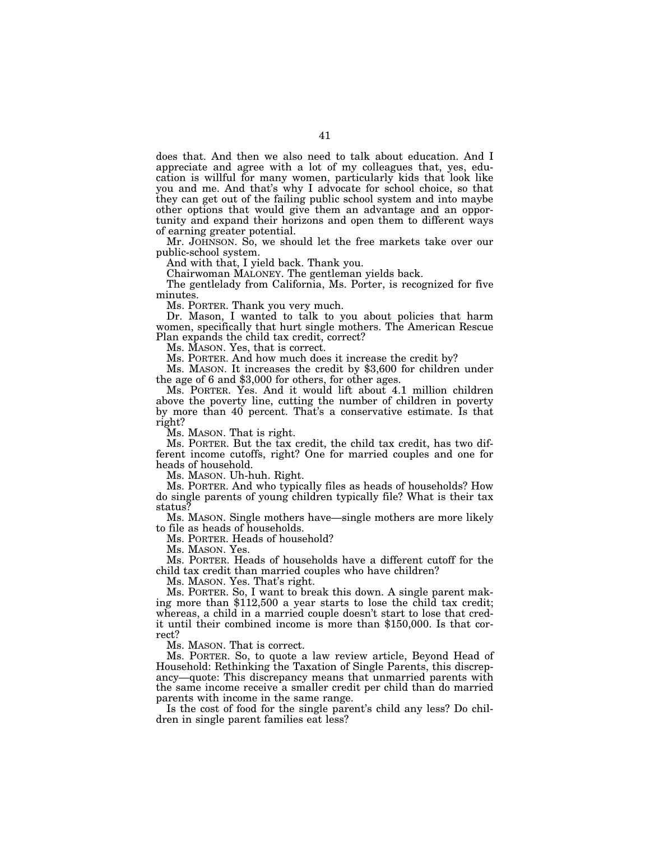does that. And then we also need to talk about education. And I appreciate and agree with a lot of my colleagues that, yes, education is willful for many women, particularly kids that look like you and me. And that's why I advocate for school choice, so that they can get out of the failing public school system and into maybe other options that would give them an advantage and an opportunity and expand their horizons and open them to different ways of earning greater potential.

Mr. JOHNSON. So, we should let the free markets take over our public-school system.

And with that, I yield back. Thank you.

Chairwoman MALONEY. The gentleman yields back.

The gentlelady from California, Ms. Porter, is recognized for five minutes.

Ms. PORTER. Thank you very much.

Dr. Mason, I wanted to talk to you about policies that harm women, specifically that hurt single mothers. The American Rescue Plan expands the child tax credit, correct?

Ms. MASON. Yes, that is correct.

Ms. PORTER. And how much does it increase the credit by?

Ms. MASON. It increases the credit by \$3,600 for children under the age of 6 and \$3,000 for others, for other ages.

Ms. PORTER. Yes. And it would lift about 4.1 million children above the poverty line, cutting the number of children in poverty by more than 40 percent. That's a conservative estimate. Is that right?

Ms. MASON. That is right.

Ms. PORTER. But the tax credit, the child tax credit, has two different income cutoffs, right? One for married couples and one for heads of household.

Ms. MASON. Uh-huh. Right.

Ms. PORTER. And who typically files as heads of households? How do single parents of young children typically file? What is their tax status?

Ms. MASON. Single mothers have—single mothers are more likely to file as heads of households.

Ms. PORTER. Heads of household?

Ms. MASON. Yes.

Ms. PORTER. Heads of households have a different cutoff for the child tax credit than married couples who have children?

Ms. MASON. Yes. That's right.

Ms. PORTER. So, I want to break this down. A single parent making more than \$112,500 a year starts to lose the child tax credit; whereas, a child in a married couple doesn't start to lose that credit until their combined income is more than \$150,000. Is that correct?

Ms. MASON. That is correct.

Ms. PORTER. So, to quote a law review article, Beyond Head of Household: Rethinking the Taxation of Single Parents, this discrepancy—quote: This discrepancy means that unmarried parents with the same income receive a smaller credit per child than do married parents with income in the same range.

Is the cost of food for the single parent's child any less? Do children in single parent families eat less?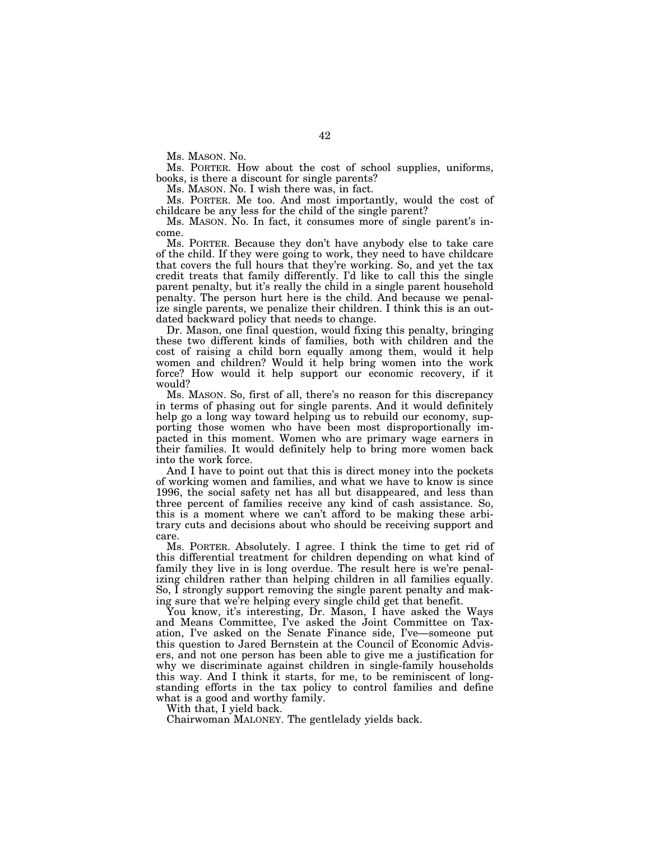Ms. MASON. No.

Ms. PORTER. How about the cost of school supplies, uniforms, books, is there a discount for single parents?

Ms. MASON. No. I wish there was, in fact.

Ms. PORTER. Me too. And most importantly, would the cost of childcare be any less for the child of the single parent?

Ms. MASON. No. In fact, it consumes more of single parent's income.

Ms. PORTER. Because they don't have anybody else to take care of the child. If they were going to work, they need to have childcare that covers the full hours that they're working. So, and yet the tax credit treats that family differently. I'd like to call this the single parent penalty, but it's really the child in a single parent household penalty. The person hurt here is the child. And because we penalize single parents, we penalize their children. I think this is an outdated backward policy that needs to change.

Dr. Mason, one final question, would fixing this penalty, bringing these two different kinds of families, both with children and the cost of raising a child born equally among them, would it help women and children? Would it help bring women into the work force? How would it help support our economic recovery, if it would?

Ms. MASON. So, first of all, there's no reason for this discrepancy in terms of phasing out for single parents. And it would definitely help go a long way toward helping us to rebuild our economy, supporting those women who have been most disproportionally impacted in this moment. Women who are primary wage earners in their families. It would definitely help to bring more women back into the work force.

And I have to point out that this is direct money into the pockets of working women and families, and what we have to know is since 1996, the social safety net has all but disappeared, and less than three percent of families receive any kind of cash assistance. So, this is a moment where we can't afford to be making these arbitrary cuts and decisions about who should be receiving support and care.

Ms. PORTER. Absolutely. I agree. I think the time to get rid of this differential treatment for children depending on what kind of family they live in is long overdue. The result here is we're penalizing children rather than helping children in all families equally. So, I strongly support removing the single parent penalty and making sure that we're helping every single child get that benefit.

You know, it's interesting, Dr. Mason, I have asked the Ways and Means Committee, I've asked the Joint Committee on Taxation, I've asked on the Senate Finance side, I've—someone put this question to Jared Bernstein at the Council of Economic Advisers, and not one person has been able to give me a justification for why we discriminate against children in single-family households this way. And I think it starts, for me, to be reminiscent of longstanding efforts in the tax policy to control families and define what is a good and worthy family.

With that, I yield back.

Chairwoman MALONEY. The gentlelady yields back.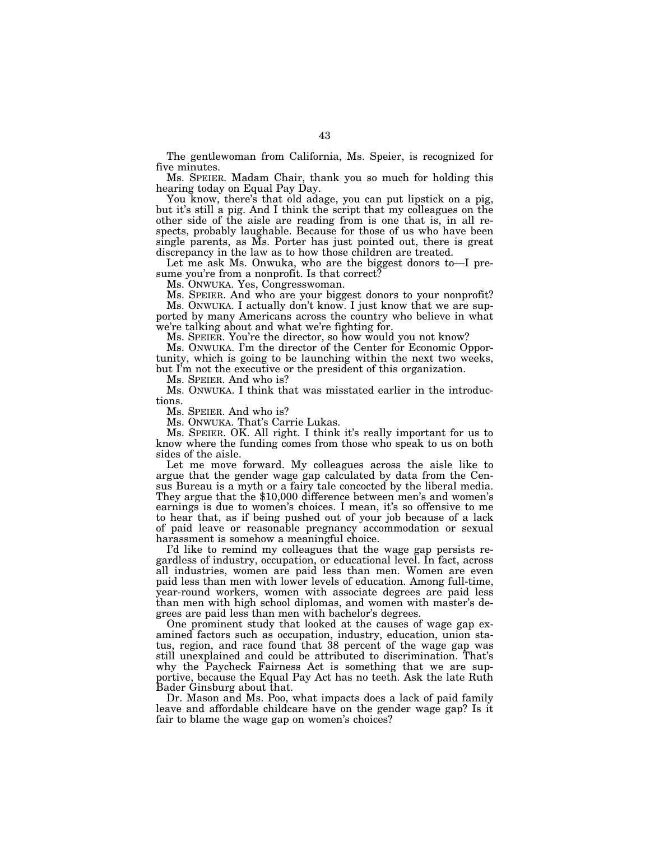The gentlewoman from California, Ms. Speier, is recognized for five minutes.

Ms. SPEIER. Madam Chair, thank you so much for holding this hearing today on Equal Pay Day.

You know, there's that old adage, you can put lipstick on a pig, but it's still a pig. And I think the script that my colleagues on the other side of the aisle are reading from is one that is, in all respects, probably laughable. Because for those of us who have been single parents, as Ms. Porter has just pointed out, there is great discrepancy in the law as to how those children are treated.

Let me ask Ms. Onwuka, who are the biggest donors to—I presume you're from a nonprofit. Is that correct?

Ms. ONWUKA. Yes, Congresswoman.

Ms. SPEIER. And who are your biggest donors to your nonprofit? Ms. ONWUKA. I actually don't know. I just know that we are supported by many Americans across the country who believe in what we're talking about and what we're fighting for.

Ms. SPEIER. You're the director, so how would you not know?

Ms. ONWUKA. I'm the director of the Center for Economic Opportunity, which is going to be launching within the next two weeks, but I'm not the executive or the president of this organization.

Ms. SPEIER. And who is?

Ms. ONWUKA. I think that was misstated earlier in the introductions.

Ms. SPEIER. And who is?

Ms. ONWUKA. That's Carrie Lukas.

Ms. SPEIER. OK. All right. I think it's really important for us to know where the funding comes from those who speak to us on both sides of the aisle.

Let me move forward. My colleagues across the aisle like to argue that the gender wage gap calculated by data from the Census Bureau is a myth or a fairy tale concocted by the liberal media. They argue that the \$10,000 difference between men's and women's earnings is due to women's choices. I mean, it's so offensive to me to hear that, as if being pushed out of your job because of a lack of paid leave or reasonable pregnancy accommodation or sexual harassment is somehow a meaningful choice.

I'd like to remind my colleagues that the wage gap persists regardless of industry, occupation, or educational level. In fact, across all industries, women are paid less than men. Women are even paid less than men with lower levels of education. Among full-time, year-round workers, women with associate degrees are paid less than men with high school diplomas, and women with master's degrees are paid less than men with bachelor's degrees.

One prominent study that looked at the causes of wage gap examined factors such as occupation, industry, education, union status, region, and race found that 38 percent of the wage gap was still unexplained and could be attributed to discrimination. That's why the Paycheck Fairness Act is something that we are supportive, because the Equal Pay Act has no teeth. Ask the late Ruth Bader Ginsburg about that.

Dr. Mason and Ms. Poo, what impacts does a lack of paid family leave and affordable childcare have on the gender wage gap? Is it fair to blame the wage gap on women's choices?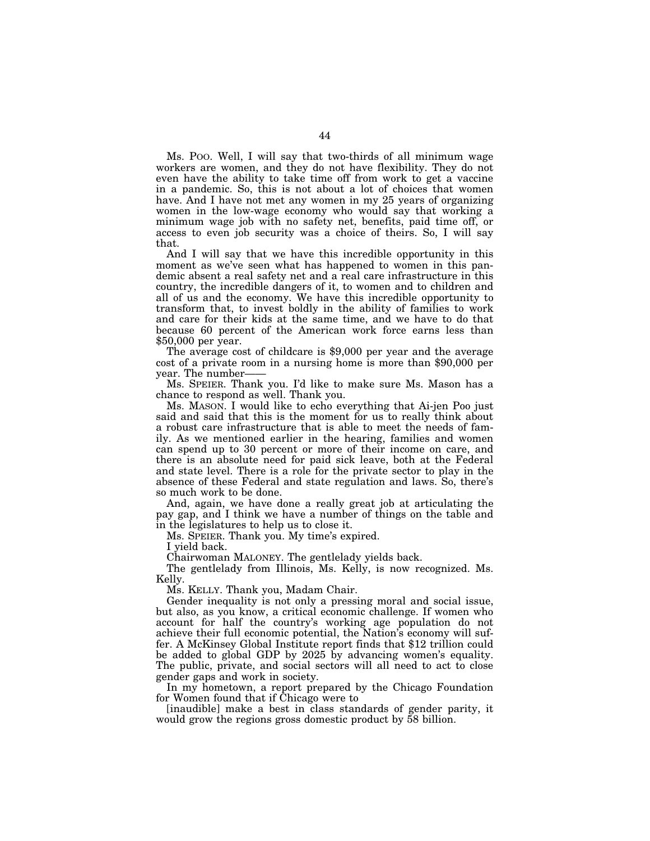Ms. POO. Well, I will say that two-thirds of all minimum wage workers are women, and they do not have flexibility. They do not even have the ability to take time off from work to get a vaccine in a pandemic. So, this is not about a lot of choices that women have. And I have not met any women in my 25 years of organizing women in the low-wage economy who would say that working a minimum wage job with no safety net, benefits, paid time off, or access to even job security was a choice of theirs. So, I will say that.

And I will say that we have this incredible opportunity in this moment as we've seen what has happened to women in this pandemic absent a real safety net and a real care infrastructure in this country, the incredible dangers of it, to women and to children and all of us and the economy. We have this incredible opportunity to transform that, to invest boldly in the ability of families to work and care for their kids at the same time, and we have to do that because 60 percent of the American work force earns less than \$50,000 per year.

The average cost of childcare is \$9,000 per year and the average cost of a private room in a nursing home is more than \$90,000 per year. The number-

Ms. SPEIER. Thank you. I'd like to make sure Ms. Mason has a chance to respond as well. Thank you.

Ms. MASON. I would like to echo everything that Ai-jen Poo just said and said that this is the moment for us to really think about a robust care infrastructure that is able to meet the needs of family. As we mentioned earlier in the hearing, families and women can spend up to 30 percent or more of their income on care, and there is an absolute need for paid sick leave, both at the Federal and state level. There is a role for the private sector to play in the absence of these Federal and state regulation and laws. So, there's so much work to be done.

And, again, we have done a really great job at articulating the pay gap, and I think we have a number of things on the table and in the legislatures to help us to close it.

Ms. SPEIER. Thank you. My time's expired.

I yield back.

Chairwoman MALONEY. The gentlelady yields back.

The gentlelady from Illinois, Ms. Kelly, is now recognized. Ms. Kelly.

Ms. KELLY. Thank you, Madam Chair.

Gender inequality is not only a pressing moral and social issue, but also, as you know, a critical economic challenge. If women who account for half the country's working age population do not achieve their full economic potential, the Nation's economy will suffer. A McKinsey Global Institute report finds that \$12 trillion could be added to global GDP by 2025 by advancing women's equality. The public, private, and social sectors will all need to act to close gender gaps and work in society.

In my hometown, a report prepared by the Chicago Foundation for Women found that if Chicago were to

[inaudible] make a best in class standards of gender parity, it would grow the regions gross domestic product by 58 billion.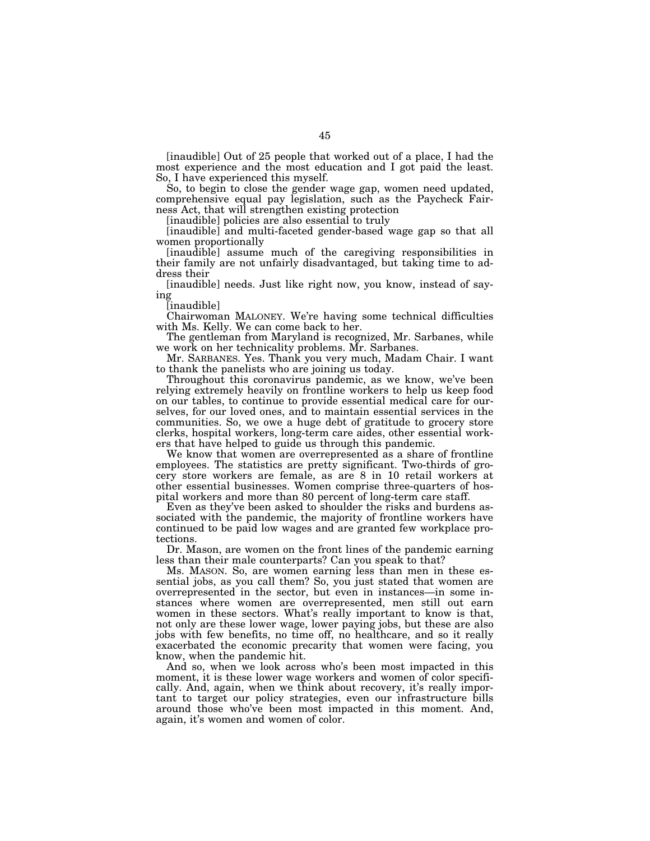[inaudible] Out of 25 people that worked out of a place, I had the most experience and the most education and I got paid the least. So, I have experienced this myself.

So, to begin to close the gender wage gap, women need updated, comprehensive equal pay legislation, such as the Paycheck Fairness Act, that will strengthen existing protection

[inaudible] policies are also essential to truly

[inaudible] and multi-faceted gender-based wage gap so that all women proportionally

[inaudible] assume much of the caregiving responsibilities in their family are not unfairly disadvantaged, but taking time to address their

[inaudible] needs. Just like right now, you know, instead of saying

[inaudible]

Chairwoman MALONEY. We're having some technical difficulties with Ms. Kelly. We can come back to her.

The gentleman from Maryland is recognized, Mr. Sarbanes, while we work on her technicality problems. Mr. Sarbanes.

Mr. SARBANES. Yes. Thank you very much, Madam Chair. I want to thank the panelists who are joining us today.

Throughout this coronavirus pandemic, as we know, we've been relying extremely heavily on frontline workers to help us keep food on our tables, to continue to provide essential medical care for ourselves, for our loved ones, and to maintain essential services in the communities. So, we owe a huge debt of gratitude to grocery store clerks, hospital workers, long-term care aides, other essential workers that have helped to guide us through this pandemic.

We know that women are overrepresented as a share of frontline employees. The statistics are pretty significant. Two-thirds of grocery store workers are female, as are 8 in 10 retail workers at other essential businesses. Women comprise three-quarters of hospital workers and more than 80 percent of long-term care staff.

Even as they've been asked to shoulder the risks and burdens associated with the pandemic, the majority of frontline workers have continued to be paid low wages and are granted few workplace protections.

Dr. Mason, are women on the front lines of the pandemic earning less than their male counterparts? Can you speak to that?

Ms. MASON. So, are women earning less than men in these essential jobs, as you call them? So, you just stated that women are overrepresented in the sector, but even in instances—in some instances where women are overrepresented, men still out earn women in these sectors. What's really important to know is that, not only are these lower wage, lower paying jobs, but these are also jobs with few benefits, no time off, no healthcare, and so it really exacerbated the economic precarity that women were facing, you know, when the pandemic hit.

And so, when we look across who's been most impacted in this moment, it is these lower wage workers and women of color specifically. And, again, when we think about recovery, it's really important to target our policy strategies, even our infrastructure bills around those who've been most impacted in this moment. And, again, it's women and women of color.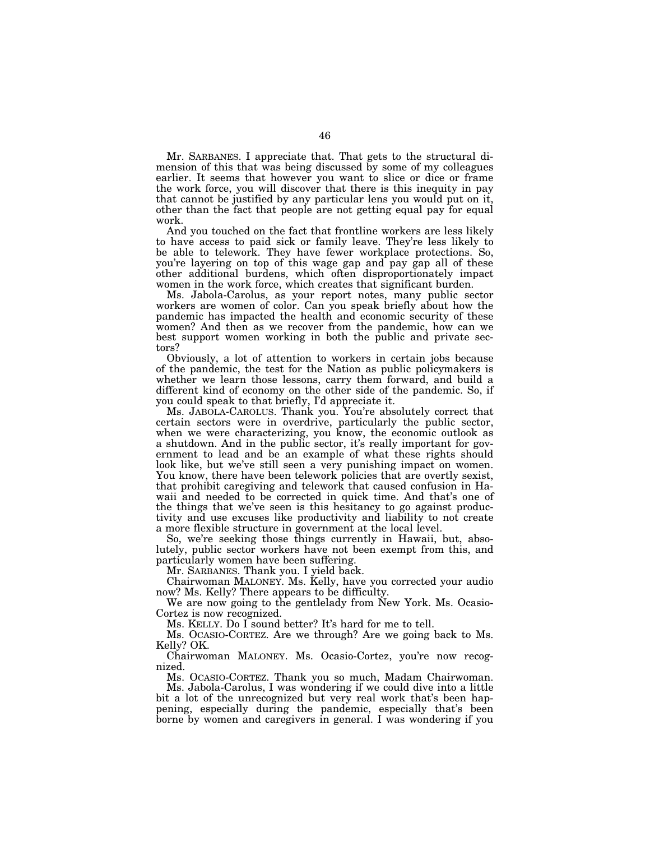Mr. SARBANES. I appreciate that. That gets to the structural dimension of this that was being discussed by some of my colleagues earlier. It seems that however you want to slice or dice or frame the work force, you will discover that there is this inequity in pay that cannot be justified by any particular lens you would put on it, other than the fact that people are not getting equal pay for equal work.

And you touched on the fact that frontline workers are less likely to have access to paid sick or family leave. They're less likely to be able to telework. They have fewer workplace protections. So, you're layering on top of this wage gap and pay gap all of these other additional burdens, which often disproportionately impact women in the work force, which creates that significant burden.

Ms. Jabola-Carolus, as your report notes, many public sector workers are women of color. Can you speak briefly about how the pandemic has impacted the health and economic security of these women? And then as we recover from the pandemic, how can we best support women working in both the public and private sectors?

Obviously, a lot of attention to workers in certain jobs because of the pandemic, the test for the Nation as public policymakers is whether we learn those lessons, carry them forward, and build a different kind of economy on the other side of the pandemic. So, if you could speak to that briefly, I'd appreciate it.

Ms. JABOLA-CAROLUS. Thank you. You're absolutely correct that certain sectors were in overdrive, particularly the public sector, when we were characterizing, you know, the economic outlook as a shutdown. And in the public sector, it's really important for government to lead and be an example of what these rights should look like, but we've still seen a very punishing impact on women. You know, there have been telework policies that are overtly sexist, that prohibit caregiving and telework that caused confusion in Hawaii and needed to be corrected in quick time. And that's one of the things that we've seen is this hesitancy to go against productivity and use excuses like productivity and liability to not create a more flexible structure in government at the local level.

So, we're seeking those things currently in Hawaii, but, absolutely, public sector workers have not been exempt from this, and particularly women have been suffering.

Mr. SARBANES. Thank you. I yield back.

Chairwoman MALONEY. Ms. Kelly, have you corrected your audio now? Ms. Kelly? There appears to be difficulty.

We are now going to the gentlelady from New York. Ms. Ocasio-Cortez is now recognized.

Ms. KELLY. Do I sound better? It's hard for me to tell.

Ms. OCASIO-CORTEZ. Are we through? Are we going back to Ms. Kelly? OK.

Chairwoman MALONEY. Ms. Ocasio-Cortez, you're now recognized.

Ms. OCASIO-CORTEZ. Thank you so much, Madam Chairwoman.

Ms. Jabola-Carolus, I was wondering if we could dive into a little bit a lot of the unrecognized but very real work that's been happening, especially during the pandemic, especially that's been borne by women and caregivers in general. I was wondering if you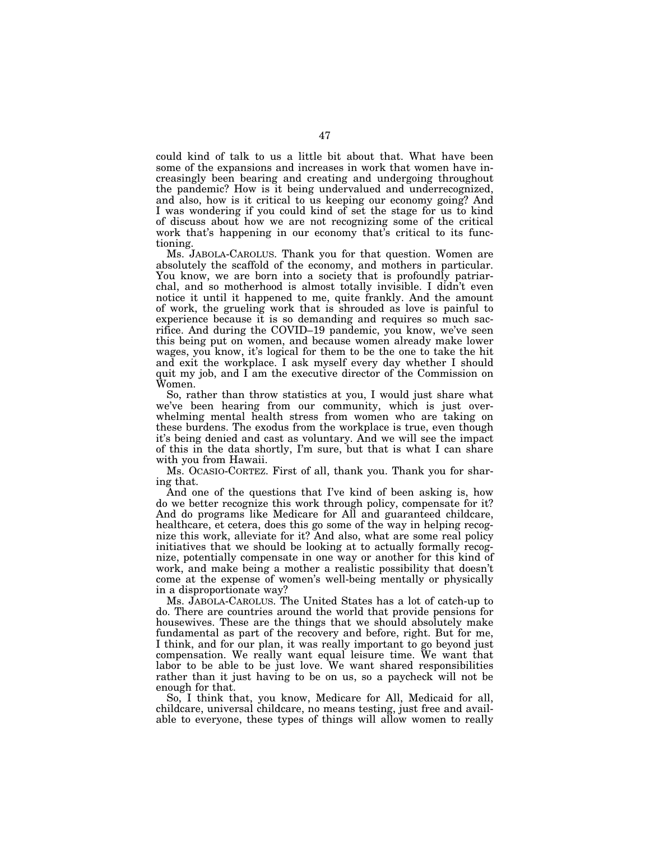could kind of talk to us a little bit about that. What have been some of the expansions and increases in work that women have increasingly been bearing and creating and undergoing throughout the pandemic? How is it being undervalued and underrecognized, and also, how is it critical to us keeping our economy going? And I was wondering if you could kind of set the stage for us to kind of discuss about how we are not recognizing some of the critical work that's happening in our economy that's critical to its functioning.

Ms. JABOLA-CAROLUS. Thank you for that question. Women are absolutely the scaffold of the economy, and mothers in particular. You know, we are born into a society that is profoundly patriarchal, and so motherhood is almost totally invisible. I didn't even notice it until it happened to me, quite frankly. And the amount of work, the grueling work that is shrouded as love is painful to experience because it is so demanding and requires so much sacrifice. And during the COVID–19 pandemic, you know, we've seen this being put on women, and because women already make lower wages, you know, it's logical for them to be the one to take the hit and exit the workplace. I ask myself every day whether I should quit my job, and I am the executive director of the Commission on Women.

So, rather than throw statistics at you, I would just share what we've been hearing from our community, which is just overwhelming mental health stress from women who are taking on these burdens. The exodus from the workplace is true, even though it's being denied and cast as voluntary. And we will see the impact of this in the data shortly, I'm sure, but that is what I can share with you from Hawaii.

Ms. OCASIO-CORTEZ. First of all, thank you. Thank you for sharing that.

And one of the questions that I've kind of been asking is, how do we better recognize this work through policy, compensate for it? And do programs like Medicare for All and guaranteed childcare, healthcare, et cetera, does this go some of the way in helping recognize this work, alleviate for it? And also, what are some real policy initiatives that we should be looking at to actually formally recognize, potentially compensate in one way or another for this kind of work, and make being a mother a realistic possibility that doesn't come at the expense of women's well-being mentally or physically in a disproportionate way?

Ms. JABOLA-CAROLUS. The United States has a lot of catch-up to do. There are countries around the world that provide pensions for housewives. These are the things that we should absolutely make fundamental as part of the recovery and before, right. But for me, I think, and for our plan, it was really important to go beyond just compensation. We really want equal leisure time. We want that labor to be able to be just love. We want shared responsibilities rather than it just having to be on us, so a paycheck will not be enough for that.

So, I think that, you know, Medicare for All, Medicaid for all, childcare, universal childcare, no means testing, just free and available to everyone, these types of things will allow women to really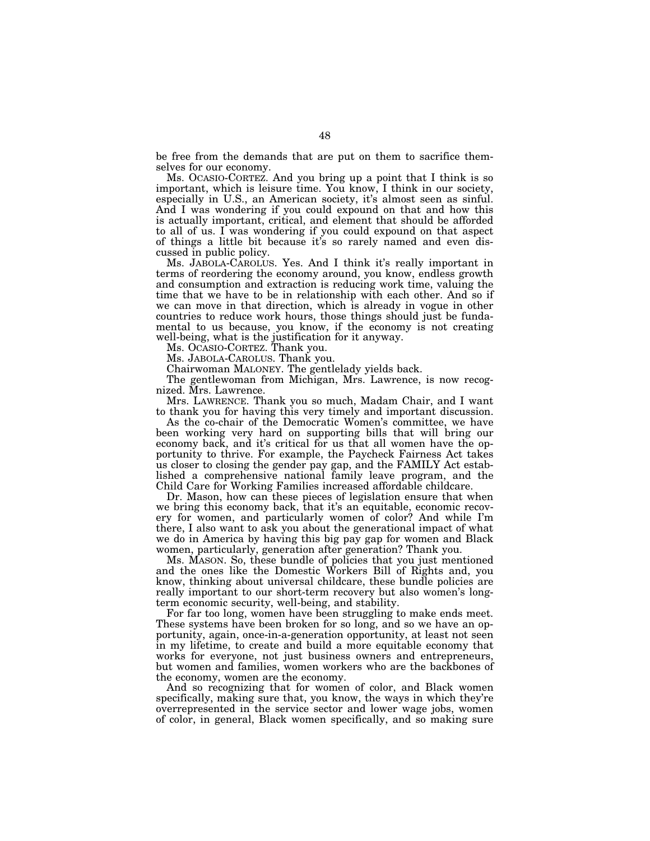be free from the demands that are put on them to sacrifice themselves for our economy.

Ms. OCASIO-CORTEZ. And you bring up a point that I think is so important, which is leisure time. You know, I think in our society, especially in U.S., an American society, it's almost seen as sinful. And I was wondering if you could expound on that and how this is actually important, critical, and element that should be afforded to all of us. I was wondering if you could expound on that aspect of things a little bit because it's so rarely named and even discussed in public policy.

Ms. JABOLA-CAROLUS. Yes. And I think it's really important in terms of reordering the economy around, you know, endless growth and consumption and extraction is reducing work time, valuing the time that we have to be in relationship with each other. And so if we can move in that direction, which is already in vogue in other countries to reduce work hours, those things should just be fundamental to us because, you know, if the economy is not creating well-being, what is the justification for it anyway.

Ms. OCASIO-CORTEZ. Thank you.

Ms. JABOLA-CAROLUS. Thank you.

Chairwoman MALONEY. The gentlelady yields back.

The gentlewoman from Michigan, Mrs. Lawrence, is now recognized. Mrs. Lawrence.

Mrs. LAWRENCE. Thank you so much, Madam Chair, and I want to thank you for having this very timely and important discussion.

As the co-chair of the Democratic Women's committee, we have been working very hard on supporting bills that will bring our economy back, and it's critical for us that all women have the opportunity to thrive. For example, the Paycheck Fairness Act takes us closer to closing the gender pay gap, and the FAMILY Act established a comprehensive national family leave program, and the Child Care for Working Families increased affordable childcare.

Dr. Mason, how can these pieces of legislation ensure that when we bring this economy back, that it's an equitable, economic recovery for women, and particularly women of color? And while I'm there, I also want to ask you about the generational impact of what we do in America by having this big pay gap for women and Black women, particularly, generation after generation? Thank you.

Ms. MASON. So, these bundle of policies that you just mentioned and the ones like the Domestic Workers Bill of Rights and, you know, thinking about universal childcare, these bundle policies are really important to our short-term recovery but also women's longterm economic security, well-being, and stability.

For far too long, women have been struggling to make ends meet. These systems have been broken for so long, and so we have an opportunity, again, once-in-a-generation opportunity, at least not seen in my lifetime, to create and build a more equitable economy that works for everyone, not just business owners and entrepreneurs, but women and families, women workers who are the backbones of the economy, women are the economy.

And so recognizing that for women of color, and Black women specifically, making sure that, you know, the ways in which they're overrepresented in the service sector and lower wage jobs, women of color, in general, Black women specifically, and so making sure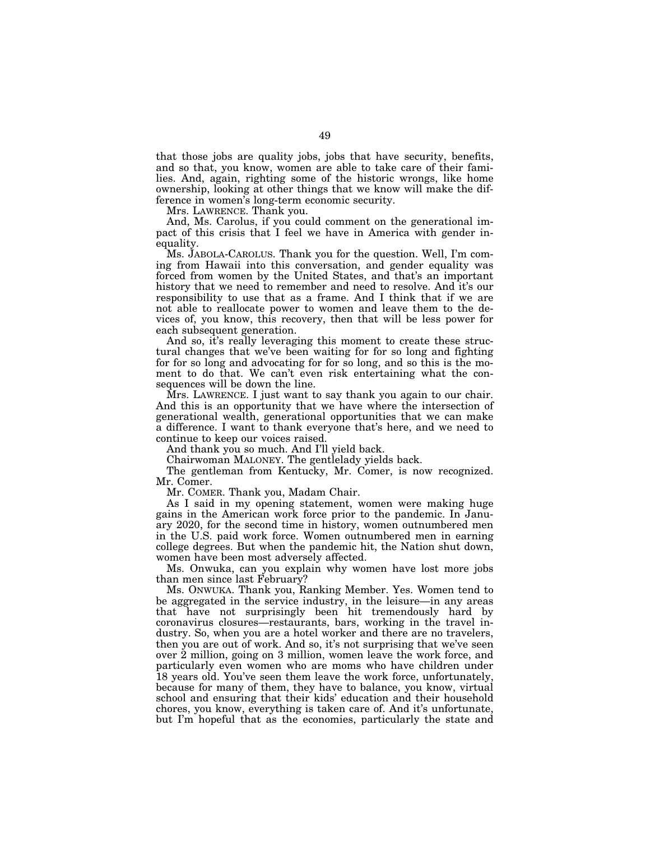that those jobs are quality jobs, jobs that have security, benefits, and so that, you know, women are able to take care of their families. And, again, righting some of the historic wrongs, like home ownership, looking at other things that we know will make the difference in women's long-term economic security.

Mrs. LAWRENCE. Thank you.

And, Ms. Carolus, if you could comment on the generational impact of this crisis that I feel we have in America with gender inequality.

Ms. JABOLA-CAROLUS. Thank you for the question. Well, I'm coming from Hawaii into this conversation, and gender equality was forced from women by the United States, and that's an important history that we need to remember and need to resolve. And it's our responsibility to use that as a frame. And I think that if we are not able to reallocate power to women and leave them to the devices of, you know, this recovery, then that will be less power for each subsequent generation.

And so, it's really leveraging this moment to create these structural changes that we've been waiting for for so long and fighting for for so long and advocating for for so long, and so this is the moment to do that. We can't even risk entertaining what the consequences will be down the line.

Mrs. LAWRENCE. I just want to say thank you again to our chair. And this is an opportunity that we have where the intersection of generational wealth, generational opportunities that we can make a difference. I want to thank everyone that's here, and we need to continue to keep our voices raised.

And thank you so much. And I'll yield back.

Chairwoman MALONEY. The gentlelady yields back.

The gentleman from Kentucky, Mr. Comer, is now recognized. Mr. Comer.

Mr. COMER. Thank you, Madam Chair.

As I said in my opening statement, women were making huge gains in the American work force prior to the pandemic. In January 2020, for the second time in history, women outnumbered men in the U.S. paid work force. Women outnumbered men in earning college degrees. But when the pandemic hit, the Nation shut down, women have been most adversely affected.

Ms. Onwuka, can you explain why women have lost more jobs than men since last February?

Ms. ONWUKA. Thank you, Ranking Member. Yes. Women tend to be aggregated in the service industry, in the leisure—in any areas that have not surprisingly been hit tremendously hard by coronavirus closures—restaurants, bars, working in the travel industry. So, when you are a hotel worker and there are no travelers, then you are out of work. And so, it's not surprising that we've seen over 2 million, going on 3 million, women leave the work force, and particularly even women who are moms who have children under 18 years old. You've seen them leave the work force, unfortunately, because for many of them, they have to balance, you know, virtual school and ensuring that their kids' education and their household chores, you know, everything is taken care of. And it's unfortunate, but I'm hopeful that as the economies, particularly the state and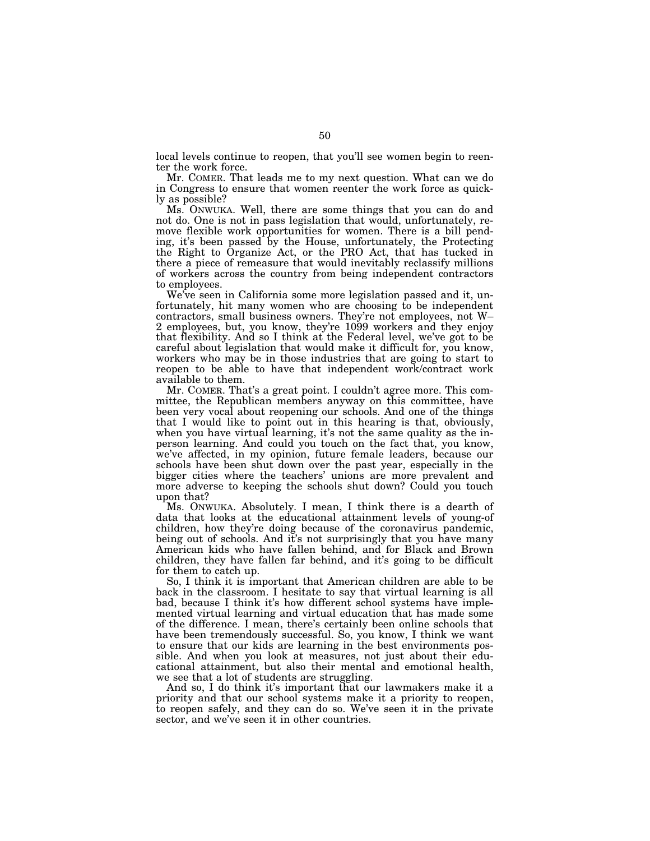local levels continue to reopen, that you'll see women begin to reenter the work force.

Mr. COMER. That leads me to my next question. What can we do in Congress to ensure that women reenter the work force as quickly as possible?

Ms. ONWUKA. Well, there are some things that you can do and not do. One is not in pass legislation that would, unfortunately, remove flexible work opportunities for women. There is a bill pending, it's been passed by the House, unfortunately, the Protecting the Right to Organize Act, or the PRO Act, that has tucked in there a piece of remeasure that would inevitably reclassify millions of workers across the country from being independent contractors to employees.

We've seen in California some more legislation passed and it, unfortunately, hit many women who are choosing to be independent contractors, small business owners. They're not employees, not W– 2 employees, but, you know, they're 1099 workers and they enjoy that flexibility. And so I think at the Federal level, we've got to be careful about legislation that would make it difficult for, you know, workers who may be in those industries that are going to start to reopen to be able to have that independent work/contract work available to them.

Mr. COMER. That's a great point. I couldn't agree more. This committee, the Republican members anyway on this committee, have been very vocal about reopening our schools. And one of the things that I would like to point out in this hearing is that, obviously, when you have virtual learning, it's not the same quality as the inperson learning. And could you touch on the fact that, you know, we've affected, in my opinion, future female leaders, because our schools have been shut down over the past year, especially in the bigger cities where the teachers' unions are more prevalent and more adverse to keeping the schools shut down? Could you touch upon that?

Ms. ONWUKA. Absolutely. I mean, I think there is a dearth of data that looks at the educational attainment levels of young-of children, how they're doing because of the coronavirus pandemic, being out of schools. And it's not surprisingly that you have many American kids who have fallen behind, and for Black and Brown children, they have fallen far behind, and it's going to be difficult for them to catch up.

So, I think it is important that American children are able to be back in the classroom. I hesitate to say that virtual learning is all bad, because I think it's how different school systems have implemented virtual learning and virtual education that has made some of the difference. I mean, there's certainly been online schools that have been tremendously successful. So, you know, I think we want to ensure that our kids are learning in the best environments possible. And when you look at measures, not just about their educational attainment, but also their mental and emotional health, we see that a lot of students are struggling.

And so, I do think it's important that our lawmakers make it a priority and that our school systems make it a priority to reopen, to reopen safely, and they can do so. We've seen it in the private sector, and we've seen it in other countries.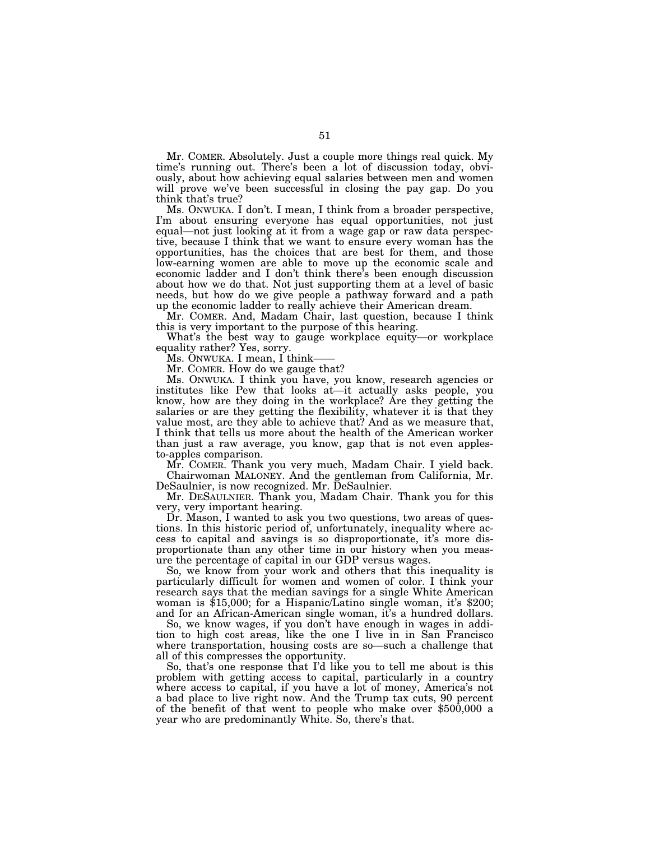Mr. COMER. Absolutely. Just a couple more things real quick. My time's running out. There's been a lot of discussion today, obviously, about how achieving equal salaries between men and women will prove we've been successful in closing the pay gap. Do you think that's true?

Ms. ONWUKA. I don't. I mean, I think from a broader perspective, I'm about ensuring everyone has equal opportunities, not just equal—not just looking at it from a wage gap or raw data perspective, because I think that we want to ensure every woman has the opportunities, has the choices that are best for them, and those low-earning women are able to move up the economic scale and economic ladder and I don't think there's been enough discussion about how we do that. Not just supporting them at a level of basic needs, but how do we give people a pathway forward and a path up the economic ladder to really achieve their American dream.

Mr. COMER. And, Madam Chair, last question, because I think this is very important to the purpose of this hearing.

What's the best way to gauge workplace equity—or workplace equality rather? Yes, sorry.

Ms. ONWUKA. I mean, I think-

Mr. COMER. How do we gauge that?

Ms. ONWUKA. I think you have, you know, research agencies or institutes like Pew that looks at—it actually asks people, you know, how are they doing in the workplace? Are they getting the salaries or are they getting the flexibility, whatever it is that they value most, are they able to achieve that? And as we measure that, I think that tells us more about the health of the American worker than just a raw average, you know, gap that is not even applesto-apples comparison.

Mr. COMER. Thank you very much, Madam Chair. I yield back. Chairwoman MALONEY. And the gentleman from California, Mr. DeSaulnier, is now recognized. Mr. DeSaulnier.

Mr. DESAULNIER. Thank you, Madam Chair. Thank you for this very, very important hearing.

Dr. Mason, I wanted to ask you two questions, two areas of questions. In this historic period of, unfortunately, inequality where access to capital and savings is so disproportionate, it's more disproportionate than any other time in our history when you measure the percentage of capital in our GDP versus wages.

So, we know from your work and others that this inequality is particularly difficult for women and women of color. I think your research says that the median savings for a single White American woman is \$15,000; for a Hispanic/Latino single woman, it's \$200; and for an African-American single woman, it's a hundred dollars.

So, we know wages, if you don't have enough in wages in addition to high cost areas, like the one I live in in San Francisco where transportation, housing costs are so—such a challenge that all of this compresses the opportunity.

So, that's one response that I'd like you to tell me about is this problem with getting access to capital, particularly in a country where access to capital, if you have a lot of money, America's not a bad place to live right now. And the Trump tax cuts, 90 percent of the benefit of that went to people who make over \$500,000 a year who are predominantly White. So, there's that.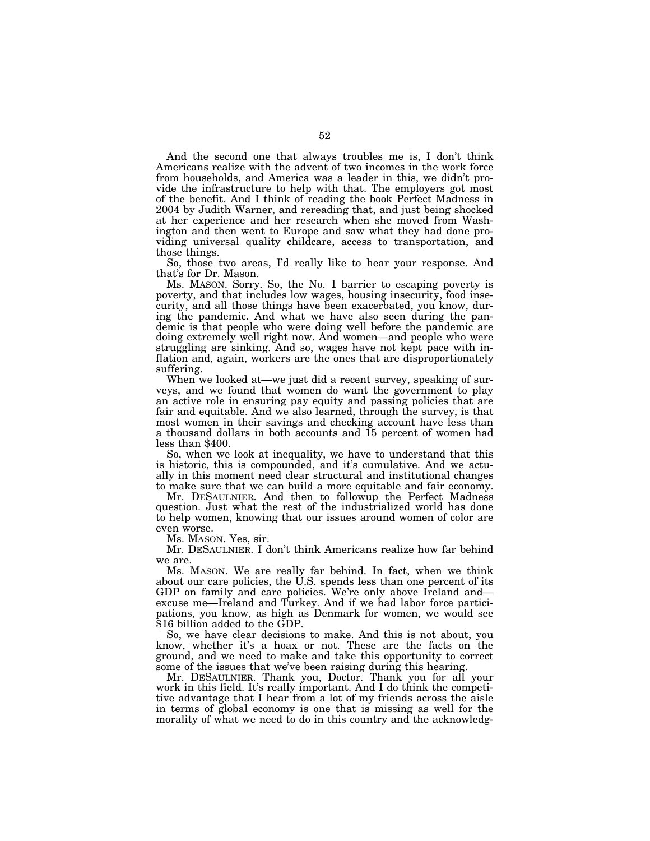And the second one that always troubles me is, I don't think Americans realize with the advent of two incomes in the work force from households, and America was a leader in this, we didn't provide the infrastructure to help with that. The employers got most of the benefit. And I think of reading the book Perfect Madness in 2004 by Judith Warner, and rereading that, and just being shocked at her experience and her research when she moved from Washington and then went to Europe and saw what they had done providing universal quality childcare, access to transportation, and those things.

So, those two areas, I'd really like to hear your response. And that's for Dr. Mason.

Ms. MASON. Sorry. So, the No. 1 barrier to escaping poverty is poverty, and that includes low wages, housing insecurity, food insecurity, and all those things have been exacerbated, you know, during the pandemic. And what we have also seen during the pandemic is that people who were doing well before the pandemic are doing extremely well right now. And women—and people who were struggling are sinking. And so, wages have not kept pace with inflation and, again, workers are the ones that are disproportionately suffering.

When we looked at—we just did a recent survey, speaking of surveys, and we found that women do want the government to play an active role in ensuring pay equity and passing policies that are fair and equitable. And we also learned, through the survey, is that most women in their savings and checking account have less than a thousand dollars in both accounts and 15 percent of women had less than \$400.

So, when we look at inequality, we have to understand that this is historic, this is compounded, and it's cumulative. And we actually in this moment need clear structural and institutional changes to make sure that we can build a more equitable and fair economy.

Mr. DESAULNIER. And then to followup the Perfect Madness question. Just what the rest of the industrialized world has done to help women, knowing that our issues around women of color are even worse.

Ms. MASON. Yes, sir.

Mr. DESAULNIER. I don't think Americans realize how far behind we are.

Ms. MASON. We are really far behind. In fact, when we think about our care policies, the U.S. spends less than one percent of its GDP on family and care policies. We're only above Ireland and excuse me—Ireland and Turkey. And if we had labor force participations, you know, as high as Denmark for women, we would see \$16 billion added to the GDP.

So, we have clear decisions to make. And this is not about, you know, whether it's a hoax or not. These are the facts on the ground, and we need to make and take this opportunity to correct some of the issues that we've been raising during this hearing.

Mr. DESAULNIER. Thank you, Doctor. Thank you for all your work in this field. It's really important. And I do think the competitive advantage that I hear from a lot of my friends across the aisle in terms of global economy is one that is missing as well for the morality of what we need to do in this country and the acknowledg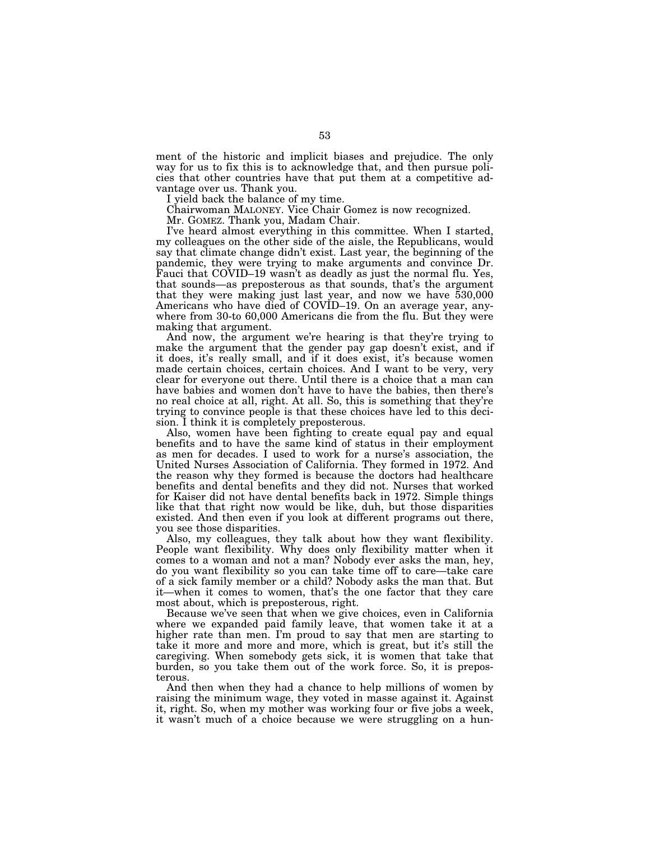ment of the historic and implicit biases and prejudice. The only way for us to fix this is to acknowledge that, and then pursue policies that other countries have that put them at a competitive advantage over us. Thank you.

I yield back the balance of my time.

Chairwoman MALONEY. Vice Chair Gomez is now recognized.

Mr. GOMEZ. Thank you, Madam Chair.

I've heard almost everything in this committee. When I started, my colleagues on the other side of the aisle, the Republicans, would say that climate change didn't exist. Last year, the beginning of the pandemic, they were trying to make arguments and convince Dr. Fauci that COVID–19 wasn't as deadly as just the normal flu. Yes, that sounds—as preposterous as that sounds, that's the argument that they were making just last year, and now we have 530,000 Americans who have died of COVID–19. On an average year, anywhere from 30-to 60,000 Americans die from the flu. But they were making that argument.

And now, the argument we're hearing is that they're trying to make the argument that the gender pay gap doesn't exist, and if it does, it's really small, and if it does exist, it's because women made certain choices, certain choices. And I want to be very, very clear for everyone out there. Until there is a choice that a man can have babies and women don't have to have the babies, then there's no real choice at all, right. At all. So, this is something that they're trying to convince people is that these choices have led to this decision. I think it is completely preposterous.

Also, women have been fighting to create equal pay and equal benefits and to have the same kind of status in their employment as men for decades. I used to work for a nurse's association, the United Nurses Association of California. They formed in 1972. And the reason why they formed is because the doctors had healthcare benefits and dental benefits and they did not. Nurses that worked for Kaiser did not have dental benefits back in 1972. Simple things like that that right now would be like, duh, but those disparities existed. And then even if you look at different programs out there, you see those disparities.

Also, my colleagues, they talk about how they want flexibility. People want flexibility. Why does only flexibility matter when it comes to a woman and not a man? Nobody ever asks the man, hey, do you want flexibility so you can take time off to care—take care of a sick family member or a child? Nobody asks the man that. But it—when it comes to women, that's the one factor that they care most about, which is preposterous, right.

Because we've seen that when we give choices, even in California where we expanded paid family leave, that women take it at a higher rate than men. I'm proud to say that men are starting to take it more and more and more, which is great, but it's still the caregiving. When somebody gets sick, it is women that take that burden, so you take them out of the work force. So, it is preposterous.

And then when they had a chance to help millions of women by raising the minimum wage, they voted in masse against it. Against it, right. So, when my mother was working four or five jobs a week, it wasn't much of a choice because we were struggling on a hun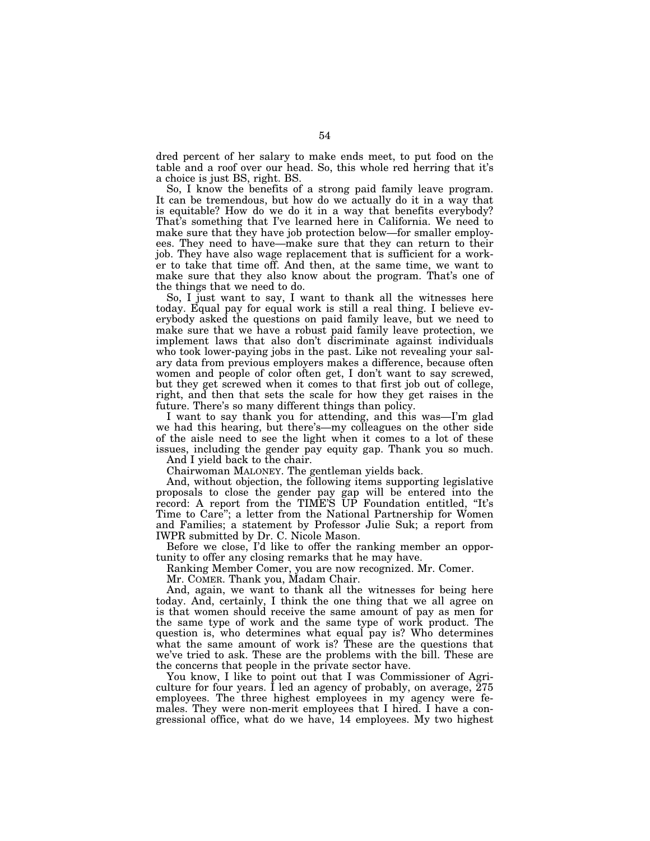dred percent of her salary to make ends meet, to put food on the table and a roof over our head. So, this whole red herring that it's a choice is just BS, right. BS.

So, I know the benefits of a strong paid family leave program. It can be tremendous, but how do we actually do it in a way that is equitable? How do we do it in a way that benefits everybody? That's something that I've learned here in California. We need to make sure that they have job protection below—for smaller employees. They need to have—make sure that they can return to their job. They have also wage replacement that is sufficient for a worker to take that time off. And then, at the same time, we want to make sure that they also know about the program. That's one of the things that we need to do.

So, I just want to say, I want to thank all the witnesses here today. Equal pay for equal work is still a real thing. I believe everybody asked the questions on paid family leave, but we need to make sure that we have a robust paid family leave protection, we implement laws that also don't discriminate against individuals who took lower-paying jobs in the past. Like not revealing your salary data from previous employers makes a difference, because often women and people of color often get, I don't want to say screwed, but they get screwed when it comes to that first job out of college, right, and then that sets the scale for how they get raises in the future. There's so many different things than policy.

I want to say thank you for attending, and this was—I'm glad we had this hearing, but there's—my colleagues on the other side of the aisle need to see the light when it comes to a lot of these issues, including the gender pay equity gap. Thank you so much. And I yield back to the chair.

Chairwoman MALONEY. The gentleman yields back.

And, without objection, the following items supporting legislative proposals to close the gender pay gap will be entered into the record: A report from the TIME'S UP Foundation entitled, ''It's Time to Care"; a letter from the National Partnership for Women and Families; a statement by Professor Julie Suk; a report from IWPR submitted by Dr. C. Nicole Mason.

Before we close, I'd like to offer the ranking member an opportunity to offer any closing remarks that he may have.

Ranking Member Comer, you are now recognized. Mr. Comer.

Mr. COMER. Thank you, Madam Chair.

And, again, we want to thank all the witnesses for being here today. And, certainly, I think the one thing that we all agree on is that women should receive the same amount of pay as men for the same type of work and the same type of work product. The question is, who determines what equal pay is? Who determines what the same amount of work is? These are the questions that we've tried to ask. These are the problems with the bill. These are the concerns that people in the private sector have.

You know, I like to point out that I was Commissioner of Agriculture for four years. I led an agency of probably, on average, 275 employees. The three highest employees in my agency were females. They were non-merit employees that I hired. I have a congressional office, what do we have, 14 employees. My two highest